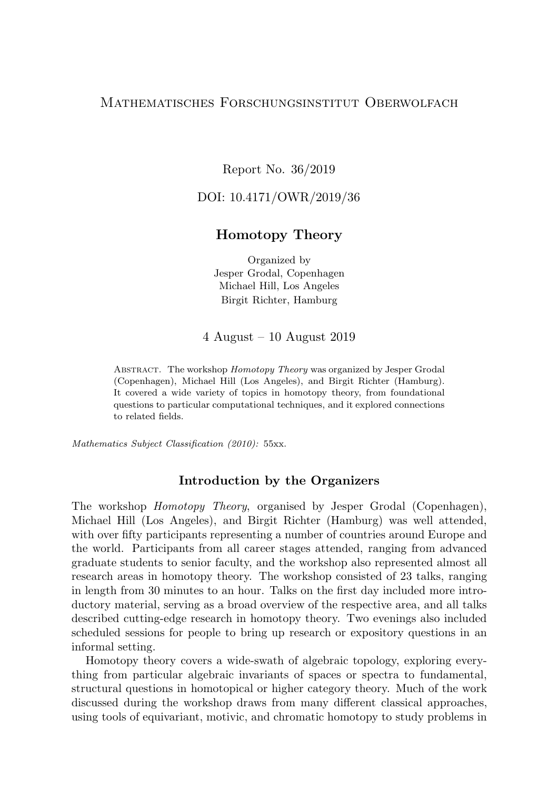# Mathematisches Forschungsinstitut Oberwolfach

Report No. 36/2019

DOI: 10.4171/OWR/2019/36

# Homotopy Theory

Organized by Jesper Grodal, Copenhagen Michael Hill, Los Angeles Birgit Richter, Hamburg

4 August – 10 August 2019

ABSTRACT. The workshop Homotopy Theory was organized by Jesper Grodal (Copenhagen), Michael Hill (Los Angeles), and Birgit Richter (Hamburg). It covered a wide variety of topics in homotopy theory, from foundational questions to particular computational techniques, and it explored connections to related fields.

Mathematics Subject Classification (2010): 55xx.

## Introduction by the Organizers

The workshop Homotopy Theory, organised by Jesper Grodal (Copenhagen), Michael Hill (Los Angeles), and Birgit Richter (Hamburg) was well attended, with over fifty participants representing a number of countries around Europe and the world. Participants from all career stages attended, ranging from advanced graduate students to senior faculty, and the workshop also represented almost all research areas in homotopy theory. The workshop consisted of 23 talks, ranging in length from 30 minutes to an hour. Talks on the first day included more introductory material, serving as a broad overview of the respective area, and all talks described cutting-edge research in homotopy theory. Two evenings also included scheduled sessions for people to bring up research or expository questions in an informal setting.

Homotopy theory covers a wide-swath of algebraic topology, exploring everything from particular algebraic invariants of spaces or spectra to fundamental, structural questions in homotopical or higher category theory. Much of the work discussed during the workshop draws from many different classical approaches, using tools of equivariant, motivic, and chromatic homotopy to study problems in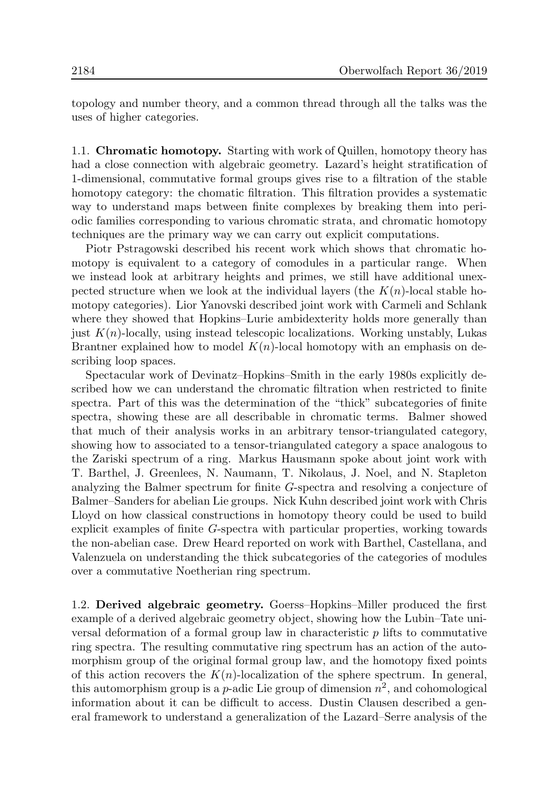topology and number theory, and a common thread through all the talks was the uses of higher categories.

1.1. Chromatic homotopy. Starting with work of Quillen, homotopy theory has had a close connection with algebraic geometry. Lazard's height stratification of 1-dimensional, commutative formal groups gives rise to a filtration of the stable homotopy category: the chomatic filtration. This filtration provides a systematic way to understand maps between finite complexes by breaking them into periodic families corresponding to various chromatic strata, and chromatic homotopy techniques are the primary way we can carry out explicit computations.

Piotr Pstragowski described his recent work which shows that chromatic homotopy is equivalent to a category of comodules in a particular range. When we instead look at arbitrary heights and primes, we still have additional unexpected structure when we look at the individual layers (the  $K(n)$ -local stable homotopy categories). Lior Yanovski described joint work with Carmeli and Schlank where they showed that Hopkins–Lurie ambidexterity holds more generally than just  $K(n)$ -locally, using instead telescopic localizations. Working unstably, Lukas Brantner explained how to model  $K(n)$ -local homotopy with an emphasis on describing loop spaces.

Spectacular work of Devinatz–Hopkins–Smith in the early 1980s explicitly described how we can understand the chromatic filtration when restricted to finite spectra. Part of this was the determination of the "thick" subcategories of finite spectra, showing these are all describable in chromatic terms. Balmer showed that much of their analysis works in an arbitrary tensor-triangulated category, showing how to associated to a tensor-triangulated category a space analogous to the Zariski spectrum of a ring. Markus Hausmann spoke about joint work with T. Barthel, J. Greenlees, N. Naumann, T. Nikolaus, J. Noel, and N. Stapleton analyzing the Balmer spectrum for finite G-spectra and resolving a conjecture of Balmer–Sanders for abelian Lie groups. Nick Kuhn described joint work with Chris Lloyd on how classical constructions in homotopy theory could be used to build explicit examples of finite G-spectra with particular properties, working towards the non-abelian case. Drew Heard reported on work with Barthel, Castellana, and Valenzuela on understanding the thick subcategories of the categories of modules over a commutative Noetherian ring spectrum.

1.2. Derived algebraic geometry. Goerss–Hopkins–Miller produced the first example of a derived algebraic geometry object, showing how the Lubin–Tate universal deformation of a formal group law in characteristic  $p$  lifts to commutative ring spectra. The resulting commutative ring spectrum has an action of the automorphism group of the original formal group law, and the homotopy fixed points of this action recovers the  $K(n)$ -localization of the sphere spectrum. In general, this automorphism group is a *p*-adic Lie group of dimension  $n^2$ , and cohomological information about it can be difficult to access. Dustin Clausen described a general framework to understand a generalization of the Lazard–Serre analysis of the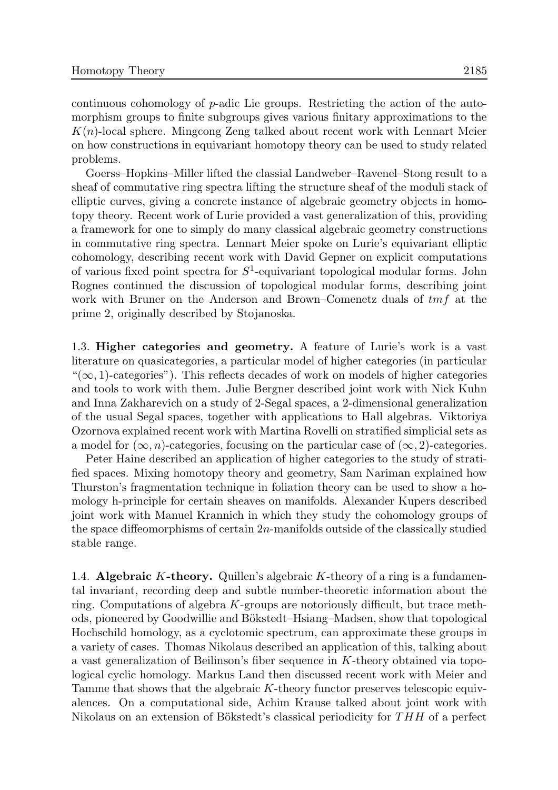continuous cohomology of p-adic Lie groups. Restricting the action of the automorphism groups to finite subgroups gives various finitary approximations to the  $K(n)$ -local sphere. Mingcong Zeng talked about recent work with Lennart Meier on how constructions in equivariant homotopy theory can be used to study related problems.

Goerss–Hopkins–Miller lifted the classial Landweber–Ravenel–Stong result to a sheaf of commutative ring spectra lifting the structure sheaf of the moduli stack of elliptic curves, giving a concrete instance of algebraic geometry objects in homotopy theory. Recent work of Lurie provided a vast generalization of this, providing a framework for one to simply do many classical algebraic geometry constructions in commutative ring spectra. Lennart Meier spoke on Lurie's equivariant elliptic cohomology, describing recent work with David Gepner on explicit computations of various fixed point spectra for  $S^1$ -equivariant topological modular forms. John Rognes continued the discussion of topological modular forms, describing joint work with Bruner on the Anderson and Brown–Comenetz duals of tmf at the prime 2, originally described by Stojanoska.

1.3. Higher categories and geometry. A feature of Lurie's work is a vast literature on quasicategories, a particular model of higher categories (in particular  $\mathcal{L}(\infty, 1)$ -categories"). This reflects decades of work on models of higher categories and tools to work with them. Julie Bergner described joint work with Nick Kuhn and Inna Zakharevich on a study of 2-Segal spaces, a 2-dimensional generalization of the usual Segal spaces, together with applications to Hall algebras. Viktoriya Ozornova explained recent work with Martina Rovelli on stratified simplicial sets as a model for  $(\infty, n)$ -categories, focusing on the particular case of  $(\infty, 2)$ -categories.

Peter Haine described an application of higher categories to the study of stratified spaces. Mixing homotopy theory and geometry, Sam Nariman explained how Thurston's fragmentation technique in foliation theory can be used to show a homology h-principle for certain sheaves on manifolds. Alexander Kupers described joint work with Manuel Krannich in which they study the cohomology groups of the space diffeomorphisms of certain 2n-manifolds outside of the classically studied stable range.

1.4. Algebraic K-theory. Quillen's algebraic K-theory of a ring is a fundamental invariant, recording deep and subtle number-theoretic information about the ring. Computations of algebra K-groups are notoriously difficult, but trace methods, pioneered by Goodwillie and Bökstedt–Hsiang–Madsen, show that topological Hochschild homology, as a cyclotomic spectrum, can approximate these groups in a variety of cases. Thomas Nikolaus described an application of this, talking about a vast generalization of Beilinson's fiber sequence in K-theory obtained via topological cyclic homology. Markus Land then discussed recent work with Meier and Tamme that shows that the algebraic  $K$ -theory functor preserves telescopic equivalences. On a computational side, Achim Krause talked about joint work with Nikolaus on an extension of Bökstedt's classical periodicity for  $THH$  of a perfect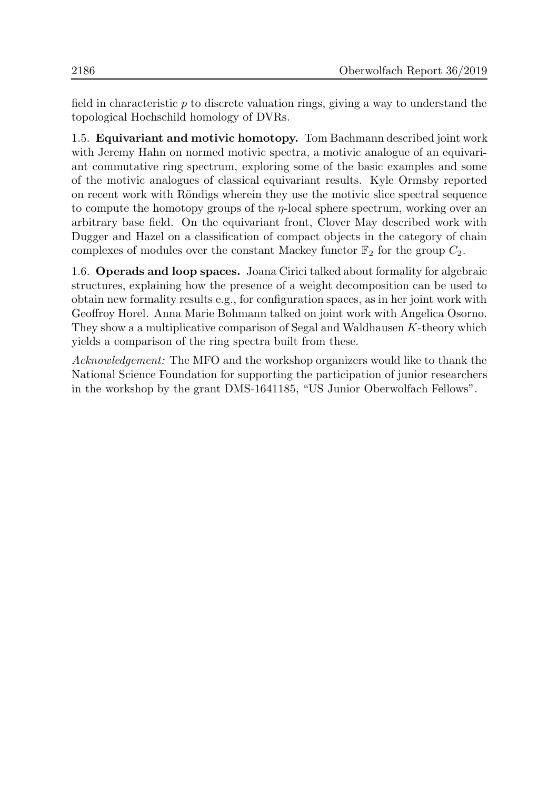field in characteristic p to discrete valuation rings, giving a way to understand the topological Hochschild homology of DVRs.

1.5. Equivariant and motivic homotopy. Tom Bachmann described joint work with Jeremy Hahn on normed motivic spectra, a motivic analogue of an equivariant commutative ring spectrum, exploring some of the basic examples and some of the motivic analogues of classical equivariant results. Kyle Ormsby reported on recent work with Röndigs wherein they use the motivic slice spectral sequence to compute the homotopy groups of the  $\eta$ -local sphere spectrum, working over an arbitrary base field. On the equivariant front, Clover May described work with Dugger and Hazel on a classification of compact objects in the category of chain complexes of modules over the constant Mackey functor  $\mathbb{F}_2$  for the group  $C_2$ .

1.6. Operads and loop spaces. Joana Cirici talked about formality for algebraic structures, explaining how the presence of a weight decomposition can be used to obtain new formality results e.g., for configuration spaces, as in her joint work with Geoffroy Horel. Anna Marie Bohmann talked on joint work with Angelica Osorno. They show a a multiplicative comparison of Segal and Waldhausen K-theory which yields a comparison of the ring spectra built from these.

Acknowledgement: The MFO and the workshop organizers would like to thank the National Science Foundation for supporting the participation of junior researchers in the workshop by the grant DMS-1641185, "US Junior Oberwolfach Fellows".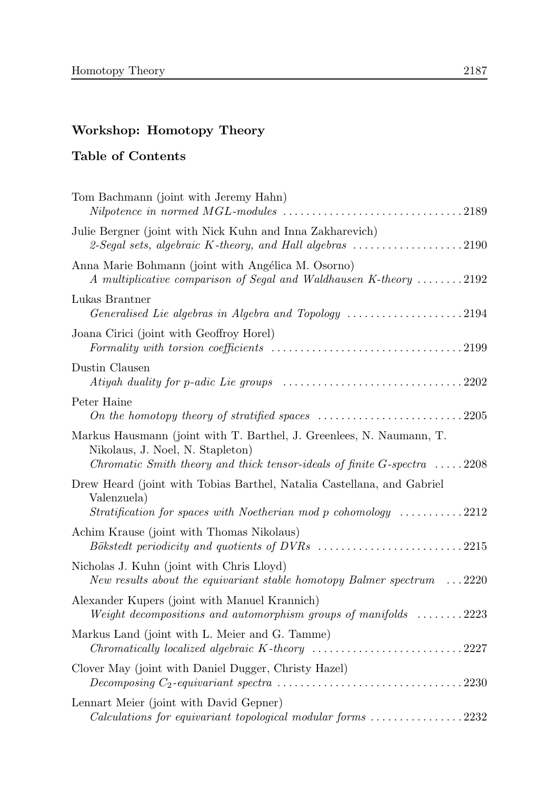# Workshop: Homotopy Theory

# Table of Contents

| Tom Bachmann (joint with Jeremy Hahn)                                                                                                                                                            |
|--------------------------------------------------------------------------------------------------------------------------------------------------------------------------------------------------|
| Julie Bergner (joint with Nick Kuhn and Inna Zakharevich)<br>2-Segal sets, algebraic K-theory, and Hall algebras 2190                                                                            |
| Anna Marie Bohmann (joint with Angélica M. Osorno)<br>A multiplicative comparison of Segal and Waldhausen K-theory 2192                                                                          |
| Lukas Brantner<br>Generalised Lie algebras in Algebra and Topology 2194                                                                                                                          |
| Joana Cirici (joint with Geoffroy Horel)<br>Formality with torsion coefficients $\ldots \ldots \ldots \ldots \ldots \ldots \ldots \ldots \ldots \ldots 2199$                                     |
| Dustin Clausen                                                                                                                                                                                   |
| Peter Haine<br>On the homotopy theory of stratified spaces $\ldots \ldots \ldots \ldots \ldots \ldots \ldots 2205$                                                                               |
| Markus Hausmann (joint with T. Barthel, J. Greenlees, N. Naumann, T.<br>Nikolaus, J. Noel, N. Stapleton)<br>Chromatic Smith theory and thick tensor-ideals of finite $G$ -spectra $\dots$ . 2208 |
| Drew Heard (joint with Tobias Barthel, Natalia Castellana, and Gabriel<br>Valenzuela)<br>Stratification for spaces with Noetherian mod p cohomology $\dots \dots \dots 2212$                     |
| Achim Krause (joint with Thomas Nikolaus)                                                                                                                                                        |
| Nicholas J. Kuhn (joint with Chris Lloyd)<br>New results about the equivariant stable homotopy Balmer spectrum $\ldots$ 2220                                                                     |
| Alexander Kupers (joint with Manuel Krannich)<br>Weight decompositions and automorphism groups of manifolds $\ldots \ldots \ldots 2223$                                                          |
| Markus Land (joint with L. Meier and G. Tamme)                                                                                                                                                   |
| Clover May (joint with Daniel Dugger, Christy Hazel)                                                                                                                                             |
| Lennart Meier (joint with David Gepner)<br>$Calculations for equivariant topological modular forms \ldots \ldots \ldots \ldots \ldots 2232$                                                      |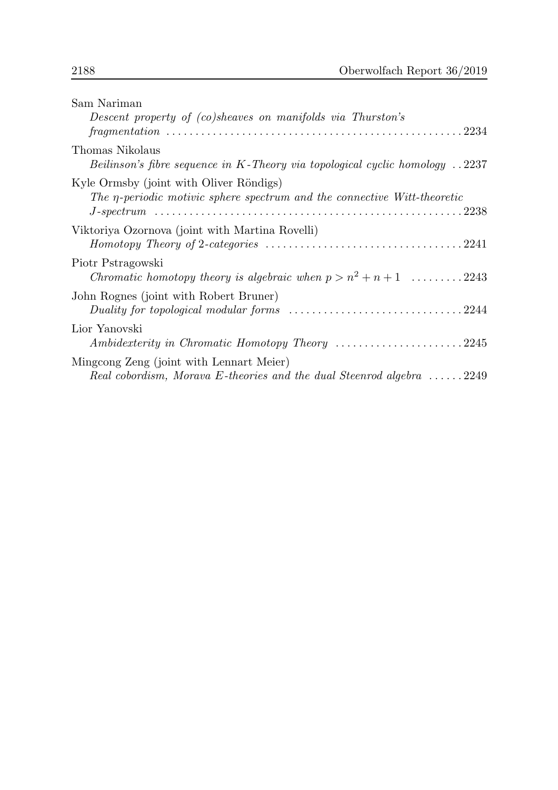| Sam Nariman                                                                                                                                                   |
|---------------------------------------------------------------------------------------------------------------------------------------------------------------|
| Descent property of (co)sheaves on manifolds via Thurston's                                                                                                   |
| Thomas Nikolaus<br>Beilinson's fibre sequence in K-Theory via topological cyclic homology $\ldots$ 2237                                                       |
| Kyle Ormsby (joint with Oliver Röndigs)<br>The <i>n</i> -periodic motivic sphere spectrum and the connective Witt-theoretic<br>$J\text{-}spectrum \dots 1238$ |
| Viktoriya Ozornova (joint with Martina Rovelli)                                                                                                               |
| Piotr Pstragowski<br>Chromatic homotopy theory is algebraic when $p > n^2 + n + 1$ 2243                                                                       |
| John Rognes (joint with Robert Bruner)<br>Duality for topological modular forms $\ldots \ldots \ldots \ldots \ldots \ldots \ldots \ldots \ldots 2244$         |
| Lior Yanovski<br>Ambidexterity in Chromatic Homotopy Theory 2245                                                                                              |
| Mingcong Zeng (joint with Lennart Meier)<br>Real cobordism, Morava E-theories and the dual Steenrod algebra $\dots \dots 2249$                                |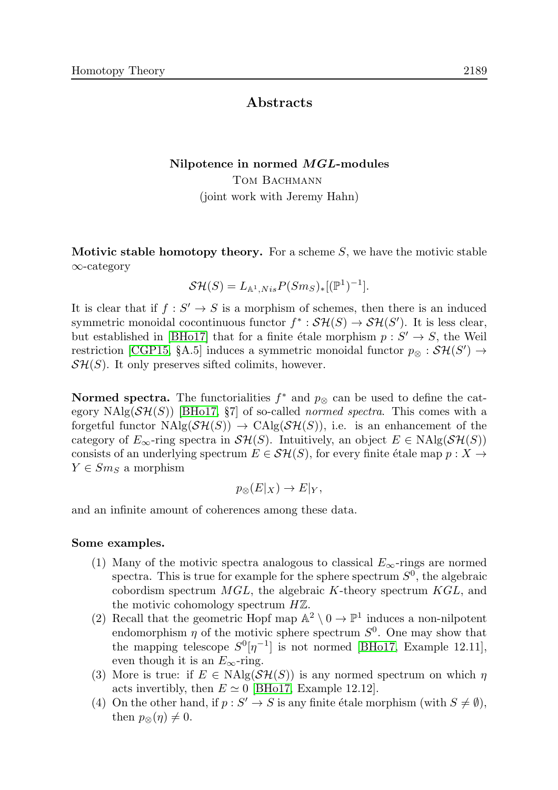## Abstracts

### Nilpotence in normed MGL-modules

TOM BACHMANN (joint work with Jeremy Hahn)

**Motivic stable homotopy theory.** For a scheme  $S$ , we have the motivic stable ∞-category

$$
\mathcal{SH}(S) = L_{\mathbb{A}^1, Nis} P(Sm_S)_*[(\mathbb{P}^1)^{-1}].
$$

It is clear that if  $f: S' \to S$  is a morphism of schemes, then there is an induced symmetric monoidal cocontinuous functor  $f^* : \mathcal{SH}(S) \to \mathcal{SH}(S')$ . It is less clear, but established in [\[BHo17\]](#page-7-0) that for a finite étale morphism  $p : S' \to S$ , the Weil restriction [\[CGP15,](#page-7-1) §A.5] induces a symmetric monoidal functor  $p_{\otimes} : \mathcal{SH}(S') \to$  $\mathcal{SH}(S)$ . It only preserves sifted colimits, however.

Normed spectra. The functorialities  $f^*$  and  $p_{\otimes}$  can be used to define the category  $NAlg(\mathcal{SH}(S))$  [\[BHo17,](#page-7-0) §7] of so-called *normed spectra*. This comes with a forgetful functor  $NAlg(\mathcal{SH}(S)) \to \text{CAlg}(\mathcal{SH}(S))$ , i.e. is an enhancement of the category of  $E_{\infty}$ -ring spectra in  $\mathcal{SH}(S)$ . Intuitively, an object  $E \in \text{NAlg}(\mathcal{SH}(S))$ consists of an underlying spectrum  $E \in \mathcal{SH}(S)$ , for every finite étale map  $p : X \to Y$  $Y \in Sm_S$  a morphism

$$
p_{\otimes}(E|_X) \to E|_Y,
$$

and an infinite amount of coherences among these data.

### Some examples.

- (1) Many of the motivic spectra analogous to classical  $E_{\infty}$ -rings are normed spectra. This is true for example for the sphere spectrum  $S^0$ , the algebraic cobordism spectrum  $MGL$ , the algebraic K-theory spectrum  $KGL$ , and the motivic cohomology spectrum  $H\mathbb{Z}$ .
- (2) Recall that the geometric Hopf map  $\mathbb{A}^2 \setminus 0 \to \mathbb{P}^1$  induces a non-nilpotent endomorphism  $\eta$  of the motivic sphere spectrum  $S^0$ . One may show that the mapping telescope  $S^0[\eta^{-1}]$  is not normed [\[BHo17,](#page-7-0) Example 12.11], even though it is an  $E_{\infty}$ -ring.
- (3) More is true: if  $E \in \text{NAlg}(\mathcal{SH}(S))$  is any normed spectrum on which  $\eta$ acts invertibly, then  $E \simeq 0$  [\[BHo17,](#page-7-0) Example 12.12].
- (4) On the other hand, if  $p : S' \to S$  is any finite étale morphism (with  $S \neq \emptyset$ ), then  $p_{\otimes}(\eta) \neq 0$ .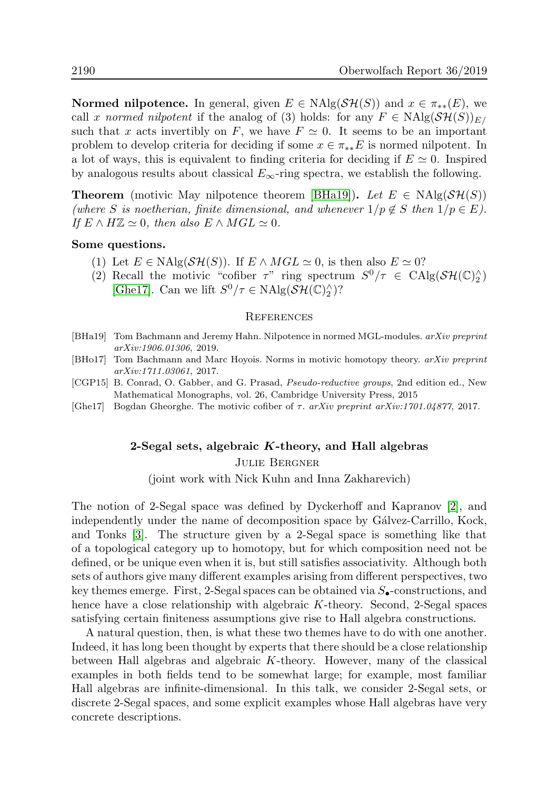Normed nilpotence. In general, given  $E \in \text{NAlg}(\mathcal{SH}(S))$  and  $x \in \pi_{**}(E)$ , we call x normed nilpotent if the analog of (3) holds: for any  $F \in \text{NAlg}(\mathcal{SH}(S))_{E}/\mathcal{E}$ such that x acts invertibly on F, we have  $F \simeq 0$ . It seems to be an important problem to develop criteria for deciding if some  $x \in \pi_{**}E$  is normed nilpotent. In a lot of ways, this is equivalent to finding criteria for deciding if  $E \simeq 0$ . Inspired by analogous results about classical  $E_{\infty}$ -ring spectra, we establish the following.

**Theorem** (motivic May nilpotence theorem [\[BHa19\]](#page-7-2)). Let  $E \in \text{NAlg}(\mathcal{SH}(S))$ (where S is noetherian, finite dimensional, and whenever  $1/p \notin S$  then  $1/p \in E$ ). If  $E \wedge H\mathbb{Z} \simeq 0$ , then also  $E \wedge MGL \simeq 0$ .

### Some questions.

- (1) Let  $E \in \text{NAlg}(\mathcal{SH}(S))$ . If  $E \wedge MGL \simeq 0$ , is then also  $E \simeq 0$ ?
- (2) Recall the motivic "cofiber  $\tau$ " ring spectrum  $S^0/\tau \in \text{CAlg}(\mathcal{SH}(\mathbb{C})_2^{\wedge}$  $_{2}^{\wedge})$ [\[Ghe17\]](#page-7-3). Can we lift  $S^0/\tau \in \text{NAlg}(\mathcal{SH}(\mathbb{C})_2^{\wedge})$  $_{2}^{\wedge})$ ?

### **REFERENCES**

- <span id="page-7-2"></span>[BHa19] Tom Bachmann and Jeremy Hahn. Nilpotence in normed MGL-modules. arXiv preprint arXiv:1906.01306, 2019.
- <span id="page-7-0"></span>[BHo17] Tom Bachmann and Marc Hoyois. Norms in motivic homotopy theory. arXiv preprint arXiv:1711.03061, 2017.
- <span id="page-7-1"></span>[CGP15] B. Conrad, O. Gabber, and G. Prasad, Pseudo-reductive groups, 2nd edition ed., New Mathematical Monographs, vol. 26, Cambridge University Press, 2015
- <span id="page-7-3"></span>[Ghe17] Bogdan Gheorghe. The motivic cofiber of  $\tau$ . arXiv preprint arXiv:1701.04877, 2017.

### 2-Segal sets, algebraic  $K$ -theory, and Hall algebras

Julie Bergner

(joint work with Nick Kuhn and Inna Zakharevich)

The notion of 2-Segal space was defined by Dyckerhoff and Kapranov [\[2\]](#page-9-0), and independently under the name of decomposition space by Gálvez-Carrillo, Kock, and Tonks [\[3\]](#page-9-1). The structure given by a 2-Segal space is something like that of a topological category up to homotopy, but for which composition need not be defined, or be unique even when it is, but still satisfies associativity. Although both sets of authors give many different examples arising from different perspectives, two key themes emerge. First, 2-Segal spaces can be obtained via  $S_{\bullet}$ -constructions, and hence have a close relationship with algebraic K-theory. Second, 2-Segal spaces satisfying certain finiteness assumptions give rise to Hall algebra constructions.

A natural question, then, is what these two themes have to do with one another. Indeed, it has long been thought by experts that there should be a close relationship between Hall algebras and algebraic K-theory. However, many of the classical examples in both fields tend to be somewhat large; for example, most familiar Hall algebras are infinite-dimensional. In this talk, we consider 2-Segal sets, or discrete 2-Segal spaces, and some explicit examples whose Hall algebras have very concrete descriptions.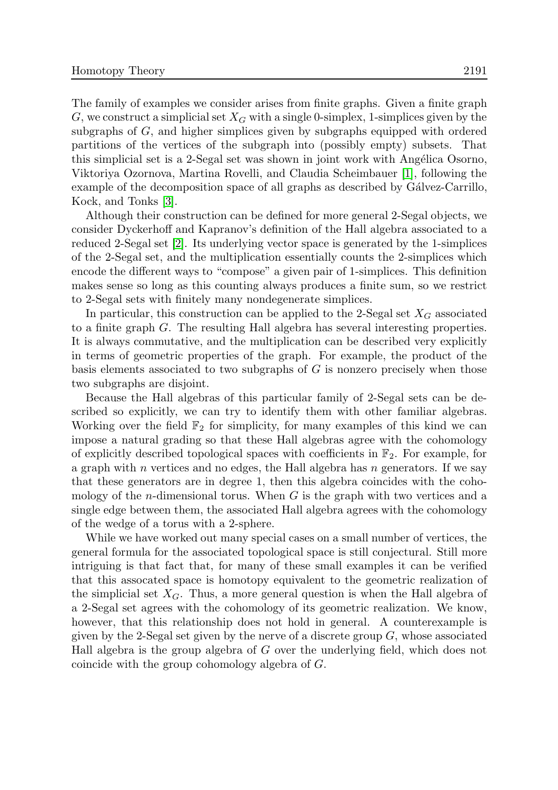The family of examples we consider arises from finite graphs. Given a finite graph G, we construct a simplicial set  $X_G$  with a single 0-simplex, 1-simplices given by the subgraphs of G, and higher simplices given by subgraphs equipped with ordered partitions of the vertices of the subgraph into (possibly empty) subsets. That this simplicial set is a 2-Segal set was shown in joint work with Angélica Osorno, Viktoriya Ozornova, Martina Rovelli, and Claudia Scheimbauer [\[1\]](#page-9-2), following the example of the decomposition space of all graphs as described by Gálvez-Carrillo, Kock, and Tonks [\[3\]](#page-9-1).

Although their construction can be defined for more general 2-Segal objects, we consider Dyckerhoff and Kapranov's definition of the Hall algebra associated to a reduced 2-Segal set [\[2\]](#page-9-0). Its underlying vector space is generated by the 1-simplices of the 2-Segal set, and the multiplication essentially counts the 2-simplices which encode the different ways to "compose" a given pair of 1-simplices. This definition makes sense so long as this counting always produces a finite sum, so we restrict to 2-Segal sets with finitely many nondegenerate simplices.

In particular, this construction can be applied to the 2-Segal set  $X_G$  associated to a finite graph G. The resulting Hall algebra has several interesting properties. It is always commutative, and the multiplication can be described very explicitly in terms of geometric properties of the graph. For example, the product of the basis elements associated to two subgraphs of  $G$  is nonzero precisely when those two subgraphs are disjoint.

Because the Hall algebras of this particular family of 2-Segal sets can be described so explicitly, we can try to identify them with other familiar algebras. Working over the field  $\mathbb{F}_2$  for simplicity, for many examples of this kind we can impose a natural grading so that these Hall algebras agree with the cohomology of explicitly described topological spaces with coefficients in  $\mathbb{F}_2$ . For example, for a graph with n vertices and no edges, the Hall algebra has  $n$  generators. If we say that these generators are in degree 1, then this algebra coincides with the cohomology of the *n*-dimensional torus. When  $G$  is the graph with two vertices and a single edge between them, the associated Hall algebra agrees with the cohomology of the wedge of a torus with a 2-sphere.

While we have worked out many special cases on a small number of vertices, the general formula for the associated topological space is still conjectural. Still more intriguing is that fact that, for many of these small examples it can be verified that this assocated space is homotopy equivalent to the geometric realization of the simplicial set  $X_G$ . Thus, a more general question is when the Hall algebra of a 2-Segal set agrees with the cohomology of its geometric realization. We know, however, that this relationship does not hold in general. A counterexample is given by the 2-Segal set given by the nerve of a discrete group  $G$ , whose associated Hall algebra is the group algebra of G over the underlying field, which does not coincide with the group cohomology algebra of G.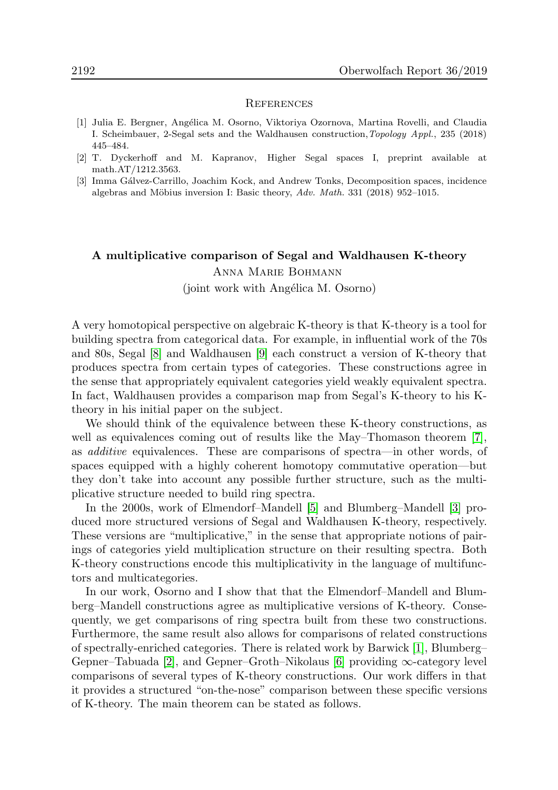### **REFERENCES**

- [1] Julia E. Bergner, Angélica M. Osorno, Viktoriya Ozornova, Martina Rovelli, and Claudia I. Scheimbauer, 2-Segal sets and the Waldhausen construction,Topology Appl., 235 (2018) 445–484.
- <span id="page-9-2"></span>[2] T. Dyckerhoff and M. Kapranov, Higher Segal spaces I, preprint available at math.AT/1212.3563.
- <span id="page-9-0"></span>[3] Imma Gálvez-Carrillo, Joachim Kock, and Andrew Tonks, Decomposition spaces, incidence algebras and Möbius inversion I: Basic theory,  $Adv$ . Math. 331 (2018) 952–1015.

# <span id="page-9-1"></span>A multiplicative comparison of Segal and Waldhausen K-theory Anna Marie Bohmann (joint work with Angélica M. Osorno)

A very homotopical perspective on algebraic K-theory is that K-theory is a tool for building spectra from categorical data. For example, in influential work of the 70s and 80s, Segal [\[8\]](#page-11-0) and Waldhausen [\[9\]](#page-11-1) each construct a version of K-theory that produces spectra from certain types of categories. These constructions agree in the sense that appropriately equivalent categories yield weakly equivalent spectra. In fact, Waldhausen provides a comparison map from Segal's K-theory to his Ktheory in his initial paper on the subject.

We should think of the equivalence between these K-theory constructions, as well as equivalences coming out of results like the May–Thomason theorem [\[7\]](#page-11-2), as additive equivalences. These are comparisons of spectra—in other words, of spaces equipped with a highly coherent homotopy commutative operation—but they don't take into account any possible further structure, such as the multiplicative structure needed to build ring spectra.

In the 2000s, work of Elmendorf–Mandell [\[5\]](#page-11-3) and Blumberg–Mandell [\[3\]](#page-11-4) produced more structured versions of Segal and Waldhausen K-theory, respectively. These versions are "multiplicative," in the sense that appropriate notions of pairings of categories yield multiplication structure on their resulting spectra. Both K-theory constructions encode this multiplicativity in the language of multifunctors and multicategories.

<span id="page-9-3"></span>In our work, Osorno and I show that that the Elmendorf–Mandell and Blumberg–Mandell constructions agree as multiplicative versions of K-theory. Consequently, we get comparisons of ring spectra built from these two constructions. Furthermore, the same result also allows for comparisons of related constructions of spectrally-enriched categories. There is related work by Barwick [\[1\]](#page-11-5), Blumberg– Gepner–Tabuada [\[2\]](#page-11-6), and Gepner–Groth–Nikolaus [\[6\]](#page-11-7) providing  $\infty$ -category level comparisons of several types of K-theory constructions. Our work differs in that it provides a structured "on-the-nose" comparison between these specific versions of K-theory. The main theorem can be stated as follows.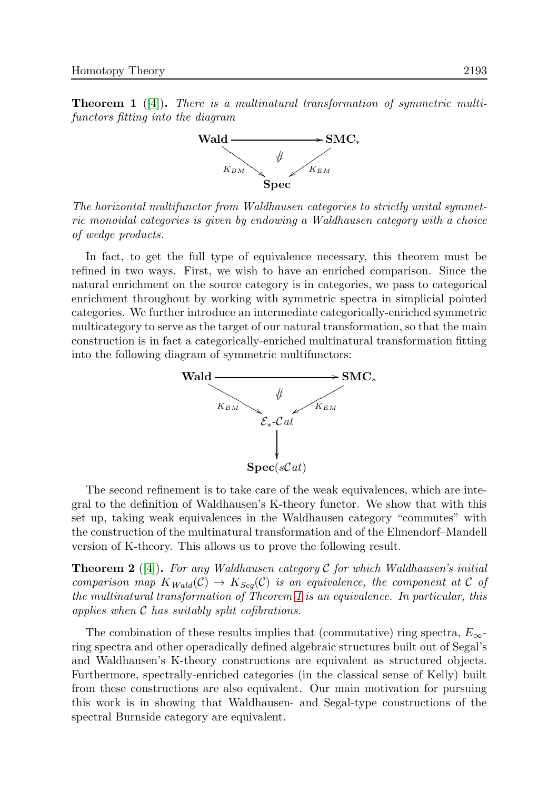**Theorem 1** ([\[4\]](#page-11-8)). There is a multinatural transformation of symmetric multifunctors fitting into the diagram



The horizontal multifunctor from Waldhausen categories to strictly unital symmetric monoidal categories is given by endowing a Waldhausen category with a choice of wedge products.

In fact, to get the full type of equivalence necessary, this theorem must be refined in two ways. First, we wish to have an enriched comparison. Since the natural enrichment on the source category is in categories, we pass to categorical enrichment throughout by working with symmetric spectra in simplicial pointed categories. We further introduce an intermediate categorically-enriched symmetric multicategory to serve as the target of our natural transformation, so that the main construction is in fact a categorically-enriched multinatural transformation fitting into the following diagram of symmetric multifunctors:



The second refinement is to take care of the weak equivalences, which are integral to the definition of Waldhausen's K-theory functor. We show that with this set up, taking weak equivalences in the Waldhausen category "commutes" with the construction of the multinatural transformation and of the Elmendorf–Mandell version of K-theory. This allows us to prove the following result.

**Theorem 2** ([\[4\]](#page-11-8)). For any Waldhausen category C for which Waldhausen's initial comparison map  $K_{Wald}(\mathcal{C}) \to K_{Seq}(\mathcal{C})$  is an equivalence, the component at  $\mathcal C$  of the multinatural transformation of Theorem [1](#page-9-3) is an equivalence. In particular, this applies when  $C$  has suitably split cofibrations.

The combination of these results implies that (commutative) ring spectra,  $E_{\infty}$ ring spectra and other operadically defined algebraic structures built out of Segal's and Waldhausen's K-theory constructions are equivalent as structured objects. Furthermore, spectrally-enriched categories (in the classical sense of Kelly) built from these constructions are also equivalent. Our main motivation for pursuing this work is in showing that Waldhausen- and Segal-type constructions of the spectral Burnside category are equivalent.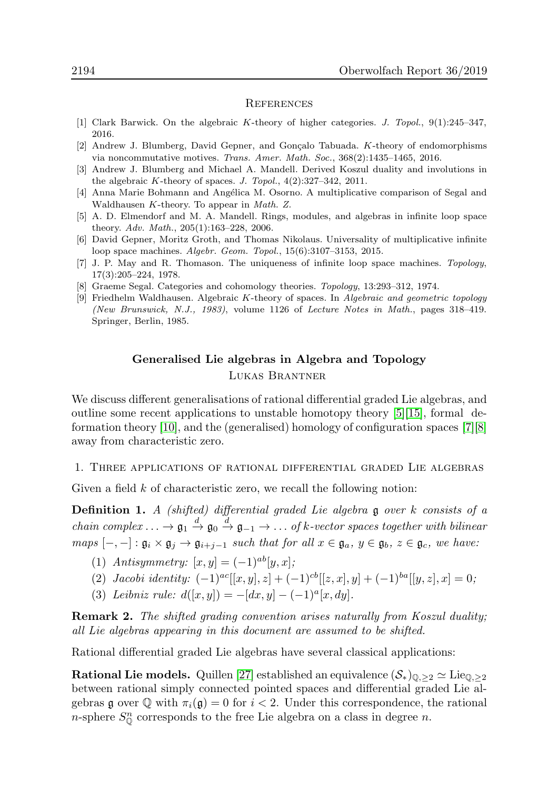### **REFERENCES**

- [1] Clark Barwick. On the algebraic K-theory of higher categories. J. Topol., 9(1):245–347, 2016.
- [2] Andrew J. Blumberg, David Gepner, and Gonçalo Tabuada. K-theory of endomorphisms via noncommutative motives. Trans. Amer. Math. Soc., 368(2):1435–1465, 2016.
- <span id="page-11-5"></span>[3] Andrew J. Blumberg and Michael A. Mandell. Derived Koszul duality and involutions in the algebraic K-theory of spaces. J. Topol., 4(2):327–342, 2011.
- <span id="page-11-6"></span>[4] Anna Marie Bohmann and Angélica M. Osorno. A multiplicative comparison of Segal and Waldhausen K-theory. To appear in Math. Z.
- <span id="page-11-8"></span><span id="page-11-4"></span>[5] A. D. Elmendorf and M. A. Mandell. Rings, modules, and algebras in infinite loop space theory. Adv. Math., 205(1):163–228, 2006.
- <span id="page-11-3"></span>[6] David Gepner, Moritz Groth, and Thomas Nikolaus. Universality of multiplicative infinite loop space machines. Algebr. Geom. Topol., 15(6):3107–3153, 2015.
- <span id="page-11-7"></span>[7] J. P. May and R. Thomason. The uniqueness of infinite loop space machines. Topology, 17(3):205–224, 1978.
- <span id="page-11-2"></span>[8] Graeme Segal. Categories and cohomology theories. Topology, 13:293–312, 1974.
- <span id="page-11-1"></span><span id="page-11-0"></span>[9] Friedhelm Waldhausen. Algebraic K-theory of spaces. In Algebraic and geometric topology (New Brunswick, N.J., 1983), volume 1126 of Lecture Notes in Math., pages 318–419. Springer, Berlin, 1985.

## Generalised Lie algebras in Algebra and Topology Lukas Brantner

We discuss different generalisations of rational differential graded Lie algebras, and outline some recent applications to unstable homotopy theory [\[5\]](#page-15-0)[\[15\]](#page-16-0), formal deformation theory [\[10\]](#page-15-1), and the (generalised) homology of configuration spaces [\[7\]](#page-15-2)[\[8\]](#page-15-3) away from characteristic zero.

<span id="page-11-9"></span>1. Three applications of rational differential graded Lie algebras

Given a field  $k$  of characteristic zero, we recall the following notion:

**Definition 1.** A (shifted) differential graded Lie algebra g over k consists of a chain complex  $\ldots \to \mathfrak{g}_1 \stackrel{d}{\to} \mathfrak{g}_0 \stackrel{d}{\to} \mathfrak{g}_{-1} \to \ldots$  of k-vector spaces together with bilinear maps  $[-,-]: \mathfrak{g}_i \times \mathfrak{g}_j \to \mathfrak{g}_{i+j-1}$  such that for all  $x \in \mathfrak{g}_a, y \in \mathfrak{g}_b, z \in \mathfrak{g}_c$ , we have:

(1) Antisymmetry:  $[x, y] = (-1)^{ab} [y, x]$ ;

- (2) *Jacobi identity:*  $(-1)^{ac}[[x, y], z] + (-1)^{cb}[[z, x], y] + (-1)^{ba}[[y, z], x] = 0;$
- (3) Leibniz rule:  $d([x, y]) = -[dx, y] (-1)^a [x, dy].$

Remark 2. The shifted grading convention arises naturally from Koszul duality; all Lie algebras appearing in this document are assumed to be shifted.

Rational differential graded Lie algebras have several classical applications:

**Rational Lie models.** Quillen [\[27\]](#page-16-1) established an equivalence  $(S_*)_{0,>2} \simeq \text{Lie}_{0,>2}$ between rational simply connected pointed spaces and differential graded Lie algebras g over  $\mathbb Q$  with  $\pi_i(\mathfrak g) = 0$  for  $i < 2$ . Under this correspondence, the rational *n*-sphere  $S^n_{\mathbb{Q}}$  corresponds to the free Lie algebra on a class in degree *n*.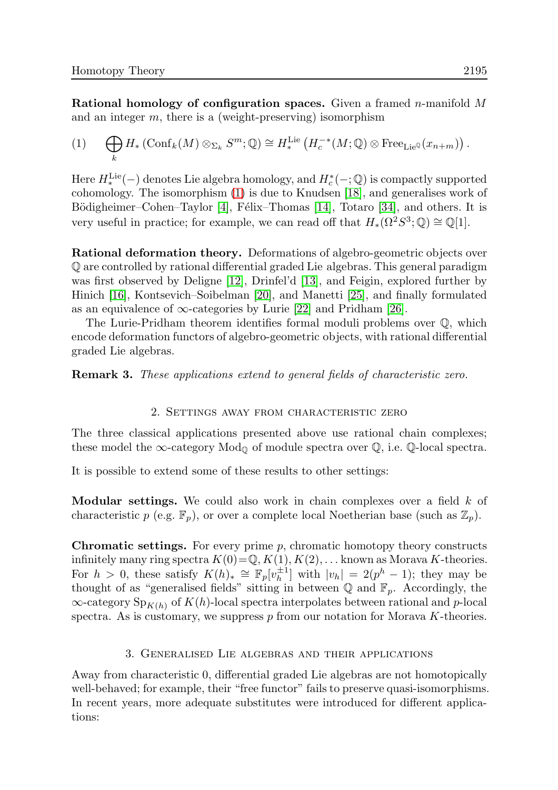Rational homology of configuration spaces. Given a framed *n*-manifold  $M$ and an integer  $m$ , there is a (weight-preserving) isomorphism

<span id="page-12-0"></span>(1) 
$$
\bigoplus_k H_*\left(\mathrm{Conf}_k(M) \otimes_{\Sigma_k} S^m; \mathbb{Q}\right) \cong H_*^{\mathrm{Lie}}\left(H_c^{-*}(M; \mathbb{Q}) \otimes \mathrm{Free}_{\mathrm{Lie}^{\mathbb{Q}}}(x_{n+m})\right).
$$

Here  $H^{\text{Lie}}_*(-)$  denotes Lie algebra homology, and  $H^*_c(-;\mathbb{Q})$  is compactly supported cohomology. The isomorphism [\(1\)](#page-12-0) is due to Knudsen [\[18\]](#page-16-2), and generalises work of Bödigheimer–Cohen–Taylor [\[4\]](#page-15-4), Félix–Thomas [\[14\]](#page-16-3), Totaro [\[34\]](#page-16-4), and others. It is very useful in practice; for example, we can read off that  $H_*(\Omega^2 S^3; \mathbb{Q}) \cong \mathbb{Q}[1]$ .

Rational deformation theory. Deformations of algebro-geometric objects over Q are controlled by rational differential graded Lie algebras. This general paradigm was first observed by Deligne [\[12\]](#page-16-5), Drinfel'd [\[13\]](#page-16-6), and Feigin, explored further by Hinich [\[16\]](#page-16-7), Kontsevich–Soibelman [\[20\]](#page-16-8), and Manetti [\[25\]](#page-16-9), and finally formulated as an equivalence of  $\infty$ -categories by Lurie [\[22\]](#page-16-10) and Pridham [\[26\]](#page-16-11).

The Lurie-Pridham theorem identifies formal moduli problems over Q, which encode deformation functors of algebro-geometric objects, with rational differential graded Lie algebras.

Remark 3. These applications extend to general fields of characteristic zero.

# 2. Settings away from characteristic zero

The three classical applications presented above use rational chain complexes; these model the  $\infty$ -category Mod<sub>0</sub> of module spectra over  $\mathbb{Q}$ , i.e.  $\mathbb{Q}$ -local spectra.

It is possible to extend some of these results to other settings:

**Modular settings.** We could also work in chain complexes over a field  $k$  of characteristic p (e.g.  $\mathbb{F}_p$ ), or over a complete local Noetherian base (such as  $\mathbb{Z}_p$ ).

**Chromatic settings.** For every prime  $p$ , chromatic homotopy theory constructs infinitely many ring spectra  $K(0) = \mathbb{Q}, K(1), K(2), \ldots$  known as Morava K-theories. For  $h > 0$ , these satisfy  $K(h)_* \cong \mathbb{F}_p[v_h^{\pm 1}]$  $\frac{\pm 1}{h}$ ] with  $|v_h| = 2(p^h - 1)$ ; they may be thought of as "generalised fields" sitting in between  $\mathbb Q$  and  $\mathbb F_p$ . Accordingly, the  $\infty$ -category  $Sp_{K(h)}$  of  $K(h)$ -local spectra interpolates between rational and p-local spectra. As is customary, we suppress  $p$  from our notation for Morava  $K$ -theories.

### 3. Generalised Lie algebras and their applications

Away from characteristic 0, differential graded Lie algebras are not homotopically well-behaved; for example, their "free functor" fails to preserve quasi-isomorphisms. In recent years, more adequate substitutes were introduced for different applications: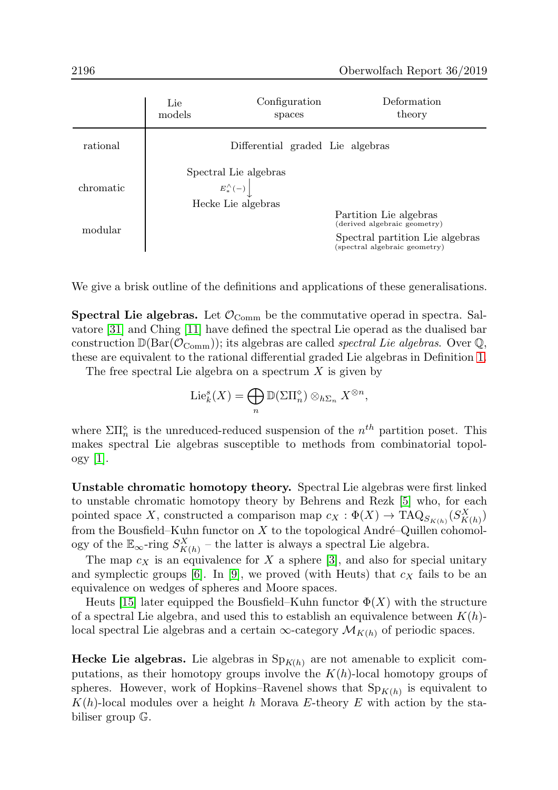|           | Lie<br>models | Configuration<br>spaces                                          | Deformation<br>theory                                                                                                      |
|-----------|---------------|------------------------------------------------------------------|----------------------------------------------------------------------------------------------------------------------------|
| rational  |               | Differential graded Lie algebras                                 |                                                                                                                            |
| chromatic |               | Spectral Lie algebras<br>$E_*^{\wedge}(-)$<br>Hecke Lie algebras |                                                                                                                            |
| modular   |               |                                                                  | Partition Lie algebras<br>(derived algebraic geometry)<br>Spectral partition Lie algebras<br>(spectral algebraic geometry) |

We give a brisk outline of the definitions and applications of these generalisations.

**Spectral Lie algebras.** Let  $\mathcal{O}_{\text{Comm}}$  be the commutative operad in spectra. Salvatore [\[31\]](#page-16-12) and Ching [\[11\]](#page-16-13) have defined the spectral Lie operad as the dualised bar construction  $\mathbb{D}(\text{Bar}(\mathcal{O}_{\text{Comm}}));$  its algebras are called spectral Lie algebras. Over  $\mathbb{Q},$ these are equivalent to the rational differential graded Lie algebras in Definition [1.](#page-11-9)

The free spectral Lie algebra on a spectrum  $X$  is given by

$$
\mathrm{Lie}_k^s(X)=\bigoplus_n\mathbb{D}(\Sigma\Pi_n^\diamond)\otimes_{h\Sigma_n}X^{\otimes n},
$$

where  $\Sigma\Pi_n^{\diamond}$  is the unreduced-reduced suspension of the  $n^{th}$  partition poset. This makes spectral Lie algebras susceptible to methods from combinatorial topol- $\log y$  [\[1\]](#page-15-5).

Unstable chromatic homotopy theory. Spectral Lie algebras were first linked to unstable chromatic homotopy theory by Behrens and Rezk [\[5\]](#page-15-0) who, for each pointed space X, constructed a comparison map  $c_X : \Phi(X) \to \text{TAQ}_{S_{K(h)}}(S_K^X)$  $K(K)$ from the Bousfield–Kuhn functor on  $X$  to the topological André–Quillen cohomology of the  $\mathbb{E}_{\infty}$ -ring  $S_K^X$  $K(K)(h)$  – the latter is always a spectral Lie algebra.

The map  $c_X$  is an equivalence for X a sphere [\[3\]](#page-15-6), and also for special unitary and symplectic groups [\[6\]](#page-15-7). In [\[9\]](#page-15-8), we proved (with Heuts) that  $c<sub>X</sub>$  fails to be an equivalence on wedges of spheres and Moore spaces.

Heuts [\[15\]](#page-16-0) later equipped the Bousfield–Kuhn functor  $\Phi(X)$  with the structure of a spectral Lie algebra, and used this to establish an equivalence between  $K(h)$ local spectral Lie algebras and a certain  $\infty$ -category  $\mathcal{M}_{K(h)}$  of periodic spaces.

**Hecke Lie algebras.** Lie algebras in  $Sp_{K(h)}$  are not amenable to explicit computations, as their homotopy groups involve the  $K(h)$ -local homotopy groups of spheres. However, work of Hopkins–Ravenel shows that  $Sp_{K(h)}$  is equivalent to  $K(h)$ -local modules over a height h Morava E-theory E with action by the stabiliser group G.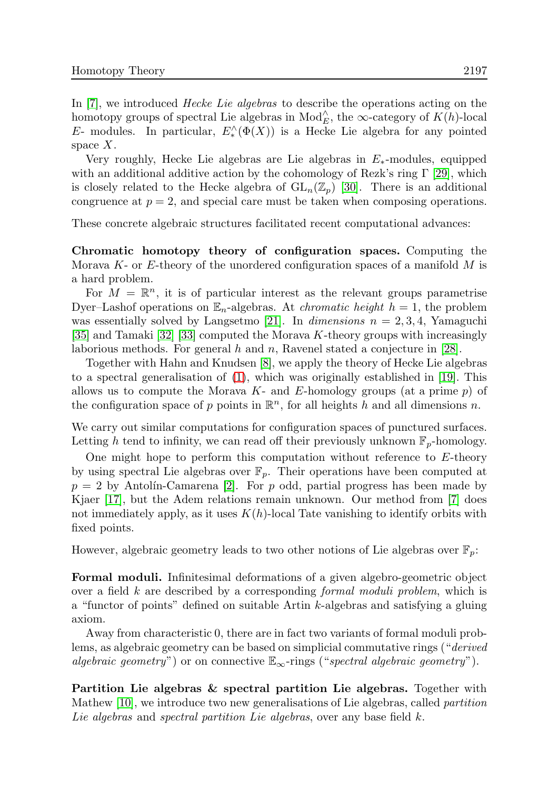In [\[7\]](#page-15-2), we introduced *Hecke Lie algebras* to describe the operations acting on the homotopy groups of spectral Lie algebras in  $\text{Mod}_E^{\wedge}$ , the  $\infty$ -category of  $K(h)$ -local E- modules. In particular,  $E^{\wedge}_*(\Phi(X))$  is a Hecke Lie algebra for any pointed space  $X$ .

Very roughly, Hecke Lie algebras are Lie algebras in  $E_*$ -modules, equipped with an additional additive action by the cohomology of Rezk's ring  $\Gamma$  [\[29\]](#page-16-14), which is closely related to the Hecke algebra of  $GL_n(\mathbb{Z}_p)$  [\[30\]](#page-16-15). There is an additional congruence at  $p = 2$ , and special care must be taken when composing operations.

These concrete algebraic structures facilitated recent computational advances:

Chromatic homotopy theory of configuration spaces. Computing the Morava  $K$ - or E-theory of the unordered configuration spaces of a manifold  $M$  is a hard problem.

For  $M = \mathbb{R}^n$ , it is of particular interest as the relevant groups parametrise Dyer–Lashof operations on  $\mathbb{E}_n$ -algebras. At *chromatic height*  $h = 1$ , the problem was essentially solved by Langsetmo [\[21\]](#page-16-16). In dimensions  $n = 2, 3, 4$ , Yamaguchi [\[35\]](#page-16-17) and Tamaki [\[32\]](#page-16-18) [\[33\]](#page-16-19) computed the Morava K-theory groups with increasingly laborious methods. For general  $h$  and  $n$ , Ravenel stated a conjecture in [\[28\]](#page-16-20).

Together with Hahn and Knudsen [\[8\]](#page-15-3), we apply the theory of Hecke Lie algebras to a spectral generalisation of [\(1\)](#page-12-0), which was originally established in [\[19\]](#page-16-21). This allows us to compute the Morava  $K$ - and  $E$ -homology groups (at a prime p) of the configuration space of p points in  $\mathbb{R}^n$ , for all heights h and all dimensions n.

We carry out similar computations for configuration spaces of punctured surfaces. Letting h tend to infinity, we can read off their previously unknown  $\mathbb{F}_p$ -homology.

One might hope to perform this computation without reference to E-theory by using spectral Lie algebras over  $\mathbb{F}_p$ . Their operations have been computed at  $p = 2$  by Antolín-Camarena [\[2\]](#page-15-9). For p odd, partial progress has been made by Kjaer [\[17\]](#page-16-22), but the Adem relations remain unknown. Our method from [\[7\]](#page-15-2) does not immediately apply, as it uses  $K(h)$ -local Tate vanishing to identify orbits with fixed points.

However, algebraic geometry leads to two other notions of Lie algebras over  $\mathbb{F}_p$ .

Formal moduli. Infinitesimal deformations of a given algebro-geometric object over a field k are described by a corresponding formal moduli problem, which is a "functor of points" defined on suitable Artin k-algebras and satisfying a gluing axiom.

Away from characteristic 0, there are in fact two variants of formal moduli problems, as algebraic geometry can be based on simplicial commutative rings ("derived algebraic geometry") or on connective  $\mathbb{E}_{\infty}$ -rings ("spectral algebraic geometry").

Partition Lie algebras & spectral partition Lie algebras. Together with Mathew [\[10\]](#page-15-1), we introduce two new generalisations of Lie algebras, called partition Lie algebras and spectral partition Lie algebras, over any base field  $k$ .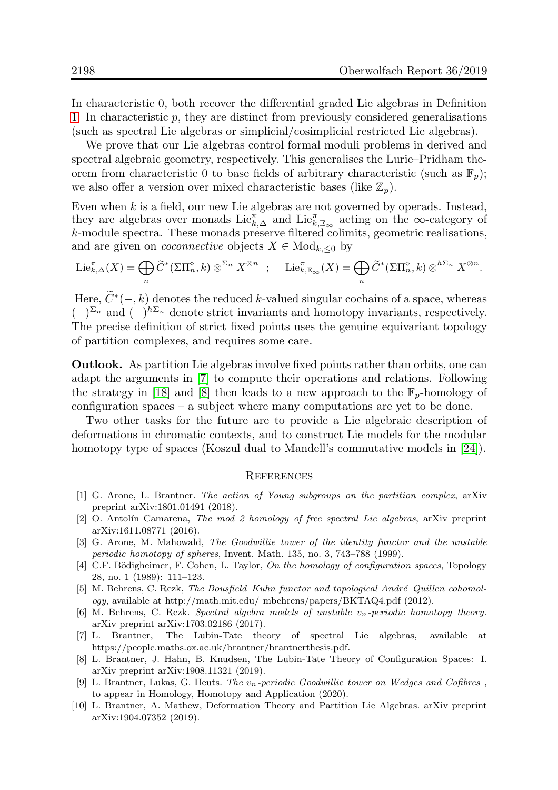In characteristic 0, both recover the differential graded Lie algebras in Definition [1.](#page-11-9) In characteristic p, they are distinct from previously considered generalisations (such as spectral Lie algebras or simplicial/cosimplicial restricted Lie algebras).

We prove that our Lie algebras control formal moduli problems in derived and spectral algebraic geometry, respectively. This generalises the Lurie–Pridham theorem from characteristic 0 to base fields of arbitrary characteristic (such as  $\mathbb{F}_p$ ); we also offer a version over mixed characteristic bases (like  $\mathbb{Z}_p$ ).

Even when  $k$  is a field, our new Lie algebras are not governed by operads. Instead, they are algebras over monads  $\text{Lie}_{k,\Delta}^{\pi}$  and  $\text{Lie}_{k,\mathbb{E}_{\infty}}^{\pi}$  acting on the  $\infty$ -category of k-module spectra. These monads preserve filtered colimits, geometric realisations, and are given on *coconnective* objects  $X \in Mod_{k, \leq 0}$  by

$$
\mathrm{Lie}_{k,\Delta}^{\pi}(X) = \bigoplus_{n} \widetilde{C}^{*}(\Sigma\Pi_{n}^{\diamond}, k) \otimes^{\Sigma_{n}} X^{\otimes n} \; ; \quad \mathrm{Lie}_{k,\mathbb{E}_{\infty}}^{\pi}(X) = \bigoplus_{n} \widetilde{C}^{*}(\Sigma\Pi_{n}^{\diamond}, k) \otimes^{h\Sigma_{n}} X^{\otimes n}.
$$

Here,  $\widetilde{C}^*(-,k)$  denotes the reduced k-valued singular cochains of a space, whereas  $(-)^{\Sigma_n}$  and  $(-)^{h\Sigma_n}$  denote strict invariants and homotopy invariants, respectively. The precise definition of strict fixed points uses the genuine equivariant topology of partition complexes, and requires some care.

Outlook. As partition Lie algebras involve fixed points rather than orbits, one can adapt the arguments in [\[7\]](#page-15-2) to compute their operations and relations. Following the strategy in [\[18\]](#page-16-2) and [\[8\]](#page-15-3) then leads to a new approach to the  $\mathbb{F}_p$ -homology of configuration spaces – a subject where many computations are yet to be done.

Two other tasks for the future are to provide a Lie algebraic description of deformations in chromatic contexts, and to construct Lie models for the modular homotopy type of spaces (Koszul dual to Mandell's commutative models in [\[24\]](#page-16-23)).

#### **REFERENCES**

- <span id="page-15-9"></span><span id="page-15-6"></span><span id="page-15-5"></span>[1] G. Arone, L. Brantner. The action of Young subgroups on the partition complex, arXiv preprint arXiv:1801.01491 (2018).
- <span id="page-15-4"></span>[2] O. Antolín Camarena, The mod 2 homology of free spectral Lie algebras, arXiv preprint arXiv:1611.08771 (2016).
- <span id="page-15-0"></span>[3] G. Arone, M. Mahowald, The Goodwillie tower of the identity functor and the unstable periodic homotopy of spheres, Invent. Math. 135, no. 3, 743–788 (1999).
- <span id="page-15-7"></span>[4] C.F. Bödigheimer, F. Cohen, L. Taylor, On the homology of configuration spaces, Topology 28, no. 1 (1989): 111–123.
- <span id="page-15-3"></span><span id="page-15-2"></span>[5] M. Behrens, C. Rezk, The Bousfield–Kuhn functor and topological André–Quillen cohomology, available at http://math.mit.edu/ mbehrens/papers/BKTAQ4.pdf (2012).
- <span id="page-15-8"></span>[6] M. Behrens, C. Rezk. Spectral algebra models of unstable  $v_n$ -periodic homotopy theory. arXiv preprint arXiv:1703.02186 (2017).
- <span id="page-15-1"></span>[7] L. Brantner, The Lubin-Tate theory of spectral Lie algebras, available at https://people.maths.ox.ac.uk/brantner/brantnerthesis.pdf.
- [8] L. Brantner, J. Hahn, B. Knudsen, The Lubin-Tate Theory of Configuration Spaces: I. arXiv preprint arXiv:1908.11321 (2019).
- [9] L. Brantner, Lukas, G. Heuts. The  $v_n$ -periodic Goodwillie tower on Wedges and Cofibres, to appear in Homology, Homotopy and Application (2020).
- [10] L. Brantner, A. Mathew, Deformation Theory and Partition Lie Algebras. arXiv preprint arXiv:1904.07352 (2019).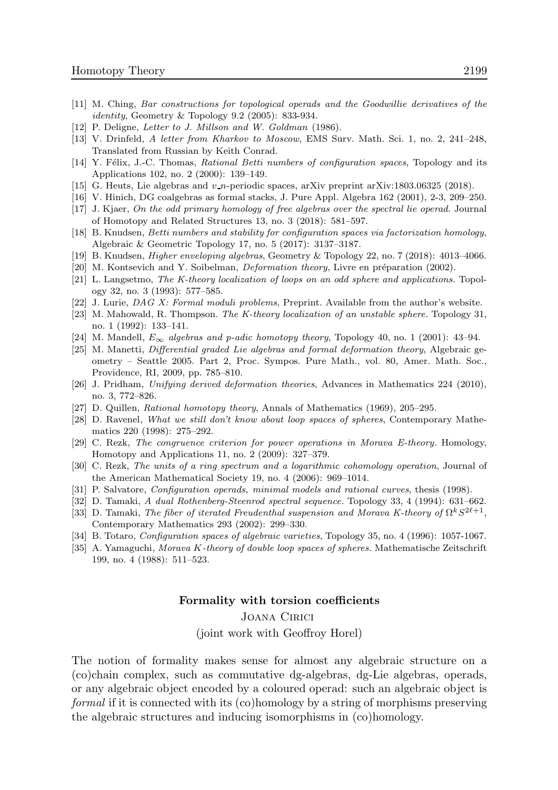- [11] M. Ching, Bar constructions for topological operads and the Goodwillie derivatives of the identity, Geometry & Topology 9.2 (2005): 833-934.
- [12] P. Deligne, Letter to J. Millson and W. Goldman (1986).
- <span id="page-16-13"></span>[13] V. Drinfeld, A letter from Kharkov to Moscow, EMS Surv. Math. Sci. 1, no. 2, 241–248, Translated from Russian by Keith Conrad.
- <span id="page-16-5"></span>[14] Y. Félix, J.-C. Thomas, Rational Betti numbers of configuration spaces, Topology and its Applications 102, no. 2 (2000): 139–149.
- <span id="page-16-6"></span>[15] G. Heuts, Lie algebras and  $v$ -*n*-periodic spaces, arXiv preprint arXiv:1803.06325 (2018).
- <span id="page-16-3"></span>[16] V. Hinich, DG coalgebras as formal stacks, J. Pure Appl. Algebra 162 (2001), 2-3, 209–250.
- <span id="page-16-0"></span>[17] J. Kjaer, On the odd primary homology of free algebras over the spectral lie operad. Journal of Homotopy and Related Structures 13, no. 3 (2018): 581–597.
- <span id="page-16-22"></span><span id="page-16-7"></span>[18] B. Knudsen, Betti numbers and stability for configuration spaces via factorization homology, Algebraic & Geometric Topology 17, no. 5 (2017): 3137–3187.
- <span id="page-16-2"></span>[19] B. Knudsen, Higher enveloping algebras, Geometry & Topology 22, no. 7 (2018): 4013–4066.
- <span id="page-16-21"></span>[20] M. Kontsevich and Y. Soibelman, *Deformation theory*, Livre en préparation (2002).
- <span id="page-16-8"></span>[21] L. Langsetmo, The K-theory localization of loops on an odd sphere and applications. Topology 32, no. 3 (1993): 577–585.
- <span id="page-16-16"></span>[22] J. Lurie, DAG X: Formal moduli problems, Preprint. Available from the author's website.
- <span id="page-16-10"></span>[23] M. Mahowald, R. Thompson. The K-theory localization of an unstable sphere. Topology 31, no. 1 (1992): 133–141.
- <span id="page-16-23"></span>[24] M. Mandell,  $E_{\infty}$  algebras and p-adic homotopy theory, Topology 40, no. 1 (2001): 43–94.
- <span id="page-16-9"></span>[25] M. Manetti, Differential graded Lie algebras and formal deformation theory, Algebraic geometry – Seattle 2005. Part 2, Proc. Sympos. Pure Math., vol. 80, Amer. Math. Soc., Providence, RI, 2009, pp. 785–810.
- <span id="page-16-11"></span><span id="page-16-1"></span>[26] J. Pridham, Unifying derived deformation theories, Advances in Mathematics 224 (2010), no. 3, 772–826.
- <span id="page-16-20"></span>[27] D. Quillen, Rational homotopy theory, Annals of Mathematics (1969), 205–295.
- <span id="page-16-14"></span>[28] D. Ravenel, What we still don't know about loop spaces of spheres, Contemporary Mathematics 220 (1998): 275–292.
- <span id="page-16-15"></span>[29] C. Rezk, The congruence criterion for power operations in Morava E-theory. Homology, Homotopy and Applications 11, no. 2 (2009): 327–379.
- <span id="page-16-18"></span><span id="page-16-12"></span>[30] C. Rezk, The units of a ring spectrum and a logarithmic cohomology operation, Journal of the American Mathematical Society 19, no. 4 (2006): 969–1014.
- <span id="page-16-19"></span>[31] P. Salvatore, Configuration operads, minimal models and rational curves, thesis (1998).
- <span id="page-16-4"></span>[32] D. Tamaki, A dual Rothenberg-Steenrod spectral sequence. Topology 33, 4 (1994): 631–662.
- <span id="page-16-17"></span>[33] D. Tamaki, The fiber of iterated Freudenthal suspension and Morava K-theory of  $\Omega^k S^{2\ell+1}$ , Contemporary Mathematics 293 (2002): 299–330.
- [34] B. Totaro, Configuration spaces of algebraic varieties, Topology 35, no. 4 (1996): 1057-1067.
- [35] A. Yamaguchi, Morava K-theory of double loop spaces of spheres. Mathematische Zeitschrift 199, no. 4 (1988): 511–523.

### Formality with torsion coefficients

Joana Cirici

(joint work with Geoffroy Horel)

The notion of formality makes sense for almost any algebraic structure on a (co)chain complex, such as commutative dg-algebras, dg-Lie algebras, operads, or any algebraic object encoded by a coloured operad: such an algebraic object is formal if it is connected with its (co)homology by a string of morphisms preserving the algebraic structures and inducing isomorphisms in (co)homology.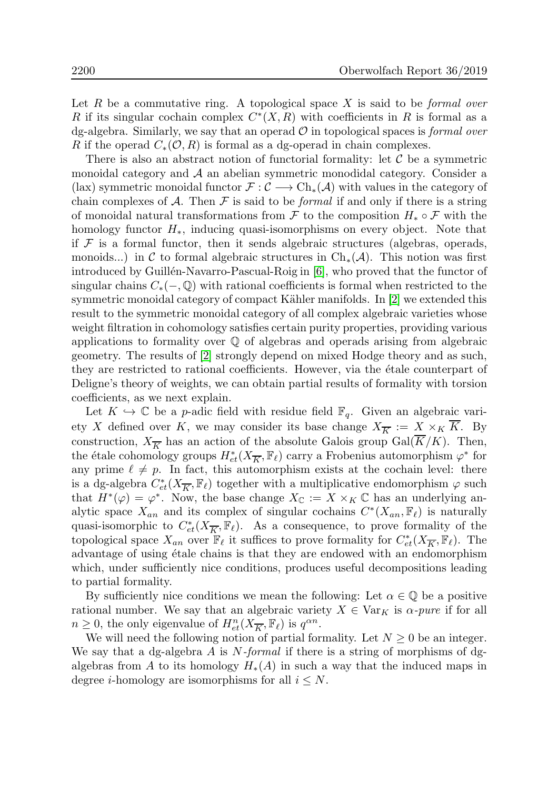Let R be a commutative ring. A topological space X is said to be *formal over* R if its singular cochain complex  $C^*(X, R)$  with coefficients in R is formal as a dg-algebra. Similarly, we say that an operad  $\mathcal O$  in topological spaces is *formal over* R if the operad  $C_*(\mathcal{O}, R)$  is formal as a dg-operad in chain complexes.

There is also an abstract notion of functorial formality: let  $\mathcal C$  be a symmetric monoidal category and  $A$  an abelian symmetric monodidal category. Consider a (lax) symmetric monoidal functor  $\mathcal{F} : \mathcal{C} \longrightarrow \mathrm{Ch}_*(\mathcal{A})$  with values in the category of chain complexes of A. Then  $\mathcal F$  is said to be *formal* if and only if there is a string of monoidal natural transformations from F to the composition  $H_* \circ \mathcal{F}$  with the homology functor  $H_*$ , inducing quasi-isomorphisms on every object. Note that if  $\mathcal F$  is a formal functor, then it sends algebraic structures (algebras, operads, monoids...) in C to formal algebraic structures in  $Ch_*(A)$ . This notion was first introduced by Guillén-Navarro-Pascual-Roig in [\[6\]](#page-19-0), who proved that the functor of singular chains  $C_*(-,\mathbb{Q})$  with rational coefficients is formal when restricted to the symmetric monoidal category of compact Kähler manifolds. In [\[2\]](#page-18-0) we extended this result to the symmetric monoidal category of all complex algebraic varieties whose weight filtration in cohomology satisfies certain purity properties, providing various applications to formality over Q of algebras and operads arising from algebraic geometry. The results of [\[2\]](#page-18-0) strongly depend on mixed Hodge theory and as such, they are restricted to rational coefficients. However, via the étale counterpart of Deligne's theory of weights, we can obtain partial results of formality with torsion coefficients, as we next explain.

Let  $K \hookrightarrow \mathbb{C}$  be a *p*-adic field with residue field  $\mathbb{F}_q$ . Given an algebraic variety X defined over K, we may consider its base change  $X_{\overline{K}} := X \times_K \overline{K}$ . By construction,  $X_{\overline{K}}$  has an action of the absolute Galois group  $Gal(\overline{K}/K)$ . Then, the étale cohomology groups  $H_{et}^*(X_{\overline{K}}, \mathbb{F}_\ell)$  carry a Frobenius automorphism  $\varphi^*$  for any prime  $\ell \neq p$ . In fact, this automorphism exists at the cochain level: there is a dg-algebra  $C_{et}^*(X_{\overline{K}}, \mathbb{F}_\ell)$  together with a multiplicative endomorphism  $\varphi$  such that  $H^*(\varphi) = \varphi^*$ . Now, the base change  $X_{\mathbb{C}} := X \times_K \mathbb{C}$  has an underlying analytic space  $X_{an}$  and its complex of singular cochains  $C^*(X_{an}, \mathbb{F}_\ell)$  is naturally quasi-isomorphic to  $C_{et}^*(X_{\overline{K}}, \mathbb{F}_\ell)$ . As a consequence, to prove formality of the topological space  $X_{an}$  over  $\mathbb{F}_{\ell}$  it suffices to prove formality for  $C_{et}^*(X_{\overline{K}}, \mathbb{F}_{\ell})$ . The advantage of using étale chains is that they are endowed with an endomorphism which, under sufficiently nice conditions, produces useful decompositions leading to partial formality.

By sufficiently nice conditions we mean the following: Let  $\alpha \in \mathbb{Q}$  be a positive rational number. We say that an algebraic variety  $X \in \text{Var}_K$  is  $\alpha$ -pure if for all  $n \geq 0$ , the only eigenvalue of  $H^n_{et}(X_{\overline{K}}, \mathbb{F}_\ell)$  is  $q^{\alpha n}$ .

We will need the following notion of partial formality. Let  $N \geq 0$  be an integer. We say that a dg-algebra A is N-formal if there is a string of morphisms of dgalgebras from A to its homology  $H_*(A)$  in such a way that the induced maps in degree *i*-homology are isomorphisms for all  $i \leq N$ .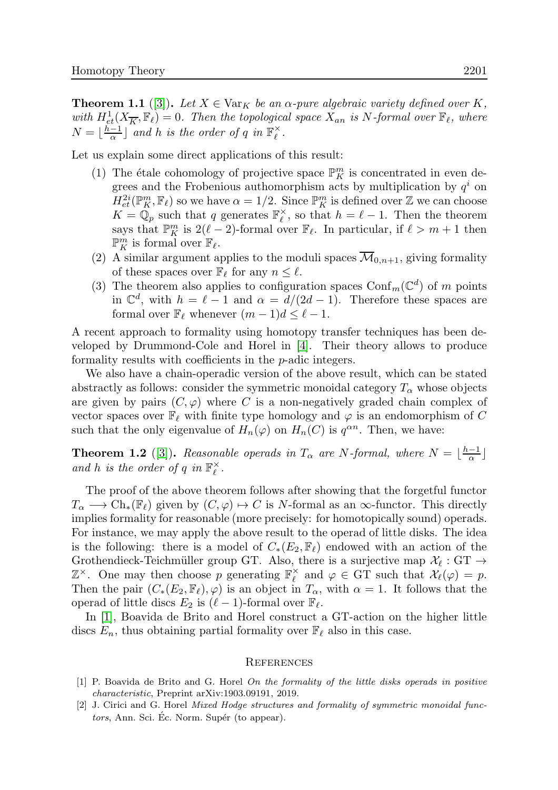**Theorem 1.1** ([\[3\]](#page-19-1)). Let  $X \in \text{Var}_K$  be an  $\alpha$ -pure algebraic variety defined over K, with  $H^1_{et}(X_{\overline{K}}, \mathbb{F}_\ell) = 0$ . Then the topological space  $X_{an}$  is N-formal over  $\mathbb{F}_\ell$ , where  $N = \lfloor \frac{h-1}{\alpha} \rfloor$  $\frac{-1}{\alpha}$ ] and h is the order of q in  $\mathbb{F}_\ell^\times$  $_{\ell}^{\times}$  .

Let us explain some direct applications of this result:

- (1) The étale cohomology of projective space  $\mathbb{P}^m_K$  is concentrated in even degrees and the Frobenious authomorphism acts by multiplication by  $q<sup>i</sup>$  on  $H^{2i}_{et}(\mathbb{P}^m_K, \mathbb{F}_\ell)$  so we have  $\alpha = 1/2$ . Since  $\mathbb{P}^m_K$  is defined over  $\mathbb Z$  we can choose  $K = \overline{\mathbb{Q}}_p$  such that q generates  $\mathbb{F}_\ell^\times$  $\ell$ , so that  $h = \ell - 1$ . Then the theorem says that  $\mathbb{P}_K^m$  is  $2(\ell-2)$ -formal over  $\mathbb{F}_{\ell}$ . In particular, if  $\ell > m+1$  then  $\mathbb{P}^m_K$  is formal over  $\mathbb{F}_{\ell}$ .
- (2) A similar argument applies to the moduli spaces  $\overline{\mathcal{M}}_{0,n+1}$ , giving formality of these spaces over  $\mathbb{F}_{\ell}$  for any  $n \leq \ell$ .
- (3) The theorem also applies to configuration spaces  $\text{Conf}_m(\mathbb{C}^d)$  of m points in  $\mathbb{C}^d$ , with  $h = \ell - 1$  and  $\alpha = d/(2d - 1)$ . Therefore these spaces are formal over  $\mathbb{F}_{\ell}$  whenever  $(m-1)d \leq \ell - 1$ .

A recent approach to formality using homotopy transfer techniques has been developed by Drummond-Cole and Horel in [\[4\]](#page-19-2). Their theory allows to produce formality results with coefficients in the p-adic integers.

We also have a chain-operadic version of the above result, which can be stated abstractly as follows: consider the symmetric monoidal category  $T_{\alpha}$  whose objects are given by pairs  $(C, \varphi)$  where C is a non-negatively graded chain complex of vector spaces over  $\mathbb{F}_{\ell}$  with finite type homology and  $\varphi$  is an endomorphism of C such that the only eigenvalue of  $H_n(\varphi)$  on  $H_n(C)$  is  $q^{\alpha n}$ . Then, we have:

**Theorem 1.2** ([\[3\]](#page-19-1)). Reasonable operads in  $T_{\alpha}$  are N-formal, where  $N = \lfloor \frac{h-1}{\alpha} \rfloor$  $\frac{-1}{\alpha}$ and h is the order of q in  $\mathbb{F}_\ell^\times$  $_{\ell}^{\times}$  .

The proof of the above theorem follows after showing that the forgetful functor  $T_{\alpha} \longrightarrow Ch_*(\mathbb{F}_{\ell})$  given by  $(C, \varphi) \mapsto C$  is N-formal as an  $\infty$ -functor. This directly implies formality for reasonable (more precisely: for homotopically sound) operads. For instance, we may apply the above result to the operad of little disks. The idea is the following: there is a model of  $C_*(E_2, \mathbb{F}_\ell)$  endowed with an action of the Grothendieck-Teichmüller group GT. Also, there is a surjective map  $\mathcal{X}_{\ell}$ : GT  $\rightarrow$  $\mathbb{Z}^{\times}$ . One may then choose p generating  $\mathbb{F}_p^{\times}$  $\chi^{\times}_{\ell}$  and  $\varphi \in \mathrm{GT}$  such that  $\mathcal{X}_{\ell}(\varphi) = p$ . Then the pair  $(C_*(E_2, \mathbb{F}_\ell), \varphi)$  is an object in  $T_\alpha$ , with  $\alpha = 1$ . It follows that the operad of little discs  $E_2$  is  $(\ell-1)$ -formal over  $\mathbb{F}_{\ell}$ .

<span id="page-18-1"></span><span id="page-18-0"></span>In [\[1\]](#page-18-1), Boavida de Brito and Horel construct a GT-action on the higher little discs  $E_n$ , thus obtaining partial formality over  $\mathbb{F}_{\ell}$  also in this case.

### **REFERENCES**

- [1] P. Boavida de Brito and G. Horel On the formality of the little disks operads in positive characteristic, Preprint arXiv:1903.09191, 2019.
- [2] J. Cirici and G. Horel Mixed Hodge structures and formality of symmetric monoidal func $tors$ , Ann. Sci. Éc. Norm. Supér (to appear).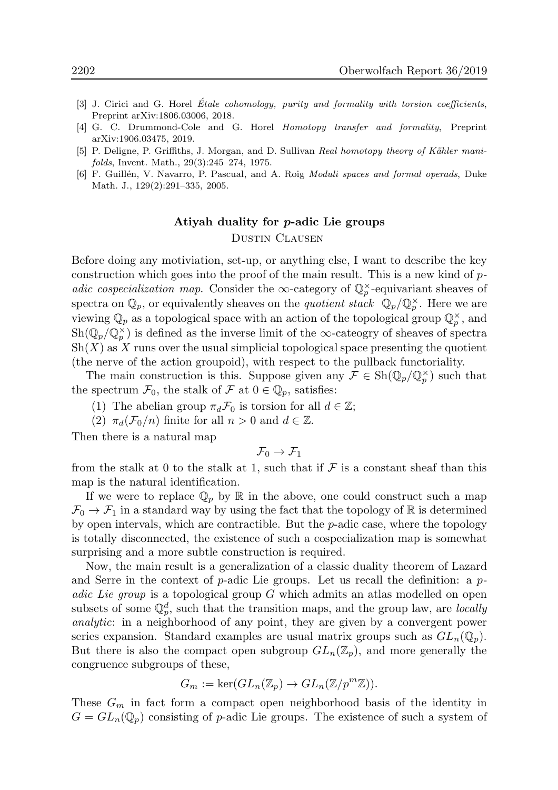- [3] J. Cirici and G. Horel Étale cohomology, purity and formality with torsion coefficients, Preprint arXiv:1806.03006, 2018.
- [4] G. C. Drummond-Cole and G. Horel Homotopy transfer and formality, Preprint arXiv:1906.03475, 2019.
- <span id="page-19-1"></span>[5] P. Deligne, P. Griffiths, J. Morgan, and D. Sullivan Real homotopy theory of Kähler manifolds, Invent. Math., 29(3):245–274, 1975.
- <span id="page-19-2"></span><span id="page-19-0"></span>[6] F. Guillén, V. Navarro, P. Pascual, and A. Roig Moduli spaces and formal operads, Duke Math. J., 129(2):291–335, 2005.

# Atiyah duality for p-adic Lie groups Dustin Clausen

Before doing any motiviation, set-up, or anything else, I want to describe the key construction which goes into the proof of the main result. This is a new kind of padic cospecialization map. Consider the  $\infty$ -category of  $\mathbb{Q}_p^{\times}$ -equivariant sheaves of spectra on  $\mathbb{Q}_p$ , or equivalently sheaves on the *quotient stack*  $\mathbb{Q}_p/\mathbb{Q}_p^{\times}$ . Here we are viewing  $\mathbb{Q}_p$  as a topological space with an action of the topological group  $\mathbb{Q}_p^{\times}$ , and Sh( $\mathbb{Q}_p/\mathbb{Q}_p^{\times}$ ) is defined as the inverse limit of the ∞-cateogry of sheaves of spectra  $\mathrm{Sh}(X)$  as X runs over the usual simplicial topological space presenting the quotient (the nerve of the action groupoid), with respect to the pullback functoriality.

The main construction is this. Suppose given any  $\mathcal{F} \in Sh(\mathbb{Q}_p/\mathbb{Q}_p^{\times})$  such that the spectrum  $\mathcal{F}_0$ , the stalk of  $\mathcal{F}$  at  $0 \in \mathbb{Q}_p$ , satisfies:

- (1) The abelian group  $\pi_d \mathcal{F}_0$  is torsion for all  $d \in \mathbb{Z}$ ;
- (2)  $\pi_d(\mathcal{F}_0/n)$  finite for all  $n > 0$  and  $d \in \mathbb{Z}$ .

Then there is a natural map

$$
\mathcal{F}_0\to\mathcal{F}_1
$$

from the stalk at 0 to the stalk at 1, such that if  $\mathcal F$  is a constant sheaf than this map is the natural identification.

If we were to replace  $\mathbb{Q}_p$  by  $\mathbb R$  in the above, one could construct such a map  $\mathcal{F}_0 \to \mathcal{F}_1$  in a standard way by using the fact that the topology of R is determined by open intervals, which are contractible. But the p-adic case, where the topology is totally disconnected, the existence of such a cospecialization map is somewhat surprising and a more subtle construction is required.

Now, the main result is a generalization of a classic duality theorem of Lazard and Serre in the context of p-adic Lie groups. Let us recall the definition: a padic Lie group is a topological group  $G$  which admits an atlas modelled on open subsets of some  $\mathbb{Q}_p^d$ , such that the transition maps, and the group law, are *locally* analytic: in a neighborhood of any point, they are given by a convergent power series expansion. Standard examples are usual matrix groups such as  $GL_n(\mathbb{Q}_p)$ . But there is also the compact open subgroup  $GL_n(\mathbb{Z}_p)$ , and more generally the congruence subgroups of these,

$$
G_m := \ker(GL_n(\mathbb{Z}_p) \to GL_n(\mathbb{Z}/p^m\mathbb{Z})).
$$

These  $G_m$  in fact form a compact open neighborhood basis of the identity in  $G = GL_n(\mathbb{Q}_p)$  consisting of p-adic Lie groups. The existence of such a system of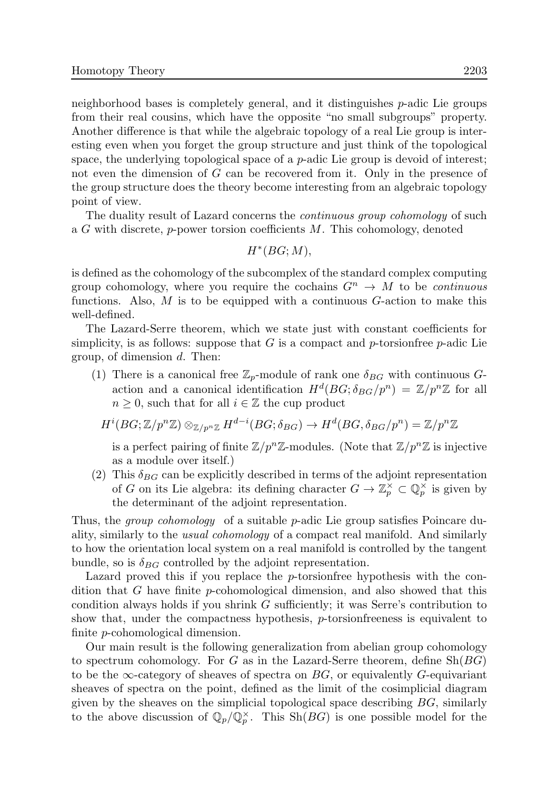neighborhood bases is completely general, and it distinguishes p-adic Lie groups from their real cousins, which have the opposite "no small subgroups" property. Another difference is that while the algebraic topology of a real Lie group is interesting even when you forget the group structure and just think of the topological space, the underlying topological space of a  $p$ -adic Lie group is devoid of interest; not even the dimension of G can be recovered from it. Only in the presence of the group structure does the theory become interesting from an algebraic topology point of view.

The duality result of Lazard concerns the continuous group cohomology of such a G with discrete, p-power torsion coefficients M. This cohomology, denoted

$$
H^*(BG;M),
$$

is defined as the cohomology of the subcomplex of the standard complex computing group cohomology, where you require the cochains  $G^n \to M$  to be *continuous* functions. Also,  $M$  is to be equipped with a continuous  $G$ -action to make this well-defined.

The Lazard-Serre theorem, which we state just with constant coefficients for simplicity, is as follows: suppose that  $G$  is a compact and p-torsion free p-adic Lie group, of dimension d. Then:

(1) There is a canonical free  $\mathbb{Z}_p$ -module of rank one  $\delta_{BG}$  with continuous Gaction and a canonical identification  $H^d(BG; \delta_{BG}/p^n) = \mathbb{Z}/p^n\mathbb{Z}$  for all  $n \geq 0$ , such that for all  $i \in \mathbb{Z}$  the cup product

$$
H^i(BG; \mathbb{Z}/p^n\mathbb{Z}) \otimes_{\mathbb{Z}/p^n\mathbb{Z}} H^{d-i}(BG; \delta_{BG}) \to H^d(BG, \delta_{BG}/p^n) = \mathbb{Z}/p^n\mathbb{Z}
$$

is a perfect pairing of finite  $\mathbb{Z}/p^n\mathbb{Z}$ -modules. (Note that  $\mathbb{Z}/p^n\mathbb{Z}$  is injective as a module over itself.)

(2) This  $\delta_{BG}$  can be explicitly described in terms of the adjoint representation of G on its Lie algebra: its defining character  $G \to \mathbb{Z}_p^{\times} \subset \mathbb{Q}_p^{\times}$  is given by the determinant of the adjoint representation.

Thus, the *group cohomology* of a suitable *p*-adic Lie group satisfies Poincare duality, similarly to the usual cohomology of a compact real manifold. And similarly to how the orientation local system on a real manifold is controlled by the tangent bundle, so is  $\delta_{BG}$  controlled by the adjoint representation.

Lazard proved this if you replace the p-torsionfree hypothesis with the condition that G have finite p-cohomological dimension, and also showed that this condition always holds if you shrink G sufficiently; it was Serre's contribution to show that, under the compactness hypothesis, p-torsionfreeness is equivalent to finite p-cohomological dimension.

Our main result is the following generalization from abelian group cohomology to spectrum cohomology. For G as in the Lazard-Serre theorem, define  $\text{Sh}(BG)$ to be the  $\infty$ -category of sheaves of spectra on BG, or equivalently G-equivariant sheaves of spectra on the point, defined as the limit of the cosimplicial diagram given by the sheaves on the simplicial topological space describing BG, similarly to the above discussion of  $\mathbb{Q}_p/\mathbb{Q}_p^{\times}$ . This  $\text{Sh}(BG)$  is one possible model for the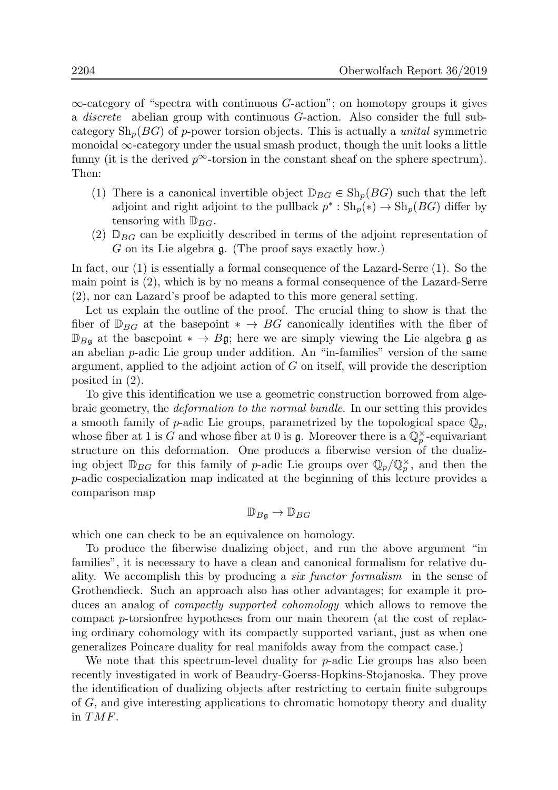$\infty$ -category of "spectra with continuous G-action"; on homotopy groups it gives a discrete abelian group with continuous G-action. Also consider the full subcategory  $\mathrm{Sh}_n(BG)$  of p-power torsion objects. This is actually a unital symmetric monoidal  $\infty$ -category under the usual smash product, though the unit looks a little funny (it is the derived  $p^{\infty}$ -torsion in the constant sheaf on the sphere spectrum). Then:

- (1) There is a canonical invertible object  $\mathbb{D}_{BG} \in \mathrm{Sh}_{p}(BG)$  such that the left adjoint and right adjoint to the pullback  $p^* : Sh_p(*) \to Sh_p(BG)$  differ by tensoring with  $\mathbb{D}_{BG}$ .
- (2)  $\mathbb{D}_{BG}$  can be explicitly described in terms of the adjoint representation of G on its Lie algebra g. (The proof says exactly how.)

In fact, our (1) is essentially a formal consequence of the Lazard-Serre (1). So the main point is (2), which is by no means a formal consequence of the Lazard-Serre (2), nor can Lazard's proof be adapted to this more general setting.

Let us explain the outline of the proof. The crucial thing to show is that the fiber of  $\mathbb{D}_{BG}$  at the basepoint  $* \to BG$  canonically identifies with the fiber of  $\mathbb{D}_{B\mathfrak{g}}$  at the basepoint ∗ →  $B\mathfrak{g}$ ; here we are simply viewing the Lie algebra  $\mathfrak{g}$  as an abelian p-adic Lie group under addition. An "in-families" version of the same argument, applied to the adjoint action of G on itself, will provide the description posited in (2).

To give this identification we use a geometric construction borrowed from algebraic geometry, the deformation to the normal bundle. In our setting this provides a smooth family of p-adic Lie groups, parametrized by the topological space  $\mathbb{Q}_p$ , whose fiber at 1 is G and whose fiber at 0 is  $\mathfrak g$ . Moreover there is a  $\mathbb Q_p^{\times}$ -equivariant structure on this deformation. One produces a fiberwise version of the dualizing object  $\mathbb{D}_{BG}$  for this family of p-adic Lie groups over  $\mathbb{Q}_p/\mathbb{Q}_p^{\times}$ , and then the p-adic cospecialization map indicated at the beginning of this lecture provides a comparison map

$$
\mathbb{D}_{B\mathfrak{g}}\to \mathbb{D}_{BG}
$$

which one can check to be an equivalence on homology.

To produce the fiberwise dualizing object, and run the above argument "in families", it is necessary to have a clean and canonical formalism for relative duality. We accomplish this by producing a six functor formalism in the sense of Grothendieck. Such an approach also has other advantages; for example it produces an analog of *compactly supported cohomology* which allows to remove the compact p-torsionfree hypotheses from our main theorem (at the cost of replacing ordinary cohomology with its compactly supported variant, just as when one generalizes Poincare duality for real manifolds away from the compact case.)

We note that this spectrum-level duality for  $p$ -adic Lie groups has also been recently investigated in work of Beaudry-Goerss-Hopkins-Stojanoska. They prove the identification of dualizing objects after restricting to certain finite subgroups of G, and give interesting applications to chromatic homotopy theory and duality in TMF.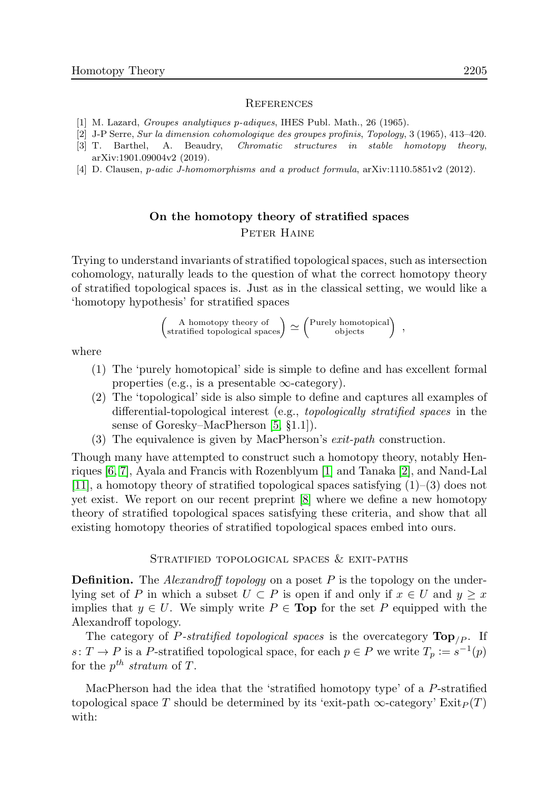#### **REFERENCES**

- [1] M. Lazard, Groupes analytiques p-adiques, IHES Publ. Math., 26 (1965).
- [2] J-P Serre, Sur la dimension cohomologique des groupes profinis, Topology, 3 (1965), 413–420.
- [3] T. Barthel, A. Beaudry, Chromatic structures in stable homotopy theory, arXiv:1901.09004v2 (2019).
- [4] D. Clausen, p-adic J-homomorphisms and a product formula, arXiv:1110.5851v2 (2012).

# On the homotopy theory of stratified spaces PETER HAINE

Trying to understand invariants of stratified topological spaces, such as intersection cohomology, naturally leads to the question of what the correct homotopy theory of stratified topological spaces is. Just as in the classical setting, we would like a 'homotopy hypothesis' for stratified spaces

$$
\begin{pmatrix} A \text{ homotopy theory of} \\ \text{stratified topological spaces} \end{pmatrix} \simeq \begin{pmatrix} Purely \text{ homotopical} \\ \text{objects} \end{pmatrix} ,
$$

where

- (1) The 'purely homotopical' side is simple to define and has excellent formal properties (e.g., is a presentable  $\infty$ -category).
- (2) The 'topological' side is also simple to define and captures all examples of differential-topological interest (e.g., topologically stratified spaces in the sense of Goresky–MacPherson [\[5,](#page-25-0) §1.1]).
- (3) The equivalence is given by MacPherson's exit-path construction.

Though many have attempted to construct such a homotopy theory, notably Henriques [\[6,](#page-25-1) [7\]](#page-25-2), Ayala and Francis with Rozenblyum [\[1\]](#page-24-0) and Tanaka [\[2\]](#page-24-1), and Nand-Lal [\[11\]](#page-25-3), a homotopy theory of stratified topological spaces satisfying  $(1)$ – $(3)$  does not yet exist. We report on our recent preprint [\[8\]](#page-25-4) where we define a new homotopy theory of stratified topological spaces satisfying these criteria, and show that all existing homotopy theories of stratified topological spaces embed into ours.

### STRATIFIED TOPOLOGICAL SPACES & EXIT-PATHS

**Definition.** The *Alexandroff topology* on a poset  $P$  is the topology on the underlying set of P in which a subset  $U \subset P$  is open if and only if  $x \in U$  and  $y \geq x$ implies that  $y \in U$ . We simply write  $P \in \text{Top}$  for the set P equipped with the Alexandroff topology.

The category of P-stratified topological spaces is the overcategory  $\text{Top}_{/P}$ . If  $s: T \to P$  is a P-stratified topological space, for each  $p \in P$  we write  $T_p := s^{-1}(p)$ for the  $p^{th}$  stratum of T.

MacPherson had the idea that the 'stratified homotopy type' of a P-stratified topological space T should be determined by its 'exit-path  $\infty$ -category' Exit $_P(T)$ with: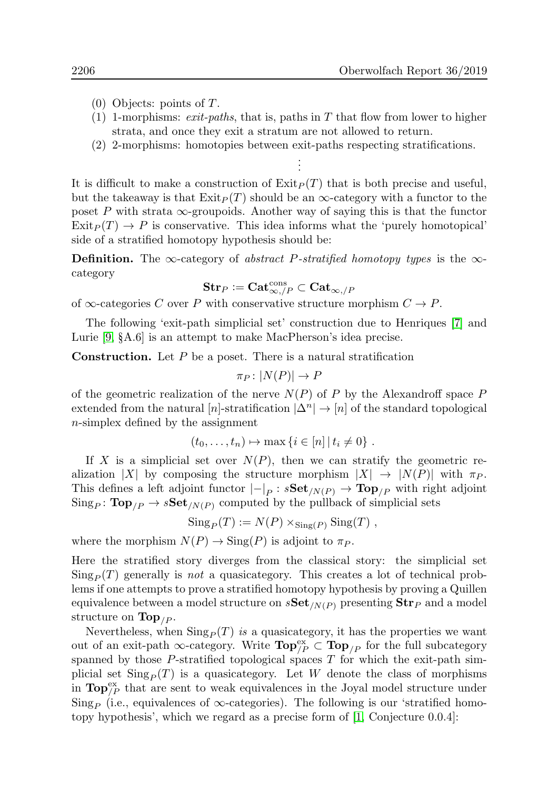- (0) Objects: points of  $T$ .
- (1) 1-morphisms: exit-paths, that is, paths in  $T$  that flow from lower to higher strata, and once they exit a stratum are not allowed to return.

. . .

(2) 2-morphisms: homotopies between exit-paths respecting stratifications.

It is difficult to make a construction of  $\text{Exit}_P(T)$  that is both precise and useful, but the takeaway is that  $\text{Exit}_P(T)$  should be an  $\infty$ -category with a functor to the poset P with strata  $\infty$ -groupoids. Another way of saying this is that the functor  $\text{Exit}_P(T) \rightarrow P$  is conservative. This idea informs what the 'purely homotopical' side of a stratified homotopy hypothesis should be:

**Definition.** The ∞-category of abstract P-stratified homotopy types is the  $\infty$ category

$$
\mathbf{Str}_P \coloneqq \mathbf{Cat}_{\infty, /P}^{\text{cons}} \subset \mathbf{Cat}_{\infty, /P}
$$

of  $\infty$ -categories C over P with conservative structure morphism  $C \to P$ .

The following 'exit-path simplicial set' construction due to Henriques [\[7\]](#page-25-2) and Lurie [\[9,](#page-25-5) §A.6] is an attempt to make MacPherson's idea precise.

**Construction.** Let  $P$  be a poset. There is a natural stratification

$$
\pi_P\colon |N(P)|\to P
$$

of the geometric realization of the nerve  $N(P)$  of P by the Alexandroff space P extended from the natural [n]-stratification  $|\Delta^n| \to [n]$  of the standard topological n-simplex defined by the assignment

$$
(t_0,\ldots,t_n)\mapsto \max\left\{i\in[n]\,\middle|\, t_i\neq 0\right\}\,.
$$

If X is a simplicial set over  $N(P)$ , then we can stratify the geometric realization |X| by composing the structure morphism  $|X| \to |N(P)|$  with  $\pi_P$ . This defines a left adjoint functor  $|-|_P : s\mathbf{Set}_{/N(P)} \to \mathbf{Top}_{/P}$  with right adjoint  $\text{Sing}_P$ :  $\text{Top}_{/P} \to s\text{Set}_{/N(P)}$  computed by the pullback of simplicial sets

$$
Sing_P(T) := N(P) \times_{Sing(P)} Sing(T) ,
$$

where the morphism  $N(P) \to \text{Sing}(P)$  is adjoint to  $\pi_P$ .

Here the stratified story diverges from the classical story: the simplicial set  $\text{Sing}_p(T)$  generally is not a quasicategory. This creates a lot of technical problems if one attempts to prove a stratified homotopy hypothesis by proving a Quillen equivalence between a model structure on  $sSet_{/N(P)}$  presenting  $Str_P$  and a model structure on  $\text{Top}_{/P}$ .

Nevertheless, when  $\text{Sing}_P(T)$  is a quasicategory, it has the properties we want out of an exit-path ∞-category. Write  $\text{Top}_{/P}^{\text{ex}} \subset \text{Top}_{/P}$  for the full subcategory spanned by those  $P$ -stratified topological spaces  $T$  for which the exit-path simplicial set  $\text{Sing}_P(T)$  is a quasicategory. Let W denote the class of morphisms in  $\text{Top}_{/P}^{\text{ex}}$  that are sent to weak equivalences in the Joyal model structure under Sing<sub>P</sub> (i.e., equivalences of ∞-categories). The following is our 'stratified homotopy hypothesis', which we regard as a precise form of [\[1,](#page-24-0) Conjecture 0.0.4]: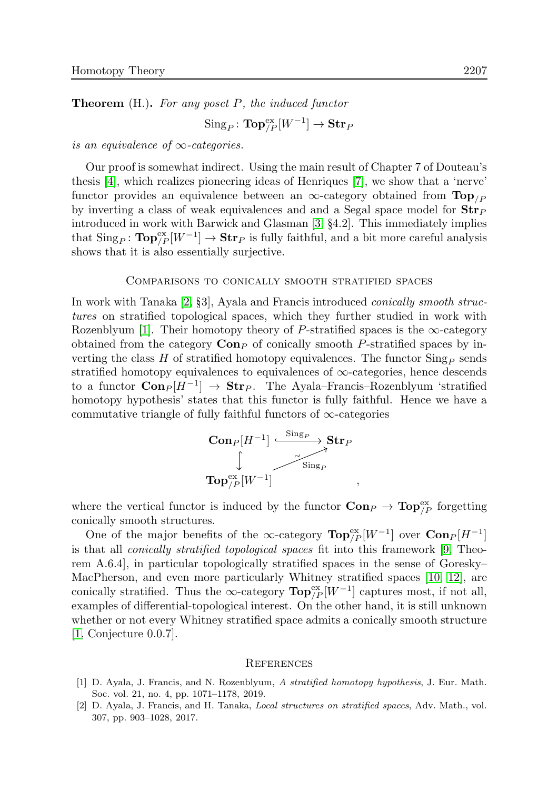**Theorem** (H.). For any poset  $P$ , the induced functor

 $\mathrm{Sing}_P\colon\mathbf{Top}^{\mathrm{ex}}_{/P}[W^{-1}]\to\mathbf{Str}_P$ 

is an equivalence of  $\infty$ -categories.

Our proof is somewhat indirect. Using the main result of Chapter 7 of Douteau's thesis [\[4\]](#page-25-6), which realizes pioneering ideas of Henriques [\[7\]](#page-25-2), we show that a 'nerve' functor provides an equivalence between an  $\infty$ -category obtained from  $\text{Top}_{/P}$ by inverting a class of weak equivalences and and a Segal space model for  $\text{Str}_{P}$ introduced in work with Barwick and Glasman [\[3,](#page-25-7) §4.2]. This immediately implies that  $\text{Sing}_P \colon \textbf{Top}_{/P}^{\text{ex}}[W^{-1}] \to \textbf{Str}_P$  is fully faithful, and a bit more careful analysis shows that it is also essentially surjective.

### Comparisons to conically smooth stratified spaces

In work with Tanaka [\[2,](#page-24-1) §3], Ayala and Francis introduced conically smooth structures on stratified topological spaces, which they further studied in work with Rozenblyum [\[1\]](#page-24-0). Their homotopy theory of P-stratified spaces is the  $\infty$ -category obtained from the category  $\bf{Con}_{\cal{P}}$  of conically smooth  $\cal{P}$ -stratified spaces by inverting the class H of stratified homotopy equivalences. The functor  $\text{Sing}_P$  sends stratified homotopy equivalences to equivalences of  $\infty$ -categories, hence descends to a functor  $\textbf{Con}_P[H^{-1}] \rightarrow$   $\textbf{Str}_P$ . The Ayala–Francis–Rozenblyum 'stratified homotopy hypothesis' states that this functor is fully faithful. Hence we have a commutative triangle of fully faithful functors of  $\infty$ -categories



where the vertical functor is induced by the functor  $\textbf{Con}_P \to \textbf{Top}_{/P}^{\text{ex}}$  forgetting conically smooth structures.

One of the major benefits of the  $\infty$ -category  $\text{Top}_{/P}^{\text{ex}}[W^{-1}]$  over  $\text{Con}_{P}[H^{-1}]$ is that all conically stratified topological spaces fit into this framework [\[9,](#page-25-5) Theorem A.6.4], in particular topologically stratified spaces in the sense of Goresky– MacPherson, and even more particularly Whitney stratified spaces [\[10,](#page-25-8) [12\]](#page-25-9), are conically stratified. Thus the  $\infty$ -category  $\text{Top}_{/P}^{\text{ex}}[W^{-1}]$  captures most, if not all, examples of differential-topological interest. On the other hand, it is still unknown whether or not every Whitney stratified space admits a conically smooth structure [\[1,](#page-24-0) Conjecture 0.0.7].

### **REFERENCES**

- <span id="page-24-1"></span><span id="page-24-0"></span>[1] D. Ayala, J. Francis, and N. Rozenblyum, A stratified homotopy hypothesis, J. Eur. Math. Soc. vol. 21, no. 4, pp. 1071–1178, 2019.
- [2] D. Ayala, J. Francis, and H. Tanaka, Local structures on stratified spaces, Adv. Math., vol. 307, pp. 903–1028, 2017.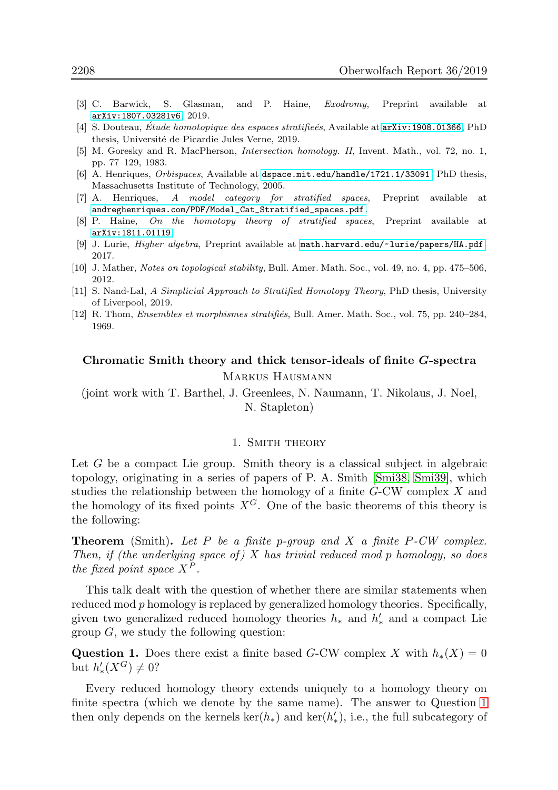- [3] C. Barwick, S. Glasman, and P. Haine, Exodromy, Preprint available at <arXiv:1807.03281v6>, 2019.
- [4] S. Douteau, Étude homotopique des espaces stratifieés, Available at  $arXiv:1908.01366$ , PhD thesis, Université de Picardie Jules Verne, 2019.
- <span id="page-25-7"></span>[5] M. Goresky and R. MacPherson, Intersection homology. II, Invent. Math., vol. 72, no. 1, pp. 77–129, 1983.
- <span id="page-25-6"></span>[6] A. Henriques, *Orbispaces*, Available at <dspace.mit.edu/handle/1721.1/33091>, PhD thesis, Massachusetts Institute of Technology, 2005.
- <span id="page-25-1"></span><span id="page-25-0"></span>[7] A. Henriques, A model category for stratified spaces, Preprint available at [andreghenriques.com/PDF/Model\\_Cat\\_Stratified\\_spaces.pdf](andreghenriques.com/PDF/Model_Cat_Stratified_spaces.pdf).
- <span id="page-25-2"></span>[8] P. Haine, On the homotopy theory of stratified spaces, Preprint available at <arXiv:1811.01119>.
- <span id="page-25-5"></span><span id="page-25-4"></span>[9] J. Lurie, Higher algebra, Preprint available at <math.harvard.edu/~lurie/papers/HA.pdf>, 2017.
- [10] J. Mather, Notes on topological stability, Bull. Amer. Math. Soc., vol. 49, no. 4, pp. 475–506, 2012.
- <span id="page-25-8"></span><span id="page-25-3"></span>[11] S. Nand-Lal, A Simplicial Approach to Stratified Homotopy Theory, PhD thesis, University of Liverpool, 2019.
- <span id="page-25-9"></span>[12] R. Thom, *Ensembles et morphismes stratifiés*, Bull. Amer. Math. Soc., vol. 75, pp. 240–284, 1969.

# Chromatic Smith theory and thick tensor-ideals of finite G-spectra Markus Hausmann

(joint work with T. Barthel, J. Greenlees, N. Naumann, T. Nikolaus, J. Noel, N. Stapleton)

### 1. Smith theory

Let G be a compact Lie group. Smith theory is a classical subject in algebraic topology, originating in a series of papers of P. A. Smith [\[Smi38,](#page-29-0) [Smi39\]](#page-29-1), which studies the relationship between the homology of a finite G-CW complex X and the homology of its fixed points  $X^G$ . One of the basic theorems of this theory is the following:

**Theorem** (Smith). Let P be a finite p-group and X a finite P-CW complex. Then, if (the underlying space of)  $X$  has trivial reduced mod p homology, so does the fixed point space  $X^P$ .

<span id="page-25-10"></span>This talk dealt with the question of whether there are similar statements when reduced mod p homology is replaced by generalized homology theories. Specifically, given two generalized reduced homology theories  $h_*$  and  $h'_*$  and a compact Lie group  $G$ , we study the following question:

Question 1. Does there exist a finite based G-CW complex X with  $h_*(X) = 0$ but  $h'_{*}(X^{G}) \neq 0$ ?

Every reduced homology theory extends uniquely to a homology theory on finite spectra (which we denote by the same name). The answer to Question [1](#page-25-10) then only depends on the kernels  $\ker(h_*)$  and  $\ker(h'_*)$ , i.e., the full subcategory of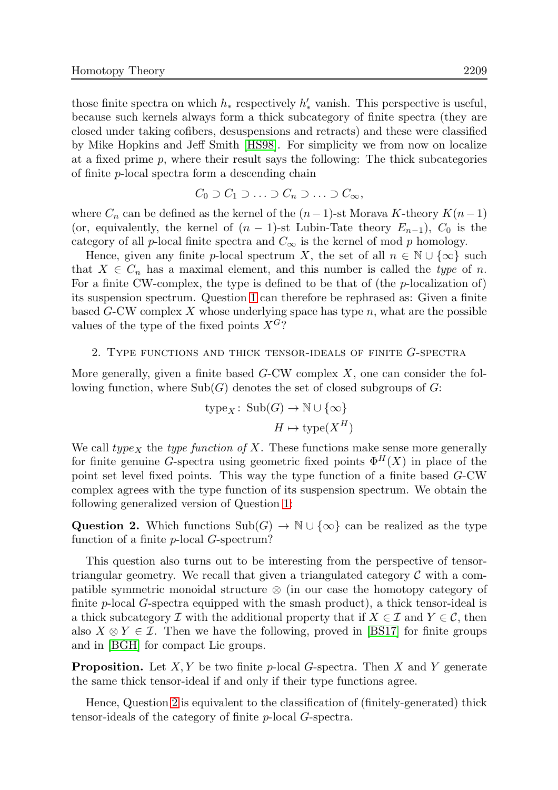those finite spectra on which  $h_*$  respectively  $h'_*$  vanish. This perspective is useful, because such kernels always form a thick subcategory of finite spectra (they are closed under taking cofibers, desuspensions and retracts) and these were classified by Mike Hopkins and Jeff Smith [\[HS98\]](#page-29-2). For simplicity we from now on localize at a fixed prime  $p$ , where their result says the following: The thick subcategories of finite p-local spectra form a descending chain

$$
C_0 \supset C_1 \supset \ldots \supset C_n \supset \ldots \supset C_{\infty},
$$

where  $C_n$  can be defined as the kernel of the  $(n-1)$ -st Morava K-theory  $K(n-1)$ (or, equivalently, the kernel of  $(n-1)$ -st Lubin-Tate theory  $E_{n-1}$ ),  $C_0$  is the category of all p-local finite spectra and  $C_{\infty}$  is the kernel of mod p homology.

Hence, given any finite p-local spectrum X, the set of all  $n \in \mathbb{N} \cup \{\infty\}$  such that  $X \in C_n$  has a maximal element, and this number is called the type of n. For a finite CW-complex, the type is defined to be that of (the p-localization of) its suspension spectrum. Question [1](#page-25-10) can therefore be rephrased as: Given a finite based  $G$ -CW complex X whose underlying space has type n, what are the possible values of the type of the fixed points  $X^G$ ?

### 2. TYPE FUNCTIONS AND THICK TENSOR-IDEALS OF FINITE  $G$ -SPECTRA

More generally, given a finite based  $G$ -CW complex  $X$ , one can consider the following function, where  $\text{Sub}(G)$  denotes the set of closed subgroups of G:

type<sub>X</sub>: Sub(
$$
G
$$
)  $\rightarrow$   $\mathbb{N} \cup {\infty}$   
 $H \mapsto \text{type}(X^H)$ 

<span id="page-26-0"></span>We call type<sub>X</sub> the type function of X. These functions make sense more generally for finite genuine G-spectra using geometric fixed points  $\Phi^H(X)$  in place of the point set level fixed points. This way the type function of a finite based G-CW complex agrees with the type function of its suspension spectrum. We obtain the following generalized version of Question [1:](#page-25-10)

Question 2. Which functions  $\text{Sub}(G) \to \mathbb{N} \cup \{\infty\}$  can be realized as the type function of a finite p-local G-spectrum?

This question also turns out to be interesting from the perspective of tensortriangular geometry. We recall that given a triangulated category  $\mathcal C$  with a compatible symmetric monoidal structure ⊗ (in our case the homotopy category of finite p-local G-spectra equipped with the smash product), a thick tensor-ideal is a thick subcategory  $\mathcal I$  with the additional property that if  $X \in \mathcal I$  and  $Y \in \mathcal C$ , then also  $X \otimes Y \in \mathcal{I}$ . Then we have the following, proved in [\[BS17\]](#page-29-3) for finite groups and in [\[BGH\]](#page-29-4) for compact Lie groups.

**Proposition.** Let X, Y be two finite p-local G-spectra. Then X and Y generate the same thick tensor-ideal if and only if their type functions agree.

Hence, Question [2](#page-26-0) is equivalent to the classification of (finitely-generated) thick tensor-ideals of the category of finite p-local G-spectra.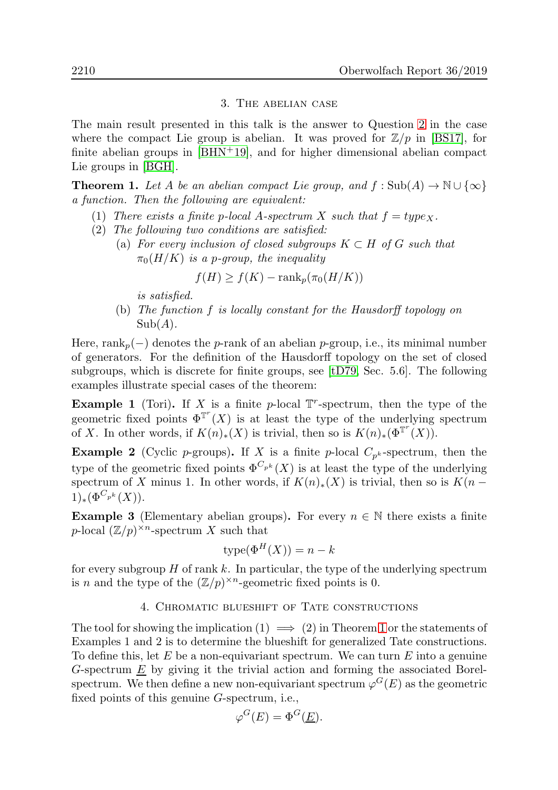### 3. The abelian case

The main result presented in this talk is the answer to Question [2](#page-26-0) in the case where the compact Lie group is abelian. It was proved for  $\mathbb{Z}/p$  in [\[BS17\]](#page-29-3), for finite abelian groups in  $[BHN<sup>+</sup>19]$ , and for higher dimensional abelian compact Lie groups in [\[BGH\]](#page-29-4).

**Theorem 1.** Let A be an abelian compact Lie group, and  $f : Sub(A) \to \mathbb{N} \cup \{\infty\}$ a function. Then the following are equivalent:

- <span id="page-27-0"></span>(1) There exists a finite p-local A-spectrum X such that  $f = type_X$ .
- (2) The following two conditions are satisfied:
	- (a) For every inclusion of closed subgroups  $K \subset H$  of G such that  $\pi_0(H/K)$  is a p-group, the inequality

 $f(H) > f(K) - \text{rank}_p(\pi_0(H/K))$ 

is satisfied.

(b) The function f is locally constant for the Hausdorff topology on  $Sub(A).$ 

Here, rank<sub>p</sub> $(-)$  denotes the p-rank of an abelian p-group, i.e., its minimal number of generators. For the definition of the Hausdorff topology on the set of closed subgroups, which is discrete for finite groups, see [\[tD79,](#page-29-6) Sec. 5.6]. The following examples illustrate special cases of the theorem:

**Example 1** (Tori). If X is a finite p-local  $T^r$ -spectrum, then the type of the geometric fixed points  $\Phi^{\mathbb{T}^r}(X)$  is at least the type of the underlying spectrum of X. In other words, if  $K(n)_*(X)$  is trivial, then so is  $K(n)_*(\Phi^{\mathbb{T}^r}(X)).$ 

**Example 2** (Cyclic p-groups). If X is a finite p-local  $C_{p^k}$ -spectrum, then the type of the geometric fixed points  $\Phi^{C_{p^k}}(X)$  is at least the type of the underlying spectrum of X minus 1. In other words, if  $K(n)_*(X)$  is trivial, then so is  $K(n (1)_*(\Phi^{C_{p^k}}(X)).$ 

**Example 3** (Elementary abelian groups). For every  $n \in \mathbb{N}$  there exists a finite p-local  $(\mathbb{Z}/p)^{\times n}$ -spectrum X such that

$$
type(\Phi^H(X)) = n - k
$$

for every subgroup  $H$  of rank  $k$ . In particular, the type of the underlying spectrum is *n* and the type of the  $(\mathbb{Z}/p)^{\times n}$ -geometric fixed points is 0.

### 4. Chromatic blueshift of Tate constructions

The tool for showing the implication  $(1) \implies (2)$  in Theorem [1](#page-27-0) or the statements of Examples 1 and 2 is to determine the blueshift for generalized Tate constructions. To define this, let  $E$  be a non-equivariant spectrum. We can turn  $E$  into a genuine G-spectrum E by giving it the trivial action and forming the associated Borelspectrum. We then define a new non-equivariant spectrum  $\varphi^G(E)$  as the geometric fixed points of this genuine G-spectrum, i.e.,

$$
\varphi^G(E) = \Phi^G(\underline{E}).
$$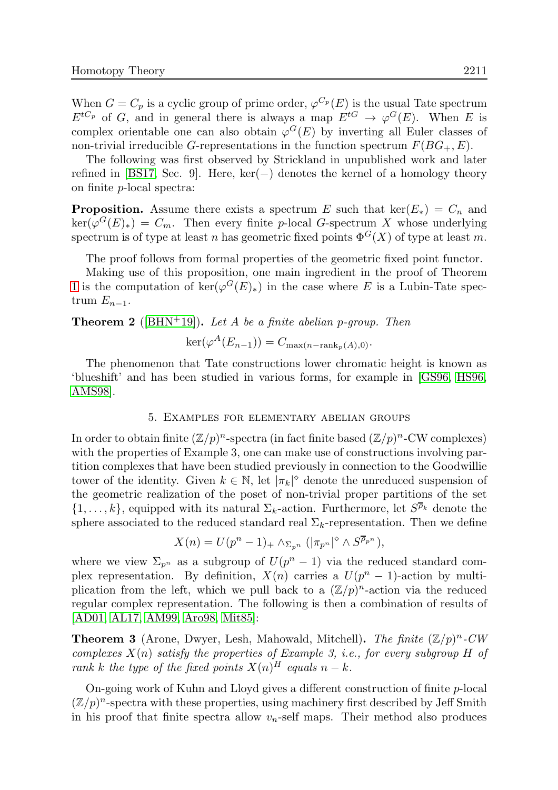When  $G = C_p$  is a cyclic group of prime order,  $\varphi^{C_p}(E)$  is the usual Tate spectrum  $E^{tC_p}$  of G, and in general there is always a map  $E^{tG} \to \varphi^G(E)$ . When E is complex orientable one can also obtain  $\varphi^G(E)$  by inverting all Euler classes of non-trivial irreducible G-representations in the function spectrum  $F(BG_{+}, E)$ .

The following was first observed by Strickland in unpublished work and later refined in [\[BS17,](#page-29-3) Sec. 9]. Here,  $\ker(-)$  denotes the kernel of a homology theory on finite p-local spectra:

**Proposition.** Assume there exists a spectrum E such that  $\text{ker}(E_*) = C_n$  and  $\ker(\varphi^G(E)_*) = C_m$ . Then every finite p-local G-spectrum X whose underlying spectrum is of type at least n has geometric fixed points  $\Phi^{G}(X)$  of type at least m.

The proof follows from formal properties of the geometric fixed point functor.

Making use of this proposition, one main ingredient in the proof of Theorem [1](#page-27-0) is the computation of  $\ker(\varphi^G(E)_*)$  in the case where E is a Lubin-Tate spectrum  $E_{n-1}$ .

**Theorem 2** ([\[BHN](#page-29-5)<sup>+</sup>19]). Let A be a finite abelian p-group. Then

$$
\ker(\varphi^A(E_{n-1})) = C_{\max(n-\operatorname{rank}_p(A),0)}.
$$

The phenomenon that Tate constructions lower chromatic height is known as 'blueshift' and has been studied in various forms, for example in [\[GS96,](#page-29-7) [HS96,](#page-29-8) [AMS98\]](#page-29-9).

### 5. Examples for elementary abelian groups

In order to obtain finite  $(\mathbb{Z}/p)^n$ -spectra (in fact finite based  $(\mathbb{Z}/p)^n$ -CW complexes) with the properties of Example 3, one can make use of constructions involving partition complexes that have been studied previously in connection to the Goodwillie tower of the identity. Given  $k \in \mathbb{N}$ , let  $|\pi_k|^{\diamond}$  denote the unreduced suspension of the geometric realization of the poset of non-trivial proper partitions of the set  $\{1,\ldots,k\}$ , equipped with its natural  $\Sigma_k$ -action. Furthermore, let  $S^{\overline{\rho}_k}$  denote the sphere associated to the reduced standard real  $\Sigma_k$ -representation. Then we define

$$
X(n) = U(p^{n} - 1)_{+} \wedge_{\Sigma_{p^{n}}} (|\pi_{p^{n}}|^{*} \wedge S^{\overline{\rho}_{p^{n}}}),
$$

where we view  $\Sigma_{p^n}$  as a subgroup of  $U(p^n-1)$  via the reduced standard complex representation. By definition,  $X(n)$  carries a  $U(p^{n}-1)$ -action by multiplication from the left, which we pull back to a  $(\mathbb{Z}/p)^n$ -action via the reduced regular complex representation. The following is then a combination of results of [\[AD01,](#page-29-10) [AL17,](#page-29-11) [AM99,](#page-29-12) [Aro98,](#page-29-13) [Mit85\]](#page-29-14):

**Theorem 3** (Arone, Dwyer, Lesh, Mahowald, Mitchell). The finite  $(\mathbb{Z}/p)^n$ -CW complexes  $X(n)$  satisfy the properties of Example 3, i.e., for every subgroup H of rank k the type of the fixed points  $X(n)^H$  equals  $n - k$ .

On-going work of Kuhn and Lloyd gives a different construction of finite p-local  $(\mathbb{Z}/p)^n$ -spectra with these properties, using machinery first described by Jeff Smith in his proof that finite spectra allow  $v_n$ -self maps. Their method also produces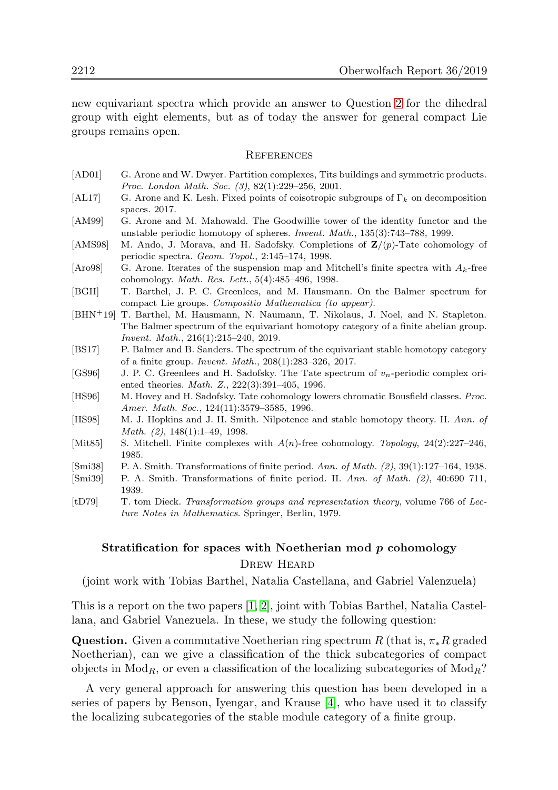new equivariant spectra which provide an answer to Question [2](#page-26-0) for the dihedral group with eight elements, but as of today the answer for general compact Lie groups remains open.

### **REFERENCES**

- [AD01] G. Arone and W. Dwyer. Partition complexes, Tits buildings and symmetric products. Proc. London Math. Soc. (3), 82(1):229–256, 2001.
- [AL17] G. Arone and K. Lesh. Fixed points of coisotropic subgroups of  $\Gamma_k$  on decomposition spaces. 2017.
- <span id="page-29-10"></span>[AM99] G. Arone and M. Mahowald. The Goodwillie tower of the identity functor and the unstable periodic homotopy of spheres. Invent. Math., 135(3):743–788, 1999.
- <span id="page-29-12"></span><span id="page-29-11"></span>[AMS98] M. Ando, J. Morava, and H. Sadofsky. Completions of  $\mathbf{Z}/(p)$ -Tate cohomology of periodic spectra. Geom. Topol., 2:145–174, 1998.
- <span id="page-29-9"></span>[Aro98] G. Arone. Iterates of the suspension map and Mitchell's finite spectra with  $A_k$ -free cohomology. Math. Res. Lett., 5(4):485–496, 1998.
- <span id="page-29-13"></span>[BGH] T. Barthel, J. P. C. Greenlees, and M. Hausmann. On the Balmer spectrum for compact Lie groups. Compositio Mathematica (to appear).
- <span id="page-29-5"></span><span id="page-29-4"></span>[BHN+19] T. Barthel, M. Hausmann, N. Naumann, T. Nikolaus, J. Noel, and N. Stapleton. The Balmer spectrum of the equivariant homotopy category of a finite abelian group. Invent. Math., 216(1):215–240, 2019.
- <span id="page-29-3"></span>[BS17] P. Balmer and B. Sanders. The spectrum of the equivariant stable homotopy category of a finite group. Invent. Math., 208(1):283–326, 2017.
- <span id="page-29-7"></span>[GS96] J. P. C. Greenlees and H. Sadofsky. The Tate spectrum of  $v_n$ -periodic complex oriented theories. Math. Z., 222(3):391–405, 1996.
- <span id="page-29-8"></span>[HS96] M. Hovey and H. Sadofsky. Tate cohomology lowers chromatic Bousfield classes. Proc. Amer. Math. Soc., 124(11):3579–3585, 1996.
- <span id="page-29-14"></span><span id="page-29-2"></span>[HS98] M. J. Hopkins and J. H. Smith. Nilpotence and stable homotopy theory. II. Ann. of Math. (2), 148(1):1–49, 1998.
- <span id="page-29-0"></span>[Mit85] S. Mitchell. Finite complexes with  $A(n)$ -free cohomology. Topology, 24(2):227–246, 1985.
- <span id="page-29-1"></span>[Smi38] P. A. Smith. Transformations of finite period. Ann. of Math. (2), 39(1):127–164, 1938.
- <span id="page-29-6"></span>[Smi39] P. A. Smith. Transformations of finite period. II. Ann. of Math. (2), 40:690–711, 1939.
- [tD79] T. tom Dieck. Transformation groups and representation theory, volume 766 of Lecture Notes in Mathematics. Springer, Berlin, 1979.

# Stratification for spaces with Noetherian mod p cohomology DREW HEARD

(joint work with Tobias Barthel, Natalia Castellana, and Gabriel Valenzuela)

This is a report on the two papers [\[1,](#page-32-0) [2\]](#page-32-1), joint with Tobias Barthel, Natalia Castellana, and Gabriel Vanezuela. In these, we study the following question:

**Question.** Given a commutative Noetherian ring spectrum R (that is,  $\pi_*R$  graded Noetherian), can we give a classification of the thick subcategories of compact objects in  $Mod_R$ , or even a classification of the localizing subcategories of  $Mod_R$ ?

A very general approach for answering this question has been developed in a series of papers by Benson, Iyengar, and Krause [\[4\]](#page-32-2), who have used it to classify the localizing subcategories of the stable module category of a finite group.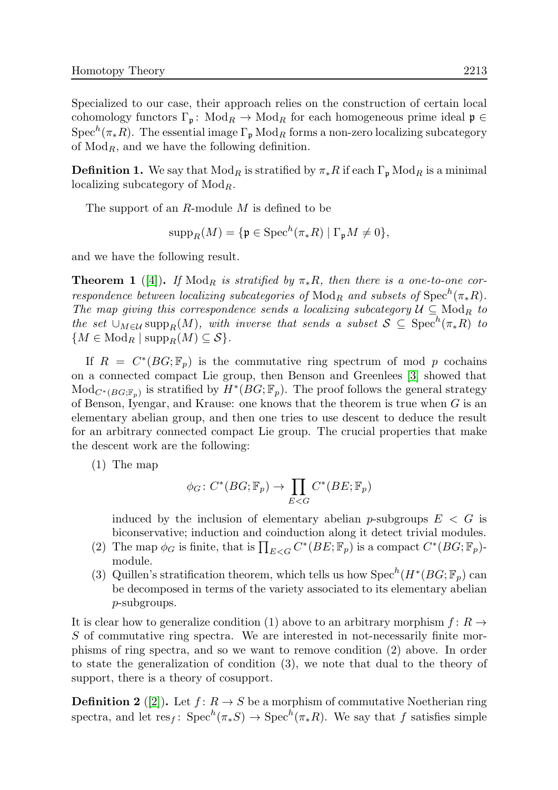Specialized to our case, their approach relies on the construction of certain local cohomology functors  $\Gamma_{\mathfrak{p}}$ : Mod<sub>R</sub>  $\rightarrow$  Mod<sub>R</sub> for each homogeneous prime ideal  $\mathfrak{p} \in$  $\mathrm{Spec}^h(\pi_*R).$  The essential image  $\Gamma_\mathfrak{p}\, \mathrm{Mod}_R$  forms a non-zero localizing subcategory of  $Mod_R$ , and we have the following definition.

**Definition 1.** We say that  $\text{Mod}_R$  is stratified by  $\pi_*R$  if each  $\Gamma_{\mathfrak{p}}\text{Mod}_R$  is a minimal localizing subcategory of  $Mod_R$ .

The support of an R-module M is defined to be

$$
\operatorname{supp}_R(M) = \{ \mathfrak{p} \in \operatorname{Spec}^h(\pi_*R) \mid \Gamma_{\mathfrak{p}}M \neq 0 \},
$$

and we have the following result.

**Theorem 1** ([\[4\]](#page-32-2)). If  $Mod_R$  is stratified by  $\pi_*R$ , then there is a one-to-one correspondence between localizing subcategories of  $\text{Mod}_R$  and subsets of  $\text{Spec}^h(\pi_*R)$ . The map giving this correspondence sends a localizing subcategory  $\mathcal{U} \subseteq \text{Mod}_R$  to the set  $\cup_{M\in\mathcal{U}}\text{supp}_R(M)$ , with inverse that sends a subset  $\mathcal{S}\subseteq \text{Spec}^h(\pi_*R)$  to  $\{M \in \text{Mod}_R \mid \text{supp}_R(M) \subseteq \mathcal{S}\}.$ 

If  $R = C^*(BG; \mathbb{F}_p)$  is the commutative ring spectrum of mod p cochains on a connected compact Lie group, then Benson and Greenlees [\[3\]](#page-32-3) showed that  $\text{Mod}_{C^*(BG; \mathbb{F}_p)}$  is stratified by  $H^*(BG; \mathbb{F}_p)$ . The proof follows the general strategy of Benson, Iyengar, and Krause: one knows that the theorem is true when G is an elementary abelian group, and then one tries to use descent to deduce the result for an arbitrary connected compact Lie group. The crucial properties that make the descent work are the following:

(1) The map

$$
\phi_G \colon C^*(BG; \mathbb{F}_p) \to \prod_{E < G} C^*(BE; \mathbb{F}_p)
$$

induced by the inclusion of elementary abelian *p*-subgroups  $E < G$  is biconservative; induction and coinduction along it detect trivial modules.

- (2) The map  $\phi_G$  is finite, that is  $\prod_{E\leq G} C^*(BE; \mathbb{F}_p)$  is a compact  $C^*(BG; \mathbb{F}_p)$ module.
- (3) Quillen's stratification theorem, which tells us how  $Spec^h(H^*(BG; \mathbb{F}_p))$  can be decomposed in terms of the variety associated to its elementary abelian p-subgroups.

It is clear how to generalize condition (1) above to an arbitrary morphism  $f: R \rightarrow$ S of commutative ring spectra. We are interested in not-necessarily finite morphisms of ring spectra, and so we want to remove condition (2) above. In order to state the generalization of condition (3), we note that dual to the theory of support, there is a theory of cosupport.

**Definition 2** ([\[2\]](#page-32-1)). Let  $f: R \to S$  be a morphism of commutative Noetherian ring spectra, and let  $res_f$ :  $Spec^h(\pi_*S) \to Spec^h(\pi_*R)$ . We say that f satisfies simple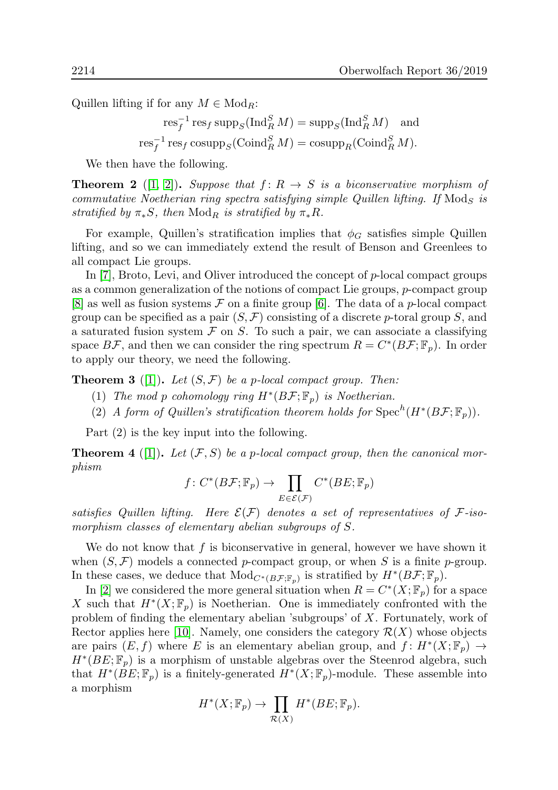Quillen lifting if for any  $M \in \text{Mod}_R$ :

$$
res_f^{-1} res_f supp_S(Ind_R^S M) = supp_S(Ind_R^S M) \text{ and}
$$
  

$$
res_f^{-1} res_f \cosupp_S(Coind_R^S M) = cosupp_R(Coind_R^S M).
$$

We then have the following.

**Theorem 2** ([\[1,](#page-32-0) [2\]](#page-32-1)). Suppose that  $f: R \rightarrow S$  is a biconservative morphism of commutative Noetherian ring spectra satisfying simple Quillen lifting. If  $Mod_S$  is stratified by  $\pi_*S$ , then  $\text{Mod}_R$  is stratified by  $\pi_*R$ .

For example, Quillen's stratification implies that  $\phi_G$  satisfies simple Quillen lifting, and so we can immediately extend the result of Benson and Greenlees to all compact Lie groups.

In [\[7\]](#page-32-4), Broto, Levi, and Oliver introduced the concept of p-local compact groups as a common generalization of the notions of compact Lie groups, p-compact group [\[8\]](#page-32-5) as well as fusion systems  $\mathcal F$  on a finite group [\[6\]](#page-32-6). The data of a p-local compact group can be specified as a pair  $(S, \mathcal{F})$  consisting of a discrete p-toral group S, and a saturated fusion system  $\mathcal F$  on  $S$ . To such a pair, we can associate a classifying space  $B\mathcal{F}$ , and then we can consider the ring spectrum  $R = C^*(B\mathcal{F}; \mathbb{F}_p)$ . In order to apply our theory, we need the following.

**Theorem 3** ([\[1\]](#page-32-0)). Let  $(S, \mathcal{F})$  be a p-local compact group. Then:

- (1) The mod p cohomology ring  $H^*(B\mathcal{F};\mathbb{F}_p)$  is Noetherian.
- (2) A form of Quillen's stratification theorem holds for  $Spec^h(H^*(B\mathcal{F};\mathbb{F}_p)).$

Part (2) is the key input into the following.

**Theorem 4** ([\[1\]](#page-32-0)). Let  $(F, S)$  be a p-local compact group, then the canonical morphism

$$
f\colon C^*(B\mathcal{F};\mathbb{F}_p)\to \prod_{E\in \mathcal{E}(\mathcal{F})}C^*(BE;\mathbb{F}_p)
$$

satisfies Quillen lifting. Here  $\mathcal{E}(\mathcal{F})$  denotes a set of representatives of  $\mathcal{F}-iso$ morphism classes of elementary abelian subgroups of S.

We do not know that  $f$  is biconservative in general, however we have shown it when  $(S, \mathcal{F})$  models a connected p-compact group, or when S is a finite p-group. In these cases, we deduce that  $Mod_{C^*(B\mathcal{F};\mathbb{F}_p)}$  is stratified by  $H^*(B\mathcal{F};\mathbb{F}_p)$ .

In [\[2\]](#page-32-1) we considered the more general situation when  $R = C^*(X; \mathbb{F}_p)$  for a space X such that  $H^*(X; \mathbb{F}_p)$  is Noetherian. One is immediately confronted with the problem of finding the elementary abelian 'subgroups' of X. Fortunately, work of Rector applies here [\[10\]](#page-32-7). Namely, one considers the category  $\mathcal{R}(X)$  whose objects are pairs  $(E, f)$  where E is an elementary abelian group, and  $f: H^*(X; \mathbb{F}_p) \to$  $H^*(BE; \mathbb{F}_p)$  is a morphism of unstable algebras over the Steenrod algebra, such that  $H^*(\overline{B}E;\mathbb{F}_p)$  is a finitely-generated  $H^*(X;\mathbb{F}_p)$ -module. These assemble into a morphism

$$
H^*(X; \mathbb{F}_p) \to \prod_{\mathcal{R}(X)} H^*(BE; \mathbb{F}_p).
$$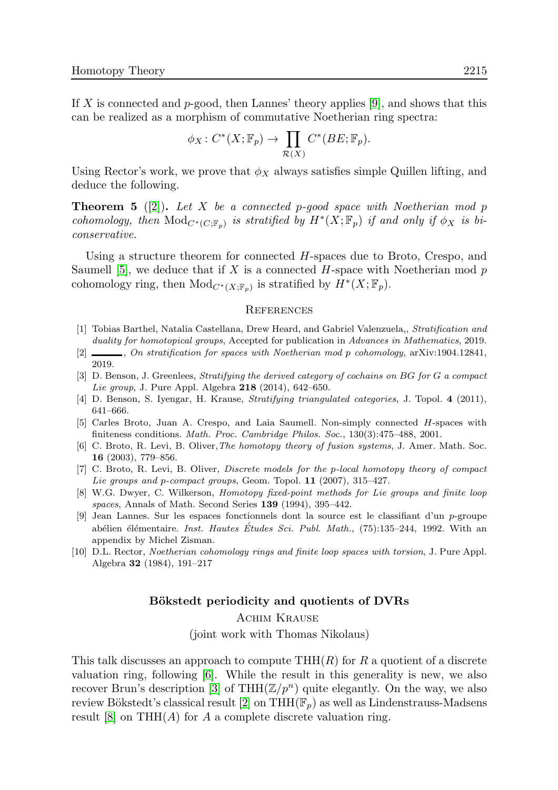If X is connected and  $p$ -good, then Lannes' theory applies [\[9\]](#page-32-8), and shows that this can be realized as a morphism of commutative Noetherian ring spectra:

$$
\phi_X \colon C^*(X; \mathbb{F}_p) \to \prod_{\mathcal{R}(X)} C^*(BE; \mathbb{F}_p).
$$

Using Rector's work, we prove that  $\phi_X$  always satisfies simple Quillen lifting, and deduce the following.

**Theorem 5** ([\[2\]](#page-32-1)). Let X be a connected p-good space with Noetherian mod p cohomology, then  $\text{Mod}_{C^*(C;\mathbb{F}_p)}$  is stratified by  $H^*(X;\mathbb{F}_p)$  if and only if  $\phi_X$  is biconservative.

Using a structure theorem for connected  $H$ -spaces due to Broto, Crespo, and Saumell [\[5\]](#page-32-9), we deduce that if X is a connected H-space with Noetherian mod  $p$ cohomology ring, then  $Mod_{C^*(X; \mathbb{F}_p)}$  is stratified by  $H^*(X; \mathbb{F}_p)$ .

### **REFERENCES**

- <span id="page-32-0"></span>[1] Tobias Barthel, Natalia Castellana, Drew Heard, and Gabriel Valenzuela,, Stratification and duality for homotopical groups, Accepted for publication in Advances in Mathematics, 2019.
- <span id="page-32-1"></span>[2]  $\_\_\_\_\_$ , On stratification for spaces with Noetherian mod p cohomology, arXiv:1904.12841, 2019.
- <span id="page-32-3"></span>[3] D. Benson, J. Greenlees, Stratifying the derived category of cochains on BG for G a compact Lie group, J. Pure Appl. Algebra 218 (2014), 642–650.
- <span id="page-32-9"></span><span id="page-32-2"></span>[4] D. Benson, S. Iyengar, H. Krause, *Stratifying triangulated categories*, J. Topol. 4 (2011), 641–666.
- <span id="page-32-6"></span>[5] Carles Broto, Juan A. Crespo, and Laia Saumell. Non-simply connected H-spaces with finiteness conditions. Math. Proc. Cambridge Philos. Soc., 130(3):475–488, 2001.
- <span id="page-32-4"></span>[6] C. Broto, R. Levi, B. Oliver,The homotopy theory of fusion systems, J. Amer. Math. Soc. 16 (2003), 779–856.
- <span id="page-32-5"></span>[7] C. Broto, R. Levi, B. Oliver, Discrete models for the p-local homotopy theory of compact Lie groups and p-compact groups, Geom. Topol. 11 (2007), 315–427.
- <span id="page-32-8"></span>[8] W.G. Dwyer, C. Wilkerson, Homotopy fixed-point methods for Lie groups and finite loop spaces, Annals of Math. Second Series 139 (1994), 395–442.
- <span id="page-32-7"></span>[9] Jean Lannes. Sur les espaces fonctionnels dont la source est le classifiant d'un p-groupe abélien élémentaire. Inst. Hautes Études Sci. Publ. Math.,  $(75):135-244$ , 1992. With an appendix by Michel Zisman.
- [10] D.L. Rector, Noetherian cohomology rings and finite loop spaces with torsion, J. Pure Appl. Algebra 32 (1984), 191–217

# Bökstedt periodicity and quotients of DVRs

**ACHIM KRAUSE** 

(joint work with Thomas Nikolaus)

This talk discusses an approach to compute  $THH(R)$  for R a quotient of a discrete valuation ring, following [\[6\]](#page-37-0). While the result in this generality is new, we also recover Brun's description [\[3\]](#page-37-1) of THH $(\mathbb{Z}/p^n)$  quite elegantly. On the way, we also review Bökstedt's classical result [\[2\]](#page-37-2) on  $THH(\mathbb{F}_p)$  as well as Lindenstrauss-Madsens result [\[8\]](#page-37-3) on THH(A) for A a complete discrete valuation ring.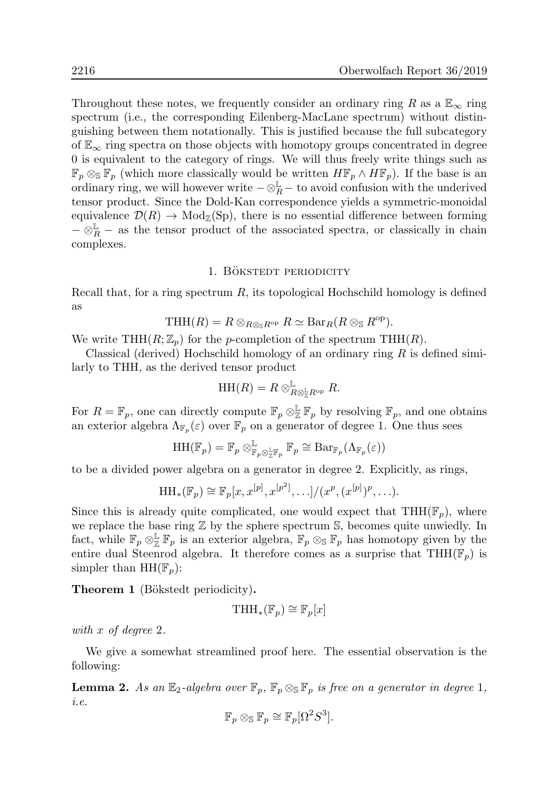Throughout these notes, we frequently consider an ordinary ring R as a  $\mathbb{E}_{\infty}$  ring spectrum (i.e., the corresponding Eilenberg-MacLane spectrum) without distinguishing between them notationally. This is justified because the full subcategory of  $\mathbb{E}_{\infty}$  ring spectra on those objects with homotopy groups concentrated in degree 0 is equivalent to the category of rings. We will thus freely write things such as  $\mathbb{F}_p \otimes_{\mathbb{S}} \mathbb{F}_p$  (which more classically would be written  $H\mathbb{F}_p \wedge H\mathbb{F}_p$ ). If the base is an ordinary ring, we will however write  $-\otimes_R^{\mathbb{L}}$  – to avoid confusion with the underived tensor product. Since the Dold-Kan correspondence yields a symmetric-monoidal equivalence  $\mathcal{D}(R) \to \text{Mod}_{\mathbb{Z}}(\text{Sp})$ , there is no essential difference between forming  $-\otimes_R^{\mathbb{L}}$  – as the tensor product of the associated spectra, or classically in chain complexes.

### 1. BÖKSTEDT PERIODICITY

Recall that, for a ring spectrum  $R$ , its topological Hochschild homology is defined as

$$
\mathrm{THH}(R) = R \otimes_{R \otimes_{\mathbb{S}} R^{\mathrm{op}}} R \simeq \mathrm{Bar}_R(R \otimes_{\mathbb{S}} R^{\mathrm{op}}).
$$

We write THH $(R;\mathbb{Z}_p)$  for the p-completion of the spectrum THH $(R)$ .

Classical (derived) Hochschild homology of an ordinary ring  $R$  is defined similarly to THH, as the derived tensor product

$$
\mathrm{HH}(R)=R\otimes^{\mathbb{L}}_{R\otimes^{\mathbb{L}}_{\mathbb{Z}}R^{\mathrm{op}}}R.
$$

For  $R = \mathbb{F}_p$ , one can directly compute  $\mathbb{F}_p \otimes_{\mathbb{Z}}^{\mathbb{L}} \mathbb{F}_p$  by resolving  $\mathbb{F}_p$ , and one obtains an exterior algebra  $\Lambda_{\mathbb{F}_p}(\varepsilon)$  over  $\mathbb{F}_p$  on a generator of degree 1. One thus sees

$$
\mathrm{HH}(\mathbb{F}_p) = \mathbb{F}_p \otimes_{\mathbb{F}_p \otimes \mathbb{F}_p}^{\mathbb{L}} \mathbb{F}_p \cong \mathrm{Bar}_{\mathbb{F}_p}(\Lambda_{\mathbb{F}_p}(\varepsilon))
$$

to be a divided power algebra on a generator in degree 2. Explicitly, as rings,

$$
HH_*(\mathbb{F}_p) \cong \mathbb{F}_p[x, x^{[p]}, x^{[p^2]}, \ldots]/(x^p, (x^{[p]})^p, \ldots).
$$

<span id="page-33-1"></span>Since this is already quite complicated, one would expect that  $THH(\mathbb{F}_p)$ , where we replace the base ring  $\mathbb Z$  by the sphere spectrum  $\mathbb S$ , becomes quite unwiedly. In fact, while  $\mathbb{F}_p \otimes_{\mathbb{Z}} \mathbb{F}_p$  is an exterior algebra,  $\mathbb{F}_p \otimes_{\mathbb{S}} \mathbb{F}_p$  has homotopy given by the entire dual Steenrod algebra. It therefore comes as a surprise that  $THH(\mathbb{F}_p)$  is simpler than  $HH(\mathbb{F}_n)$ :

Theorem 1 (Bökstedt periodicity).

$$
\mathrm{THH}_*(\mathbb{F}_p) \cong \mathbb{F}_p[x]
$$

<span id="page-33-0"></span>with x of degree 2.

We give a somewhat streamlined proof here. The essential observation is the following:

**Lemma 2.** As an  $\mathbb{E}_2$ -algebra over  $\mathbb{F}_p$ ,  $\mathbb{F}_p \otimes_{\mathbb{S}} \mathbb{F}_p$  is free on a generator in degree 1, i.e.

$$
\mathbb{F}_p \otimes_{\mathbb{S}} \mathbb{F}_p \cong \mathbb{F}_p[\Omega^2 S^3].
$$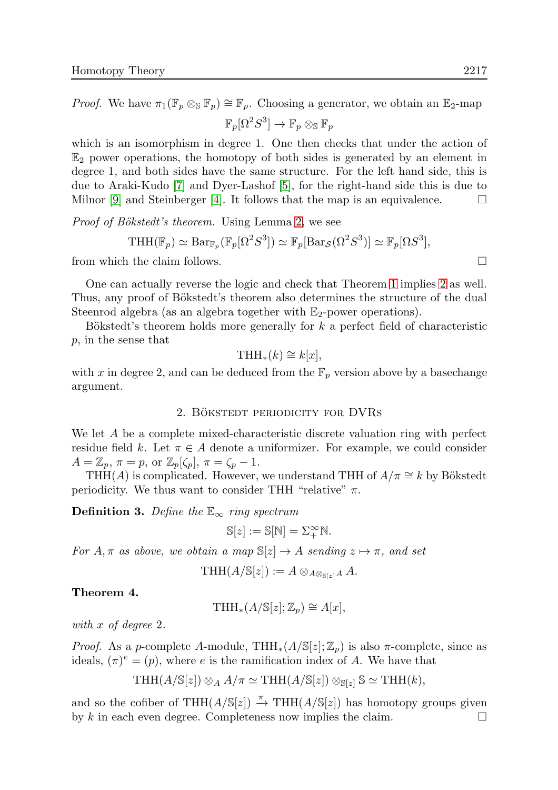*Proof.* We have  $\pi_1(\mathbb{F}_p \otimes_{\mathbb{S}} \mathbb{F}_p) \cong \mathbb{F}_p$ . Choosing a generator, we obtain an  $\mathbb{E}_2$ -map  $\mathbb{F}_p[\Omega^2 S^3] \rightarrow \mathbb{F}_p \otimes_{\mathbb{S}} \mathbb{F}_p$ 

which is an isomorphism in degree 1. One then checks that under the action of  $\mathbb{E}_2$  power operations, the homotopy of both sides is generated by an element in degree 1, and both sides have the same structure. For the left hand side, this is due to Araki-Kudo [\[7\]](#page-37-4) and Dyer-Lashof [\[5\]](#page-37-5), for the right-hand side this is due to Milnor [\[9\]](#page-37-6) and Steinberger [\[4\]](#page-37-7). It follows that the map is an equivalence.  $\Box$ 

Proof of Bökstedt's theorem. Using Lemma [2,](#page-33-0) we see

$$
\operatorname{THH}(\mathbb{F}_p) \simeq \operatorname{Bar}_{\mathbb{F}_p}(\mathbb{F}_p[\Omega^2 S^3]) \simeq \mathbb{F}_p[\operatorname{Bar}_{\mathcal{S}}(\Omega^2 S^3)] \simeq \mathbb{F}_p[\Omega S^3],
$$

from which the claim follows.  $\Box$ 

One can actually reverse the logic and check that Theorem [1](#page-33-1) implies [2](#page-33-0) as well. Thus, any proof of Bökstedt's theorem also determines the structure of the dual Steenrod algebra (as an algebra together with  $\mathbb{E}_2$ -power operations).

Bökstedt's theorem holds more generally for  $k$  a perfect field of characteristic p, in the sense that

$$
\text{THH}_*(k) \cong k[x],
$$

with x in degree 2, and can be deduced from the  $\mathbb{F}_p$  version above by a basechange argument.

### 2. BÖKSTEDT PERIODICITY FOR DVRS

We let A be a complete mixed-characteristic discrete valuation ring with perfect residue field k. Let  $\pi \in A$  denote a uniformizer. For example, we could consider  $A = \mathbb{Z}_p, \pi = p$ , or  $\mathbb{Z}_p[\zeta_p], \pi = \zeta_p - 1$ .

THH(A) is complicated. However, we understand THH of  $A/\pi \cong k$  by Bökstedt periodicity. We thus want to consider THH "relative"  $\pi$ .

**Definition 3.** Define the  $\mathbb{E}_{\infty}$  ring spectrum

$$
\mathbb{S}[z] := \mathbb{S}[\mathbb{N}] = \Sigma^{\infty}_+ \mathbb{N}.
$$

<span id="page-34-0"></span>For  $A, \pi$  as above, we obtain a map  $\mathbb{S}[z] \to A$  sending  $z \mapsto \pi$ , and set

$$
\mathrm{THH}(A/\mathbb{S}[z]) := A \otimes_{A \otimes_{\mathbb{S}[z]} A} A.
$$

### Theorem 4.

$$
\text{THH}_{*}(A/\mathbb{S}[z]; \mathbb{Z}_{p}) \cong A[x],
$$

with x of degree 2.

*Proof.* As a p-complete A-module, THH<sub>\*</sub> $(A/\mathbb{S}[z]; \mathbb{Z}_p)$  is also  $\pi$ -complete, since as ideals,  $(\pi)^e = (p)$ , where e is the ramification index of A. We have that

$$
\text{THH}(A/\mathbb{S}[z]) \otimes_A A/\pi \simeq \text{THH}(A/\mathbb{S}[z]) \otimes_{\mathbb{S}[z]} \mathbb{S} \simeq \text{THH}(k),
$$

and so the cofiber of THH( $A/\mathbb{S}[z]$ )  $\stackrel{\pi}{\to}$  THH( $A/\mathbb{S}[z]$ ) has homotopy groups given by k in each even degree. Completeness now implies the claim.  $\square$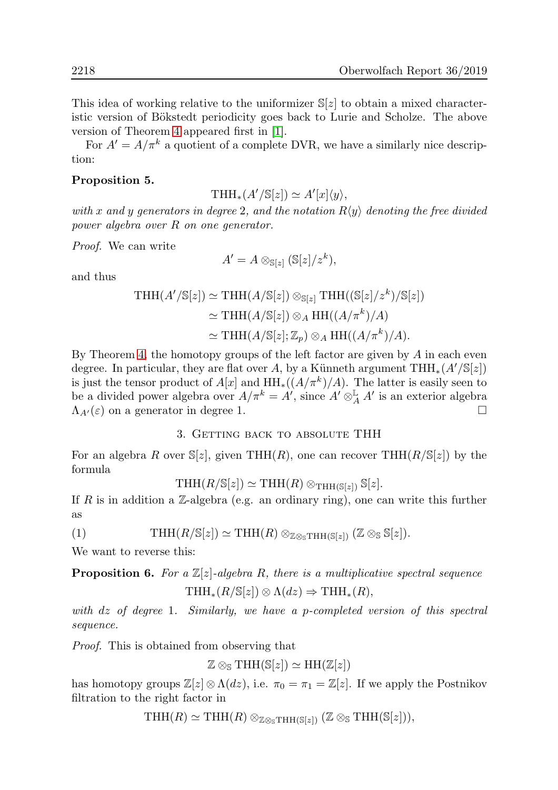This idea of working relative to the uniformizer  $\mathbb{S}[z]$  to obtain a mixed characteristic version of Bökstedt periodicity goes back to Lurie and Scholze. The above version of Theorem [4](#page-34-0) appeared first in [\[1\]](#page-37-8).

For  $A' = A/\pi^k$  a quotient of a complete DVR, we have a similarly nice description:

### Proposition 5.

$$
\text{THH}_{*}(A'/\mathbb{S}[z]) \simeq A'[x]\langle y \rangle,
$$

with x and y generators in degree 2, and the notation  $R\langle y \rangle$  denoting the free divided power algebra over R on one generator.

Proof. We can write

$$
A' = A \otimes_{\mathbb{S}[z]} (\mathbb{S}[z]/z^k),
$$

and thus

$$
\text{THH}(A'/\mathbb{S}[z]) \simeq \text{THH}(A/\mathbb{S}[z]) \otimes_{\mathbb{S}[z]} \text{THH}((\mathbb{S}[z]/z^k)/\mathbb{S}[z])
$$

$$
\simeq \text{THH}(A/\mathbb{S}[z]) \otimes_A \text{HH}((A/\pi^k)/A)
$$

$$
\simeq \text{THH}(A/\mathbb{S}[z]; \mathbb{Z}_p) \otimes_A \text{HH}((A/\pi^k)/A).
$$

By Theorem [4,](#page-34-0) the homotopy groups of the left factor are given by  $A$  in each even degree. In particular, they are flat over A, by a Künneth argument  $THH_*(A'/\mathbb{S}[z])$ is just the tensor product of  $A[x]$  and  $HH_*((A/\pi^k)/A)$ . The latter is easily seen to be a divided power algebra over  $A/\pi^k = A'$ , since  $A' \otimes_A^{\mathbb{L}} A'$  is an exterior algebra  $\Lambda_{A}(\varepsilon)$  on a generator in degree 1.

### 3. Getting back to absolute THH

For an algebra R over  $\mathbb{S}[z]$ , given THH(R), one can recover THH(R/ $\mathbb{S}[z]$ ) by the formula

$$
\mathrm{THH}(R/\mathbb{S}[z]) \simeq \mathrm{THH}(R) \otimes_{\mathrm{THH}(\mathbb{S}[z])} \mathbb{S}[z].
$$

If R is in addition a  $\mathbb{Z}$ -algebra (e.g. an ordinary ring), one can write this further as

(1) 
$$
\text{THH}(R/\mathbb{S}[z]) \simeq \text{THH}(R) \otimes_{\mathbb{Z}\otimes_{\mathbb{S}} \text{THH}(\mathbb{S}[z])} (\mathbb{Z} \otimes_{\mathbb{S}} \mathbb{S}[z]).
$$

We want to reverse this:

**Proposition 6.** For a  $\mathbb{Z}[z]$ -algebra R, there is a multiplicative spectral sequence

$$
\mathrm{THH}_*(R/\mathbb{S}[z]) \otimes \Lambda(dz) \Rightarrow \mathrm{THH}_*(R),
$$

with dz of degree 1. Similarly, we have a p-completed version of this spectral sequence.

Proof. This is obtained from observing that

$$
\mathbb{Z} \otimes_{\mathbb{S}} \mathrm{THH}(\mathbb{S}[z]) \simeq \mathrm{HH}(\mathbb{Z}[z])
$$

has homotopy groups  $\mathbb{Z}[z] \otimes \Lambda(dz)$ , i.e.  $\pi_0 = \pi_1 = \mathbb{Z}[z]$ . If we apply the Postnikov filtration to the right factor in

 $THH(R) \simeq THH(R) \otimes_{\mathbb{Z} \otimes_{\mathbb{S}} THH(\mathbb{S}[z])} (\mathbb{Z} \otimes_{\mathbb{S}} THH(\mathbb{S}[z])),$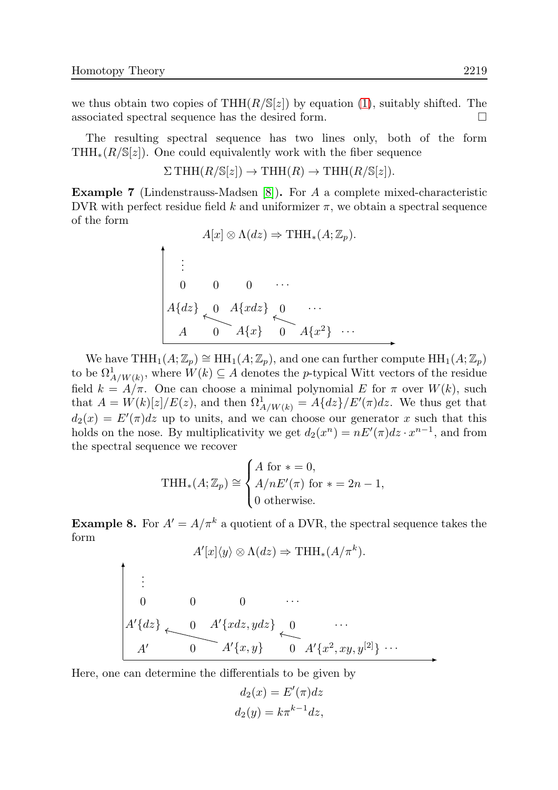we thus obtain two copies of THH $(R/\mathbb{S}[z])$  by equation [\(1\)](#page-35-0), suitably shifted. The associated spectral sequence has the desired form.

The resulting spectral sequence has two lines only, both of the form  $THH_*(R/S[z])$ . One could equivalently work with the fiber sequence

$$
\Sigma \text{THH}(R/\mathbb{S}[z]) \to \text{THH}(R) \to \text{THH}(R/\mathbb{S}[z]).
$$

Example 7 (Lindenstrauss-Madsen [\[8\]](#page-37-0)). For A a complete mixed-characteristic DVR with perfect residue field k and uniformizer  $\pi$ , we obtain a spectral sequence of the form

$$
A[x] \otimes \Lambda(dz) \Rightarrow \text{THH}_{*}(A; \mathbb{Z}_{p}).
$$
  
\n
$$
\vdots
$$
  
\n
$$
0 \quad 0 \quad 0 \quad \cdots
$$
  
\n
$$
A\{dz\} \underbrace{0}_{A} A\{xdz\} \underbrace{0}_{0} \cdots
$$
  
\n
$$
A\{w\} \stackrel{\text{def}}{=} A\{x^{2}\} \cdots
$$

We have THH<sub>1</sub> $(A; \mathbb{Z}_p) \cong HH_1(A; \mathbb{Z}_p)$ , and one can further compute  $HH_1(A; \mathbb{Z}_p)$ to be  $\Omega^1_{A/W(k)}$ , where  $W(k) \subseteq A$  denotes the p-typical Witt vectors of the residue field  $k = A/\pi$ . One can choose a minimal polynomial E for  $\pi$  over  $W(k)$ , such that  $A = W(k)[z]/E(z)$ , and then  $\Omega^1_{A/W(k)} = A\{dz\}/E'(\pi)dz$ . We thus get that  $d_2(x) = E'(\pi)dz$  up to units, and we can choose our generator x such that this holds on the nose. By multiplicativity we get  $d_2(x^n) = nE'(\pi)dz \cdot x^{n-1}$ , and from the spectral sequence we recover

$$
\text{THH}_{*}(A; \mathbb{Z}_{p}) \cong \begin{cases} A \text{ for } * = 0, \\ A/nE'(\pi) \text{ for } * = 2n - 1, \\ 0 \text{ otherwise.} \end{cases}
$$

**Example 8.** For  $A' = A/\pi^k$  a quotient of a DVR, the spectral sequence takes the form

$$
A'[x](y) \otimes \Lambda(dz) \Rightarrow \text{THH}_{*}(A/\pi^{k}).
$$
  
\n
$$
\vdots
$$
  
\n
$$
0 \qquad 0 \qquad 0 \qquad \cdots
$$
  
\n
$$
A'\{dz\} \longleftarrow 0 \qquad A'\{xdz,ydz\} \qquad 0 \qquad \cdots
$$
  
\n
$$
A' \qquad 0 \qquad A'\{x,y\} \qquad 0 \qquad A'\{x^{2},xy,y^{[2]}\} \cdots
$$

Here, one can determine the differentials to be given by

$$
d_2(x) = E'(\pi)dz
$$
  

$$
d_2(y) = k\pi^{k-1}dz,
$$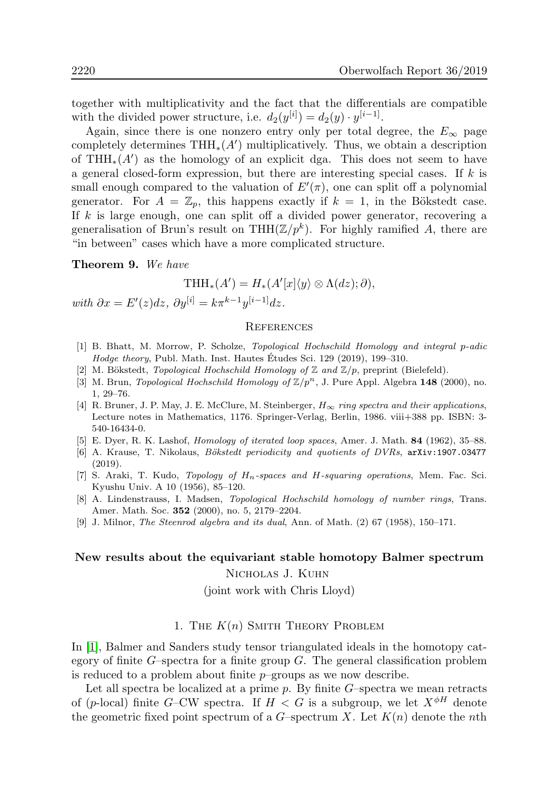together with multiplicativity and the fact that the differentials are compatible with the divided power structure, i.e.  $d_2(y^{[i]}) = d_2(y) \cdot y^{[i-1]}$ .

Again, since there is one nonzero entry only per total degree, the  $E_{\infty}$  page completely determines  $THH_*(A')$  multiplicatively. Thus, we obtain a description of THH<sub>\*</sub> $(A')$  as the homology of an explicit dga. This does not seem to have a general closed-form expression, but there are interesting special cases. If  $k$  is small enough compared to the valuation of  $E'(\pi)$ , one can split off a polynomial generator. For  $A = \mathbb{Z}_p$ , this happens exactly if  $k = 1$ , in the Bökstedt case. If  $k$  is large enough, one can split off a divided power generator, recovering a generalisation of Brun's result on THH $(\mathbb{Z}/p^k)$ . For highly ramified A, there are "in between" cases which have a more complicated structure.

Theorem 9. We have

$$
\text{THH}_{*}(A') = H_{*}(A'[x]\langle y \rangle \otimes \Lambda(dz); \partial),
$$

with  $\partial x = E'(z)dz$ ,  $\partial y^{[i]} = k\pi^{k-1}y^{[i-1]}dz$ .

#### **REFERENCES**

- [1] B. Bhatt, M. Morrow, P. Scholze, Topological Hochschild Homology and integral p-adic *Hodge theory*, Publ. Math. Inst. Hautes Études Sci. 129 (2019), 199–310.
- [2] M. Bökstedt, Topological Hochschild Homology of  $\mathbb Z$  and  $\mathbb Z/p$ , preprint (Bielefeld).
- [3] M. Brun, *Topological Hochschild Homology of*  $\mathbb{Z}/p^n$ , J. Pure Appl. Algebra 148 (2000), no. 1, 29–76.
- [4] R. Bruner, J. P. May, J. E. McClure, M. Steinberger,  $H_{\infty}$  ring spectra and their applications, Lecture notes in Mathematics, 1176. Springer-Verlag, Berlin, 1986. viii+388 pp. ISBN: 3-540-16434-0.
- [5] E. Dyer, R. K. Lashof, Homology of iterated loop spaces, Amer. J. Math. 84 (1962), 35–88.
- [6] A. Krause, T. Nikolaus, *Bökstedt periodicity and quotients of DVRs*, arXiv:1907.03477 (2019).
- <span id="page-37-0"></span>[7] S. Araki, T. Kudo, Topology of  $H_n$ -spaces and  $H$ -squaring operations, Mem. Fac. Sci. Kyushu Univ. A 10 (1956), 85–120.
- [8] A. Lindenstrauss, I. Madsen, Topological Hochschild homology of number rings, Trans. Amer. Math. Soc. 352 (2000), no. 5, 2179–2204.
- [9] J. Milnor, The Steenrod algebra and its dual, Ann. of Math. (2) 67 (1958), 150–171.

# New results about the equivariant stable homotopy Balmer spectrum Nicholas J. Kuhn

(joint work with Chris Lloyd)

### 1. THE  $K(n)$  SMITH THEORY PROBLEM

In [\[1\]](#page-40-0), Balmer and Sanders study tensor triangulated ideals in the homotopy category of finite  $G$ -spectra for a finite group  $G$ . The general classification problem is reduced to a problem about finite  $p$ –groups as we now describe.

Let all spectra be localized at a prime  $p$ . By finite  $G$ –spectra we mean retracts of (p-local) finite G–CW spectra. If  $H < G$  is a subgroup, we let  $X^{\phi H}$  denote the geometric fixed point spectrum of a  $G$ -spectrum X. Let  $K(n)$  denote the nth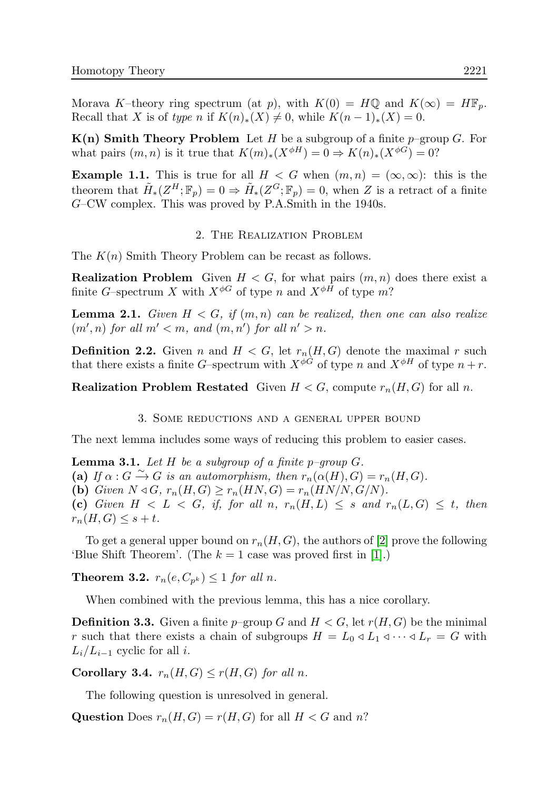Morava K–theory ring spectrum (at p), with  $K(0) = H\mathbb{Q}$  and  $K(\infty) = H\mathbb{F}_p$ . Recall that X is of type n if  $K(n)_*(X) \neq 0$ , while  $K(n-1)_*(X) = 0$ .

 $K(n)$  Smith Theory Problem Let H be a subgroup of a finite p–group G. For what pairs  $(m, n)$  is it true that  $K(m)_*(X^{\phi H}) = 0 \Rightarrow K(n)_*(X^{\phi G}) = 0$ ?

**Example 1.1.** This is true for all  $H < G$  when  $(m, n) = (\infty, \infty)$ : this is the theorem that  $\tilde{H}_*(Z^H; \mathbb{F}_p) = 0 \Rightarrow \tilde{H}_*(Z^G; \mathbb{F}_p) = 0$ , when Z is a retract of a finite G–CW complex. This was proved by P.A.Smith in the 1940s.

#### 2. The Realization Problem

The  $K(n)$  Smith Theory Problem can be recast as follows.

**Realization Problem** Given  $H < G$ , for what pairs  $(m, n)$  does there exist a finite G-spectrum X with  $X^{\phi G}$  of type n and  $X^{\phi H}$  of type m?

**Lemma 2.1.** Given  $H < G$ , if  $(m, n)$  can be realized, then one can also realize  $(m', n)$  for all  $m' < m$ , and  $(m, n')$  for all  $n' > n$ .

**Definition 2.2.** Given n and  $H < G$ , let  $r_n(H, G)$  denote the maximal r such that there exists a finite G–spectrum with  $X^{\phi\dot{G}}$  of type n and  $X^{\phi H}$  of type  $n + r$ .

**Realization Problem Restated** Given  $H < G$ , compute  $r_n(H, G)$  for all n.

#### 3. Some reductions and a general upper bound

The next lemma includes some ways of reducing this problem to easier cases.

**Lemma 3.1.** Let H be a subgroup of a finite  $p$ -group  $G$ . (a) If  $\alpha$ :  $G \xrightarrow{\sim} G$  is an automorphism, then  $r_n(\alpha(H), G) = r_n(H, G)$ . (b) Given  $N \triangleleft G$ ,  $r_n(H, G) \ge r_n(HN, G) = r_n(HN/N, G/N)$ . (c) Given  $H < L < G$ , if, for all n,  $r_n(H, L) \leq s$  and  $r_n(L, G) \leq t$ , then  $r_n(H, G) \leq s + t.$ 

To get a general upper bound on  $r_n(H, G)$ , the authors of [\[2\]](#page-40-1) prove the following 'Blue Shift Theorem'. (The  $k = 1$  case was proved first in [\[1\]](#page-40-0).)

**Theorem 3.2.**  $r_n(e, C_{p^k}) \leq 1$  for all n.

When combined with the previous lemma, this has a nice corollary.

**Definition 3.3.** Given a finite p–group G and  $H < G$ , let  $r(H, G)$  be the minimal r such that there exists a chain of subgroups  $H = L_0 \triangleleft L_1 \triangleleft \cdots \triangleleft L_r = G$  with  $L_i/L_{i-1}$  cyclic for all *i*.

Corollary 3.4.  $r_n(H, G) \le r(H, G)$  for all n.

The following question is unresolved in general.

Question Does  $r_n(H, G) = r(H, G)$  for all  $H < G$  and n?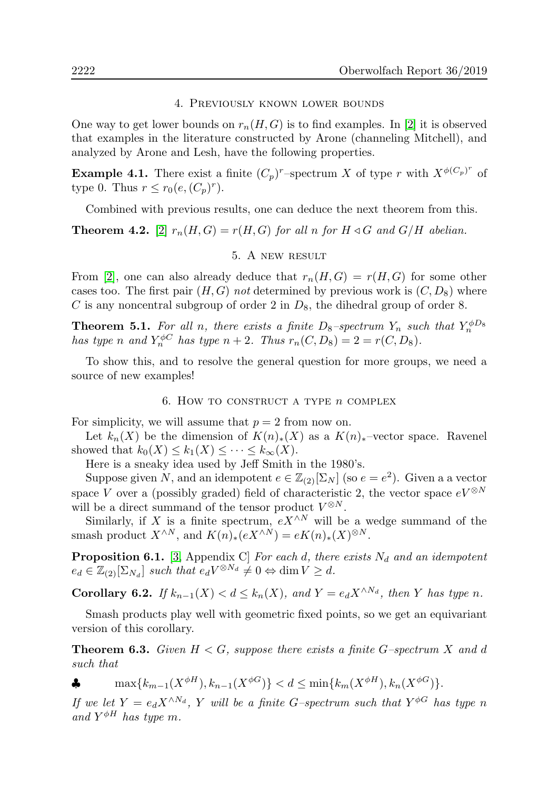#### 4. Previously known lower bounds

One way to get lower bounds on  $r_n(H, G)$  is to find examples. In [\[2\]](#page-40-1) it is observed that examples in the literature constructed by Arone (channeling Mitchell), and analyzed by Arone and Lesh, have the following properties.

**Example 4.1.** There exist a finite  $(C_p)^r$ -spectrum X of type r with  $X^{\phi(C_p)^r}$  of type 0. Thus  $r \leq r_0(e, (C_p)^r)$ .

Combined with previous results, one can deduce the next theorem from this.

**Theorem 4.2.** [\[2\]](#page-40-1)  $r_n(H, G) = r(H, G)$  for all n for  $H \triangleleft G$  and  $G/H$  abelian.

#### 5. A new result

From [\[2\]](#page-40-1), one can also already deduce that  $r_n(H, G) = r(H, G)$  for some other cases too. The first pair  $(H, G)$  not determined by previous work is  $(C, D_8)$  where C is any noncentral subgroup of order 2 in  $D_8$ , the dihedral group of order 8.

<span id="page-39-0"></span>**Theorem 5.1.** For all n, there exists a finite  $D_8$ -spectrum  $Y_n$  such that  $Y_n^{\phi D_8}$ has type n and  $Y_n^{\phi C}$  has type  $n+2$ . Thus  $r_n(C, D_8) = 2 = r(C, D_8)$ .

To show this, and to resolve the general question for more groups, we need a source of new examples!

#### 6. How to construct a type  $n$  complex

For simplicity, we will assume that  $p = 2$  from now on.

Let  $k_n(X)$  be the dimension of  $K(n)_*(X)$  as a  $K(n)_*$ –vector space. Ravenel showed that  $k_0(X) \leq k_1(X) \leq \cdots \leq k_{\infty}(X)$ .

Here is a sneaky idea used by Jeff Smith in the 1980's.

Suppose given N, and an idempotent  $e \in \mathbb{Z}_{(2)}[\Sigma_N]$  (so  $e = e^2$ ). Given a a vector space V over a (possibly graded) field of characteristic 2, the vector space  $eV^{\otimes N}$ will be a direct summand of the tensor product  $V^{\otimes N}$ .

Similarly, if X is a finite spectrum,  $eX^{\wedge N}$  will be a wedge summand of the smash product  $X^{\wedge N}$ , and  $K(n)_*(eX^{\wedge N}) = eK(n)_*(X)^{\otimes N}$ .

**Proposition 6.1.** [\[3,](#page-40-2) Appendix C] For each d, there exists  $N_d$  and an idempotent  $e_d \in \mathbb{Z}_{(2)}[\Sigma_{N_d}]$  such that  $e_d V^{\otimes N_d} \neq 0 \Leftrightarrow \dim V \geq d$ .

Corollary 6.2. If  $k_{n-1}(X) < d \leq k_n(X)$ , and  $Y = e_d X^{\wedge N_d}$ , then Y has type n.

Smash products play well with geometric fixed points, so we get an equivariant version of this corollary.

**Theorem 6.3.** Given  $H < G$ , suppose there exists a finite G-spectrum X and d such that

$$
\bullet \qquad \max\{k_{m-1}(X^{\phi H}), k_{n-1}(X^{\phi G})\} < d \le \min\{k_m(X^{\phi H}), k_n(X^{\phi G})\}.
$$

If we let  $Y = e_d X^{\wedge N_d}$ , Y will be a finite G-spectrum such that  $Y^{\phi G}$  has type n and  $Y^{\phi H}$  has type m.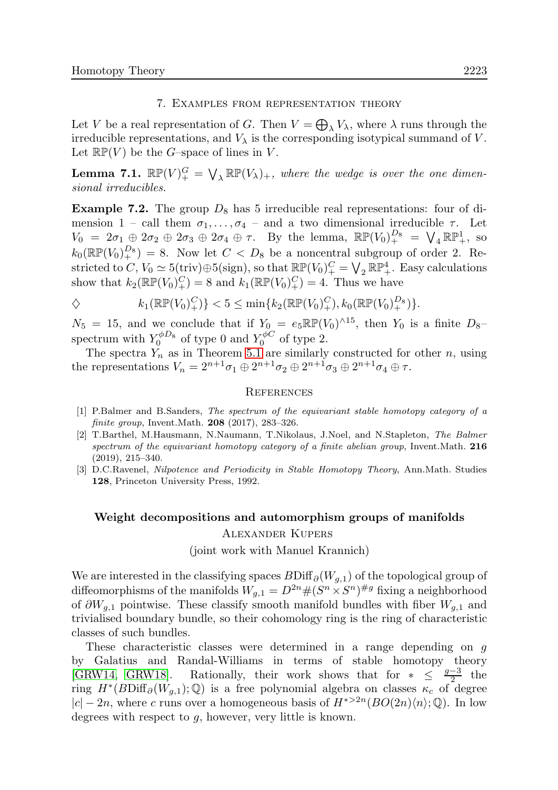#### 7. Examples from representation theory

Let V be a real representation of G. Then  $V = \bigoplus_{\lambda} V_{\lambda}$ , where  $\lambda$  runs through the irreducible representations, and  $V_{\lambda}$  is the corresponding isotypical summand of V. Let  $\mathbb{RP}(V)$  be the *G*-space of lines in V.

**Lemma 7.1.**  $\mathbb{RP}(V)_+^G = \bigvee_{\lambda} \mathbb{RP}(V_{\lambda})_+$ , where the wedge is over the one dimensional irreducibles.

**Example 7.2.** The group  $D_8$  has 5 irreducible real representations: four of dimension 1 – call them  $\sigma_1, \ldots, \sigma_4$  – and a two dimensional irreducible  $\tau$ . Let  $V_0 = 2\sigma_1 \oplus 2\sigma_2 \oplus 2\sigma_3 \oplus 2\sigma_4 \oplus \tau$ . By the lemma,  $\mathbb{RP}(V_0)_+^{D_8} = \bigvee_4 \mathbb{RP}_+^1$ , so  $k_0(\mathbb{RP}(V_0)_+^{D_8}) = 8$ . Now let  $C < D_8$  be a noncentral subgroup of order 2. Restricted to  $C, V_0 \simeq 5(\text{triv}) \oplus 5(\text{sign}),$  so that  $\mathbb{RP}(V_0)_+^C = \bigvee_2 \mathbb{RP}_+^4$ . Easy calculations show that  $k_2(\mathbb{RP}(V_0)_{+}^C) = 8$  and  $k_1(\mathbb{RP}(V_0)_{+}^C) = 4$ . Thus we have

$$
\diamondsuit \qquad k_1(\mathbb{RP}(V_0)^C_+)\} < 5 \le \min\{k_2(\mathbb{RP}(V_0)^C_+), k_0(\mathbb{RP}(V_0)^{D_8}_+)\}.
$$

 $N_5 = 15$ , and we conclude that if  $Y_0 = e_5 \mathbb{RP}(V_0)^{\wedge 15}$ , then  $Y_0$  is a finite  $D_8$ spectrum with  $Y_0^{\phi D_8}$  $Y_0^{\phi D_8}$  of type 0 and  $Y_0^{\phi C_8}$  $v_0^{\varphi\mathrm{C}}$  of type 2.

The spectra  $Y_n$  as in Theorem [5.1](#page-39-0) are similarly constructed for other n, using the representations  $V_n = 2^{n+1}\sigma_1 \oplus 2^{n+1}\sigma_2 \oplus 2^{n+1}\sigma_3 \oplus 2^{n+1}\sigma_4 \oplus \tau.$ 

#### **REFERENCES**

- <span id="page-40-1"></span><span id="page-40-0"></span>[1] P.Balmer and B.Sanders, The spectrum of the equivariant stable homotopy category of a finite group, Invent.Math. 208 (2017), 283–326.
- <span id="page-40-2"></span>[2] T.Barthel, M.Hausmann, N.Naumann, T.Nikolaus, J.Noel, and N.Stapleton, The Balmer spectrum of the equivariant homotopy category of a finite abelian group, Invent.Math. 216 (2019), 215–340.
- [3] D.C.Ravenel, Nilpotence and Periodicity in Stable Homotopy Theory, Ann.Math. Studies 128, Princeton University Press, 1992.

# Weight decompositions and automorphism groups of manifolds Alexander Kupers

(joint work with Manuel Krannich)

We are interested in the classifying spaces  $B\text{Diff}_{\partial}(W_{g,1})$  of the topological group of diffeomorphisms of the manifolds  $W_{g,1} = D^{2n} \# (S^n \times S^n)^{\# g}$  fixing a neighborhood of  $\partial W_{q,1}$  pointwise. These classify smooth manifold bundles with fiber  $W_{q,1}$  and trivialised boundary bundle, so their cohomology ring is the ring of characteristic classes of such bundles.

These characteristic classes were determined in a range depending on g by Galatius and Randal-Williams in terms of stable homotopy theory [\[GRW14,](#page-44-0) [GRW18\]](#page-44-1). Rationally, their work shows that for  $* \leq \frac{g-3}{2}$  the ring  $H^*(B\text{Diff}_{\partial}(W_{g,1});\mathbb{Q})$  is a free polynomial algebra on classes  $\kappa_c$  of degree  $|c| - 2n$ , where c runs over a homogeneous basis of  $H^{*>2n}(BO(2n)\langle n\rangle;\mathbb{Q})$ . In low degrees with respect to q, however, very little is known.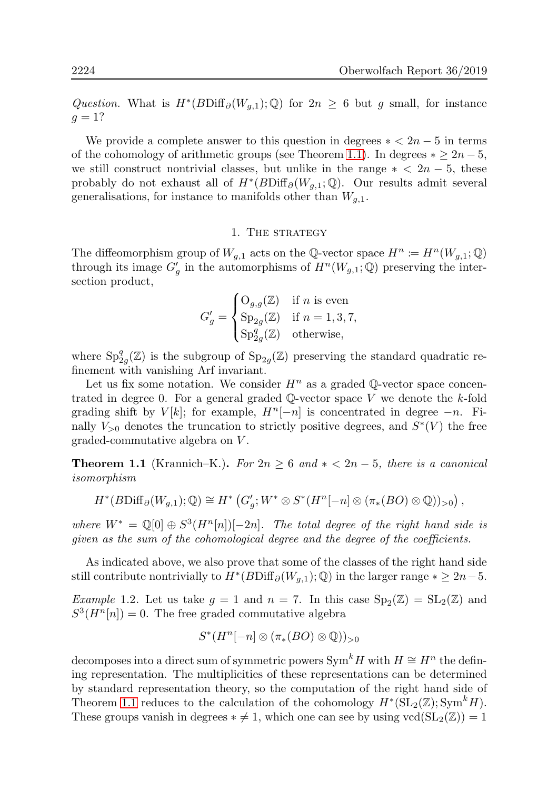Question. What is  $H^*(B\text{Diff}_{\partial}(W_{g,1});\mathbb{Q})$  for  $2n \geq 6$  but g small, for instance  $g = 1?$ 

We provide a complete answer to this question in degrees  $* < 2n - 5$  in terms of the cohomology of arithmetic groups (see Theorem [1.1\)](#page-41-0). In degrees  $* \geq 2n-5$ , we still construct nontrivial classes, but unlike in the range  $* < 2n - 5$ , these probably do not exhaust all of  $H^*(B\text{Diff}_{\partial}(W_{g,1};\mathbb{Q})$ . Our results admit several generalisations, for instance to manifolds other than  $W_{g,1}$ .

### 1. THE STRATEGY

The diffeomorphism group of  $W_{g,1}$  acts on the Q-vector space  $H^n \coloneqq H^n(W_{g,1}; \mathbb{Q})$ through its image  $G'_{g}$  in the automorphisms of  $H^{n}(W_{g,1};\mathbb{Q})$  preserving the intersection product,

$$
G'_g = \begin{cases} \mathcal{O}_{g,g}(\mathbb{Z}) & \text{if } n \text{ is even} \\ \text{Sp}_{2g}(\mathbb{Z}) & \text{if } n = 1, 3, 7, \\ \text{Sp}_{2g}^q(\mathbb{Z}) & \text{otherwise,} \end{cases}
$$

where  $\text{Sp}_{2g}^q(\mathbb{Z})$  is the subgroup of  $\text{Sp}_{2g}(\mathbb{Z})$  preserving the standard quadratic refinement with vanishing Arf invariant.

Let us fix some notation. We consider  $H^n$  as a graded Q-vector space concentrated in degree 0. For a general graded  $\mathbb{Q}\text{-vector space }V$  we denote the k-fold grading shift by  $V[k]$ ; for example,  $H^{n}[-n]$  is concentrated in degree  $-n$ . Finally  $V_{>0}$  denotes the truncation to strictly positive degrees, and  $S^*(V)$  the free graded-commutative algebra on V .

<span id="page-41-0"></span>**Theorem 1.1** (Krannich–K.). For  $2n \geq 6$  and  $* < 2n - 5$ , there is a canonical isomorphism

$$
H^*(B\mathrm{Diff}_{\partial}(W_{g,1});\mathbb{Q})\cong H^*\left(G'_g;W^*\otimes S^*(H^n[-n]\otimes (\pi_*(BO)\otimes\mathbb{Q}))_{>0}\right),
$$

where  $W^* = \mathbb{Q}[0] \oplus S^3(H^n[n])[-2n]$ . The total degree of the right hand side is given as the sum of the cohomological degree and the degree of the coefficients.

As indicated above, we also prove that some of the classes of the right hand side still contribute nontrivially to  $H^*(B\text{Diff}_{\partial}(W_{g,1});\mathbb{Q})$  in the larger range  $*\geq 2n-5$ .

*Example 1.2.* Let us take  $g = 1$  and  $n = 7$ . In this case  $Sp_2(\mathbb{Z}) = SL_2(\mathbb{Z})$  and  $S^3(H^n[n]) = 0$ . The free graded commutative algebra

$$
S^*(H^n[-n]\otimes (\pi_*(BO)\otimes \mathbb{Q}))_{>0}
$$

decomposes into a direct sum of symmetric powers Sym<sup>k</sup>H with  $H \cong H^n$  the defining representation. The multiplicities of these representations can be determined by standard representation theory, so the computation of the right hand side of Theorem [1.1](#page-41-0) reduces to the calculation of the cohomology  $H^*(\mathrm{SL}_2(\mathbb{Z}); \mathrm{Sym}^k H)$ . These groups vanish in degrees  $*\neq 1$ , which one can see by using  $\text{vcd}(\text{SL}_2(\mathbb{Z})) = 1$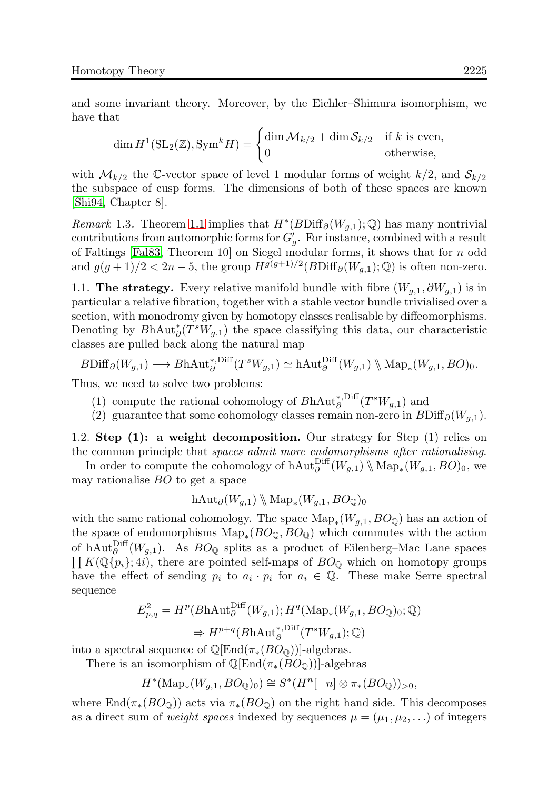and some invariant theory. Moreover, by the Eichler–Shimura isomorphism, we have that

$$
\dim H^1(\mathit{{\rm SL}}_2(\mathbb{Z}), \mathit{{\rm Sym}}^k H) = \begin{cases} \dim \mathcal{M}_{k/2} + \dim \mathcal{S}_{k/2} & \text{if } k \text{ is even,} \\ 0 & \text{otherwise,} \end{cases}
$$

with  $\mathcal{M}_{k/2}$  the C-vector space of level 1 modular forms of weight  $k/2$ , and  $\mathcal{S}_{k/2}$ the subspace of cusp forms. The dimensions of both of these spaces are known [\[Shi94,](#page-44-2) Chapter 8].

*Remark* 1.3. Theorem [1.1](#page-41-0) implies that  $H^*(B\text{Diff}_{\partial}(W_{g,1});\mathbb{Q})$  has many nontrivial contributions from automorphic forms for  $G'_{g}$ . For instance, combined with a result of Faltings [\[Fal83,](#page-44-3) Theorem 10] on Siegel modular forms, it shows that for n odd and  $g(g+1)/2 < 2n-5$ , the group  $H^{g(g+1)/2}(B\text{Diff}_{\partial}(W_{g,1});\mathbb{Q})$  is often non-zero.

1.1. The strategy. Every relative manifold bundle with fibre  $(W_{g,1}, \partial W_{g,1})$  is in particular a relative fibration, together with a stable vector bundle trivialised over a section, with monodromy given by homotopy classes realisable by diffeomorphisms. Denoting by  $Bh\text{Aut}_{\partial}^*(T^sW_{g,1})$  the space classifying this data, our characteristic classes are pulled back along the natural map

$$
B\mathrm{Diff}_{\partial}(W_{g,1}) \longrightarrow B\mathrm{hAut}_{\partial}^{*,\mathrm{Diff}}(T^sW_{g,1}) \simeq \mathrm{hAut}_{\partial}^{\mathrm{Diff}}(W_{g,1}) \setminus \mathrm{Map}_*(W_{g,1},BO)_0.
$$

Thus, we need to solve two problems:

- (1) compute the rational cohomology of  $Bh\text{Aut}^{*,\text{Diff}}_{\partial}(T^sW_{g,1})$  and
- (2) guarantee that some cohomology classes remain non-zero in  $B\text{Diff}_{\partial}(W_{q,1})$ .

1.2. Step (1): a weight decomposition. Our strategy for Step (1) relies on the common principle that spaces admit more endomorphisms after rationalising.

In order to compute the cohomology of  $\mathrm{hAut}^{\mathrm{Diff}}_{\partial}(W_{g,1}) \setminus \mathrm{Map}_*(W_{g,1},BO)_0$ , we may rationalise BO to get a space

$$
\operatorname{hAut}_\partial(W_{g,1})\setminus\!\!\!\big\backslash\operatorname{Map}_*(W_{g,1},BO_{\mathbb{Q}})_0
$$

with the same rational cohomology. The space  $\text{Map}_*(W_{g,1},BO_{\mathbb{Q}})$  has an action of the space of endomorphisms  $\text{Map}_*(BO_{\mathbb{Q}}, BO_{\mathbb{Q}})$  which commutes with the action of hAut $_{\partial}^{\text{Diff}}(W_{g,1})$ . As  $BO_{\mathbb{Q}}$  splits as a product of Eilenberg–Mac Lane spaces  $\prod K(\mathbb{Q}\{p_i\}; 4i)$ , there are pointed self-maps of  $BO_{\mathbb{Q}}$  which on homotopy groups have the effect of sending  $p_i$  to  $a_i \cdot p_i$  for  $a_i \in \mathbb{Q}$ . These make Serre spectral sequence

$$
E_{p,q}^2 = H^p(Bh\text{Aut}_{\partial}^{\text{Diff}}(W_{g,1}); H^q(\text{Map}_*(W_{g,1}, BO_{\mathbb{Q}})_0; \mathbb{Q})
$$
  

$$
\Rightarrow H^{p+q}(Bh\text{Aut}_{\partial}^{*,\text{Diff}}(T^sW_{g,1}); \mathbb{Q})
$$

into a spectral sequence of  $\mathbb{Q}[\text{End}(\pi_*(BO_{\mathbb{Q}}))]$ -algebras.

There is an isomorphism of  $\mathbb{Q}[\text{End}(\pi_*(BO_0))]$ -algebras

$$
H^*(\mathrm{Map}_*(W_{g,1},BO_{\mathbb{Q}})_0) \cong S^*(H^n[-n] \otimes \pi_*(BO_{\mathbb{Q}}))_{>0},
$$

where  $\text{End}(\pi_*(BO_0))$  acts via  $\pi_*(BO_0)$  on the right hand side. This decomposes as a direct sum of *weight spaces* indexed by sequences  $\mu = (\mu_1, \mu_2, \ldots)$  of integers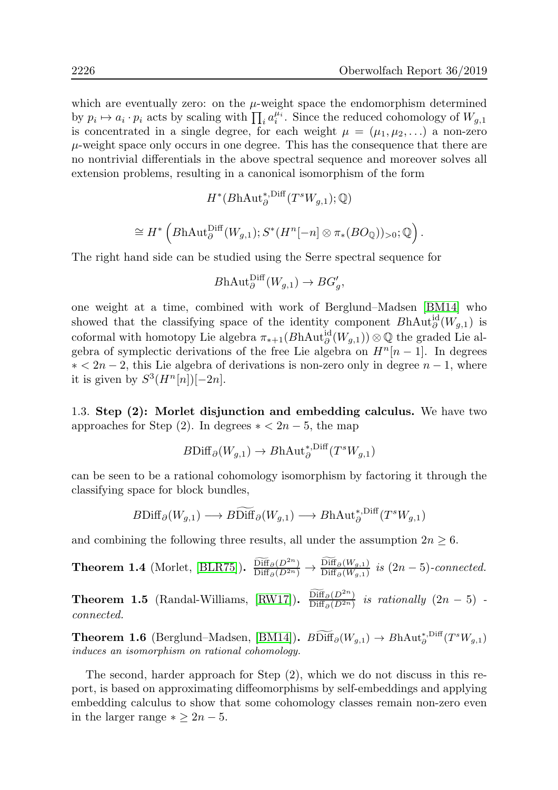which are eventually zero: on the  $\mu$ -weight space the endomorphism determined by  $p_i \mapsto a_i \cdot p_i$  acts by scaling with  $\prod_i a_i^{\mu_i}$  $\mu_i^{\mu_i}$ . Since the reduced cohomology of  $W_{g,1}$ is concentrated in a single degree, for each weight  $\mu = (\mu_1, \mu_2, \ldots)$  a non-zero  $\mu$ -weight space only occurs in one degree. This has the consequence that there are no nontrivial differentials in the above spectral sequence and moreover solves all extension problems, resulting in a canonical isomorphism of the form

$$
H^*(Bh\mathrm{Aut}^{*,\mathrm{Diff}}_\partial(T^sW_{g,1});\mathbb{Q})
$$

$$
\cong H^* \left( B \text{hAut}_{\partial}^{\text{Diff}}(W_{g,1}); S^*(H^n[-n] \otimes \pi_*(BO_\mathbb{Q}))_{>0}; \mathbb{Q} \right).
$$

The right hand side can be studied using the Serre spectral sequence for

$$
Bh\mathrm{Aut}_{\partial}^{\mathrm{Diff}}(W_{g,1}) \to BG'_{g},
$$

one weight at a time, combined with work of Berglund–Madsen [\[BM14\]](#page-44-4) who showed that the classifying space of the identity component  $Bh\text{Aut}_{\partial}^{\text{id}}(W_{g,1})$  is coformal with homotopy Lie algebra  $\pi_{*+1}(Bh\mathrm{Aut}^{\text{id}}_{\partial}(W_{g,1}))\otimes\mathbb{Q}$  the graded Lie algebra of symplectic derivations of the free Lie algebra on  $H^n[n-1]$ . In degrees  $* < 2n - 2$ , this Lie algebra of derivations is non-zero only in degree  $n - 1$ , where it is given by  $S^3(H^n[n])[-2n]$ .

1.3. Step (2): Morlet disjunction and embedding calculus. We have two approaches for Step (2). In degrees  $* < 2n - 5$ , the map

$$
B\mathrm{Diff}_{\partial}(W_{g,1}) \to B\mathrm{hAut}^{*,\mathrm{Diff}}_{\partial}(T^sW_{g,1})
$$

can be seen to be a rational cohomology isomorphism by factoring it through the classifying space for block bundles,

$$
B\mathrm{Diff}_{\partial}(W_{g,1}) \longrightarrow B\widetilde{\mathrm{Diff}}_{\partial}(W_{g,1}) \longrightarrow B\mathrm{hAut}_{\partial}^{*,\mathrm{Diff}}(T^sW_{g,1})
$$

and combining the following three results, all under the assumption  $2n \geq 6$ .

**Theorem 1.4** (Morlet, [\[BLR75\]](#page-44-5)).  $\frac{\widetilde{\text{Diff}}_{\partial}(D^{2n})}{\text{Diff}_{\partial}(D^{2n})} \rightarrow \frac{\widetilde{\text{Diff}}_{\partial}(W_{g,1})}{\text{Diff}_{\partial}(W_{g,1})}$  $\frac{\text{DIn } \beta(W_g,1)}{\text{Diff}_\partial(W_g,1)}$  is  $(2n-5)$ -connected.

**Theorem 1.5** (Randal-Williams, [\[RW17\]](#page-44-6)).  $\frac{\widetilde{\text{Diff}}_{\partial}(D^{2n})}{\widetilde{\text{Diff}}_{\partial}(D^{2n})}$  $\frac{\text{Diff}_{\partial}(D^{-})}{\text{Diff}_{\partial}(D^{2n})}$  is rationally  $(2n-5)$  connected.

**Theorem 1.6** (Berglund–Madsen, [\[BM14\]](#page-44-4)).  $B\widetilde{\text{Diff}}_\partial(W_{g,1}) \to B\text{hAut}_{\partial}^{*,\text{Diff}}(T^sW_{g,1})$ induces an isomorphism on rational cohomology.

The second, harder approach for Step (2), which we do not discuss in this report, is based on approximating diffeomorphisms by self-embeddings and applying embedding calculus to show that some cohomology classes remain non-zero even in the larger range  $* \geq 2n - 5$ .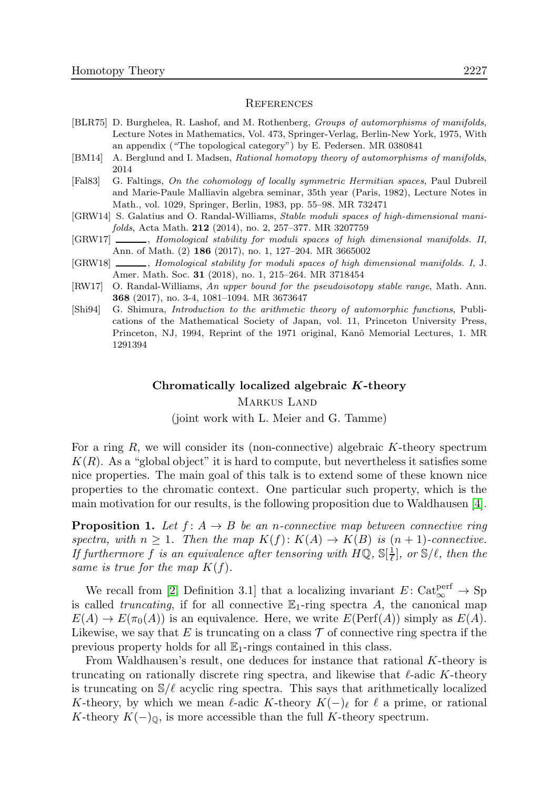#### **REFERENCES**

- [BLR75] D. Burghelea, R. Lashof, and M. Rothenberg, Groups of automorphisms of manifolds, Lecture Notes in Mathematics, Vol. 473, Springer-Verlag, Berlin-New York, 1975, With an appendix ("The topological category") by E. Pedersen. MR 0380841
- [BM14] A. Berglund and I. Madsen, Rational homotopy theory of automorphisms of manifolds, 2014
- <span id="page-44-5"></span>[Fal83] G. Faltings, On the cohomology of locally symmetric Hermitian spaces, Paul Dubreil and Marie-Paule Malliavin algebra seminar, 35th year (Paris, 1982), Lecture Notes in Math., vol. 1029, Springer, Berlin, 1983, pp. 55–98. MR 732471
- <span id="page-44-4"></span><span id="page-44-3"></span>[GRW14] S. Galatius and O. Randal-Williams, Stable moduli spaces of high-dimensional manifolds, Acta Math. 212 (2014), no. 2, 257–377. MR 3207759
- <span id="page-44-0"></span>[GRW17]  $\_\_\_\_\_\$  Homological stability for moduli spaces of high dimensional manifolds. II, Ann. of Math. (2) 186 (2017), no. 1, 127–204. MR 3665002
- [GRW18]  $\_\_\_\_\_\$  Homological stability for moduli spaces of high dimensional manifolds. I, J. Amer. Math. Soc. 31 (2018), no. 1, 215–264. MR 3718454
- <span id="page-44-1"></span>[RW17] O. Randal-Williams, An upper bound for the pseudoisotopy stable range, Math. Ann. 368 (2017), no. 3-4, 1081–1094. MR 3673647
- <span id="page-44-6"></span><span id="page-44-2"></span>[Shi94] G. Shimura, Introduction to the arithmetic theory of automorphic functions, Publications of the Mathematical Society of Japan, vol. 11, Princeton University Press, Princeton, NJ, 1994, Reprint of the 1971 original, Kanô Memorial Lectures, 1. MR 1291394

### Chromatically localized algebraic K-theory

### Markus Land

## (joint work with L. Meier and G. Tamme)

For a ring  $R$ , we will consider its (non-connective) algebraic  $K$ -theory spectrum  $K(R)$ . As a "global object" it is hard to compute, but nevertheless it satisfies some nice properties. The main goal of this talk is to extend some of these known nice properties to the chromatic context. One particular such property, which is the main motivation for our results, is the following proposition due to Waldhausen [\[4\]](#page-47-0).

**Proposition 1.** Let  $f: A \rightarrow B$  be an n-connective map between connective ring spectra, with  $n \geq 1$ . Then the map  $K(f): K(A) \to K(B)$  is  $(n + 1)$ -connective. If furthermore f is an equivalence after tensoring with  $HQ$ ,  $\mathbb{S}[\frac{1}{\ell}]$  $\frac{1}{\ell}$ , or  $\mathbb{S}/\ell$ , then the same is true for the map  $K(f)$ .

We recall from [\[2,](#page-47-1) Definition 3.1] that a localizing invariant  $E: \text{Cat}_{\infty}^{\text{perf}} \to \text{Sp}$ is called *truncating*, if for all connective  $\mathbb{E}_1$ -ring spectra A, the canonical map  $E(A) \to E(\pi_0(A))$  is an equivalence. Here, we write  $E(\text{Perf}(A))$  simply as  $E(A)$ . Likewise, we say that E is truncating on a class  $\mathcal T$  of connective ring spectra if the previous property holds for all  $\mathbb{E}_1$ -rings contained in this class.

From Waldhausen's result, one deduces for instance that rational  $K$ -theory is truncating on rationally discrete ring spectra, and likewise that  $\ell$ -adic K-theory is truncating on  $\mathcal{S}/\ell$  acyclic ring spectra. This says that arithmetically localized K-theory, by which we mean  $\ell$ -adic K-theory  $K(-)_{\ell}$  for  $\ell$  a prime, or rational K-theory  $K(-)_{\mathbb{Q}}$ , is more accessible than the full K-theory spectrum.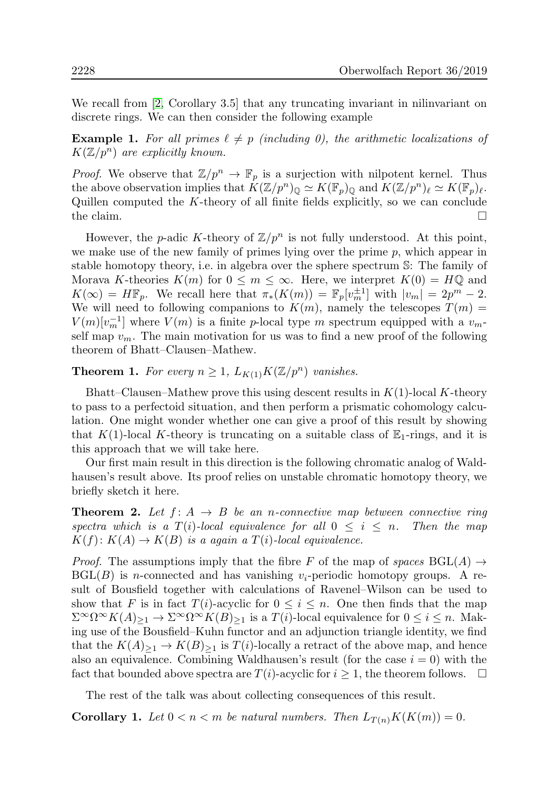We recall from [\[2,](#page-47-1) Corollary 3.5] that any truncating invariant in nilinvariant on discrete rings. We can then consider the following example

**Example 1.** For all primes  $\ell \neq p$  (including 0), the arithmetic localizations of  $K(\mathbb{Z}/p^n)$  are explicitly known.

*Proof.* We observe that  $\mathbb{Z}/p^n \to \mathbb{F}_p$  is a surjection with nilpotent kernel. Thus the above observation implies that  $K(\mathbb{Z}/p^n)_{\mathbb{Q}} \simeq K(\mathbb{F}_p)_{\mathbb{Q}}$  and  $K(\mathbb{Z}/p^n)_{\ell} \simeq K(\mathbb{F}_p)_{\ell}$ . Quillen computed the K-theory of all finite fields explicitly, so we can conclude the claim.  $\Box$ 

However, the *p*-adic K-theory of  $\mathbb{Z}/p^n$  is not fully understood. At this point, we make use of the new family of primes lying over the prime  $p$ , which appear in stable homotopy theory, i.e. in algebra over the sphere spectrum S: The family of Morava K-theories  $K(m)$  for  $0 \leq m \leq \infty$ . Here, we interpret  $K(0) = H\mathbb{Q}$  and  $K(\infty) = H\mathbb{F}_p$ . We recall here that  $\pi_*(K(m)) = \mathbb{F}_p[v_m^{\pm 1}]$  with  $|v_m| = 2p^m - 2$ . We will need to following companions to  $K(m)$ , namely the telescopes  $T(m)$  =  $V(m)[v_m^{-1}]$  where  $V(m)$  is a finite p-local type m spectrum equipped with a  $v_m$ self map  $v_m$ . The main motivation for us was to find a new proof of the following theorem of Bhatt–Clausen–Mathew.

**Theorem 1.** For every  $n \geq 1$ ,  $L_{K(1)}K(\mathbb{Z}/p^n)$  vanishes.

Bhatt–Clausen–Mathew prove this using descent results in  $K(1)$ -local K-theory to pass to a perfectoid situation, and then perform a prismatic cohomology calculation. One might wonder whether one can give a proof of this result by showing that  $K(1)$ -local K-theory is truncating on a suitable class of  $\mathbb{E}_1$ -rings, and it is this approach that we will take here.

Our first main result in this direction is the following chromatic analog of Waldhausen's result above. Its proof relies on unstable chromatic homotopy theory, we briefly sketch it here.

**Theorem 2.** Let  $f: A \rightarrow B$  be an n-connective map between connective ring spectra which is a  $T(i)$ -local equivalence for all  $0 \leq i \leq n$ . Then the map  $K(f): K(A) \to K(B)$  is a again a  $T(i)$ -local equivalence.

*Proof.* The assumptions imply that the fibre F of the map of spaces  $BGL(A) \rightarrow$  $BGL(B)$  is *n*-connected and has vanishing  $v_i$ -periodic homotopy groups. A result of Bousfield together with calculations of Ravenel–Wilson can be used to show that F is in fact  $T(i)$ -acyclic for  $0 \leq i \leq n$ . One then finds that the map  $\Sigma^{\infty}\Omega^{\infty}K(A)_{\geq 1}\to \Sigma^{\infty}\Omega^{\infty}K(B)_{\geq 1}$  is a  $T(i)$ -local equivalence for  $0\leq i\leq n$ . Making use of the Bousfield–Kuhn functor and an adjunction triangle identity, we find that the  $K(A)_{\geq 1} \to K(B)_{\geq 1}$  is  $T(i)$ -locally a retract of the above map, and hence also an equivalence. Combining Waldhausen's result (for the case  $i = 0$ ) with the fact that bounded above spectra are  $T(i)$ -acyclic for  $i \geq 1$ , the theorem follows.  $\Box$ 

The rest of the talk was about collecting consequences of this result.

**Corollary 1.** Let  $0 < n < m$  be natural numbers. Then  $L_{T(n)}K(K(m)) = 0$ .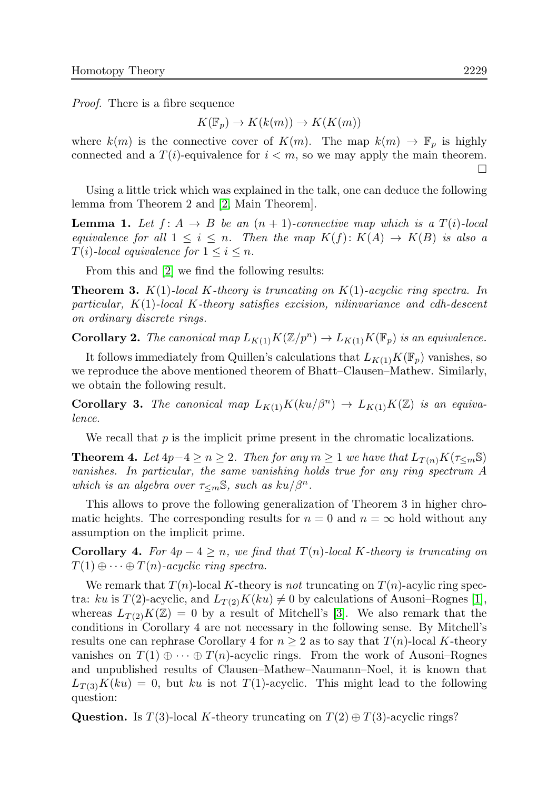Proof. There is a fibre sequence

$$
K(\mathbb{F}_p) \to K(k(m)) \to K(K(m))
$$

where  $k(m)$  is the connective cover of  $K(m)$ . The map  $k(m) \to \mathbb{F}_p$  is highly connected and a  $T(i)$ -equivalence for  $i < m$ , so we may apply the main theorem. П

Using a little trick which was explained in the talk, one can deduce the following lemma from Theorem 2 and [\[2,](#page-47-1) Main Theorem].

**Lemma 1.** Let  $f: A \rightarrow B$  be an  $(n + 1)$ -connective map which is a  $T(i)$ -local equivalence for all  $1 \leq i \leq n$ . Then the map  $K(f): K(A) \to K(B)$  is also a  $T(i)$ -local equivalence for  $1 \leq i \leq n$ .

From this and [\[2\]](#page-47-1) we find the following results:

**Theorem 3.**  $K(1)$ -local K-theory is truncating on  $K(1)$ -acyclic ring spectra. In particular,  $K(1)$ -local K-theory satisfies excision, nilinvariance and cdh-descent on ordinary discrete rings.

**Corollary 2.** The canonical map  $L_{K(1)}K(\mathbb{Z}/p^n) \to L_{K(1)}K(\mathbb{F}_p)$  is an equivalence.

It follows immediately from Quillen's calculations that  $L_{K(1)}K(\mathbb{F}_p)$  vanishes, so we reproduce the above mentioned theorem of Bhatt–Clausen–Mathew. Similarly, we obtain the following result.

**Corollary 3.** The canonical map  $L_{K(1)}K(ku/\beta^n) \rightarrow L_{K(1)}K(\mathbb{Z})$  is an equivalence.

We recall that  $p$  is the implicit prime present in the chromatic localizations.

**Theorem 4.** Let  $4p-4 \ge n \ge 2$ . Then for any  $m \ge 1$  we have that  $L_{T(n)}K(\tau_{\le m} \mathbb{S})$ vanishes. In particular, the same vanishing holds true for any ring spectrum A which is an algebra over  $\tau_{\leq m}$ S, such as  $ku/\beta^n$ .

This allows to prove the following generalization of Theorem 3 in higher chromatic heights. The corresponding results for  $n = 0$  and  $n = \infty$  hold without any assumption on the implicit prime.

**Corollary 4.** For  $4p-4 \ge n$ , we find that  $T(n)$ -local K-theory is truncating on  $T(1) \oplus \cdots \oplus T(n)$ -acyclic ring spectra.

We remark that  $T(n)$ -local K-theory is not truncating on  $T(n)$ -acylic ring spectra: ku is  $T(2)$ -acyclic, and  $L_{T(2)}K(ku) \neq 0$  by calculations of Ausoni–Rognes [\[1\]](#page-47-2), whereas  $L_{T(2)}K(\mathbb{Z}) = 0$  by a result of Mitchell's [\[3\]](#page-47-3). We also remark that the conditions in Corollary 4 are not necessary in the following sense. By Mitchell's results one can rephrase Corollary 4 for  $n > 2$  as to say that  $T(n)$ -local K-theory vanishes on  $T(1) \oplus \cdots \oplus T(n)$ -acyclic rings. From the work of Ausoni–Rognes and unpublished results of Clausen–Mathew–Naumann–Noel, it is known that  $L_{T(3)}K(ku) = 0$ , but ku is not  $T(1)$ -acyclic. This might lead to the following question:

Question. Is  $T(3)$ -local K-theory truncating on  $T(2) \oplus T(3)$ -acyclic rings?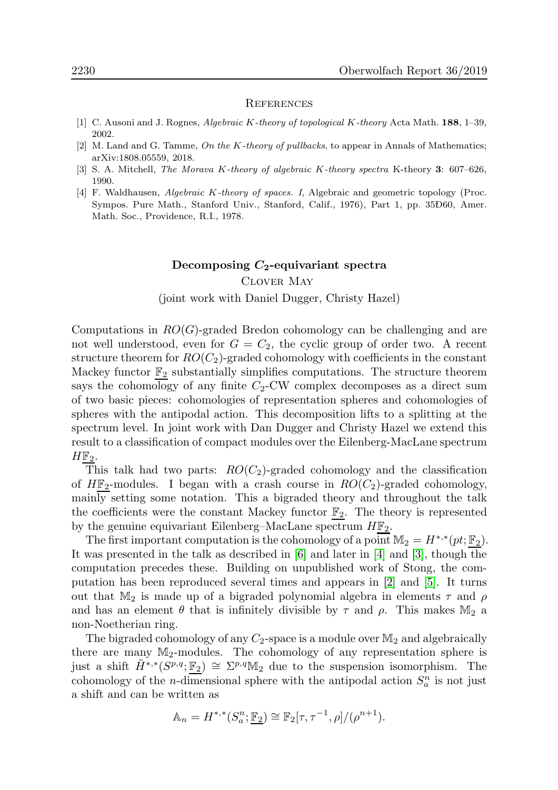#### **REFERENCES**

- [1] C. Ausoni and J. Rognes, Algebraic K-theory of topological K-theory Acta Math. 188, 1–39, 2002.
- [2] M. Land and G. Tamme, On the K-theory of pullbacks, to appear in Annals of Mathematics; arXiv:1808.05559, 2018.
- <span id="page-47-2"></span>[3] S. A. Mitchell, The Morava K-theory of algebraic K-theory spectra K-theory 3: 607–626, 1990.
- <span id="page-47-3"></span><span id="page-47-1"></span><span id="page-47-0"></span>[4] F. Waldhausen, Algebraic K-theory of spaces. I, Algebraic and geometric topology (Proc. Sympos. Pure Math., Stanford Univ., Stanford, Calif., 1976), Part 1, pp. 35 $D60$ , Amer. Math. Soc., Providence, R.I., 1978.

#### Decomposing  $C_2$ -equivariant spectra

### Clover May

#### (joint work with Daniel Dugger, Christy Hazel)

Computations in  $RO(G)$ -graded Bredon cohomology can be challenging and are not well understood, even for  $G = C_2$ , the cyclic group of order two. A recent structure theorem for  $RO(C_2)$ -graded cohomology with coefficients in the constant Mackey functor  $\mathbb{F}_2$  substantially simplifies computations. The structure theorem says the cohomology of any finite  $C_2$ -CW complex decomposes as a direct sum of two basic pieces: cohomologies of representation spheres and cohomologies of spheres with the antipodal action. This decomposition lifts to a splitting at the spectrum level. In joint work with Dan Dugger and Christy Hazel we extend this result to a classification of compact modules over the Eilenberg-MacLane spectrum  $H\mathbb{F}_2$ .

This talk had two parts:  $RO(C_2)$ -graded cohomology and the classification of  $H\mathbb{F}_2$ -modules. I began with a crash course in  $RO(C_2)$ -graded cohomology, mainly setting some notation. This a bigraded theory and throughout the talk the coefficients were the constant Mackey functor  $\mathbb{F}_2$ . The theory is represented by the genuine equivariant Eilenberg–MacLane spectrum  $H\mathbb{F}_2$ .

The first important computation is the cohomology of a point  $\mathbb{M}_2 = H^{*,*}(pt; \mathbb{F}_2)$ . It was presented in the talk as described in [\[6\]](#page-49-0) and later in [\[4\]](#page-49-1) and [\[3\]](#page-49-2), though the computation precedes these. Building on unpublished work of Stong, the computation has been reproduced several times and appears in [\[2\]](#page-48-0) and [\[5\]](#page-49-3). It turns out that  $M_2$  is made up of a bigraded polynomial algebra in elements  $\tau$  and  $\rho$ and has an element  $\theta$  that is infinitely divisible by  $\tau$  and  $\rho$ . This makes  $M_2$  a non-Noetherian ring.

The bigraded cohomology of any  $C_2$ -space is a module over  $\mathbb{M}_2$  and algebraically there are many  $M_2$ -modules. The cohomology of any representation sphere is just a shift  $\tilde{H}^{*,*}(S^{p,q};\mathbb{F}_2) \cong \Sigma^{p,q}\mathbb{M}_2$  due to the suspension isomorphism. The cohomology of the *n*-dimensional sphere with the antipodal action  $S_a^n$  is not just a shift and can be written as

$$
\mathbb{A}_n = H^{*,*}(S^n_a; \underline{\mathbb{F}_2}) \cong \mathbb{F}_2[\tau, \tau^{-1}, \rho]/(\rho^{n+1}).
$$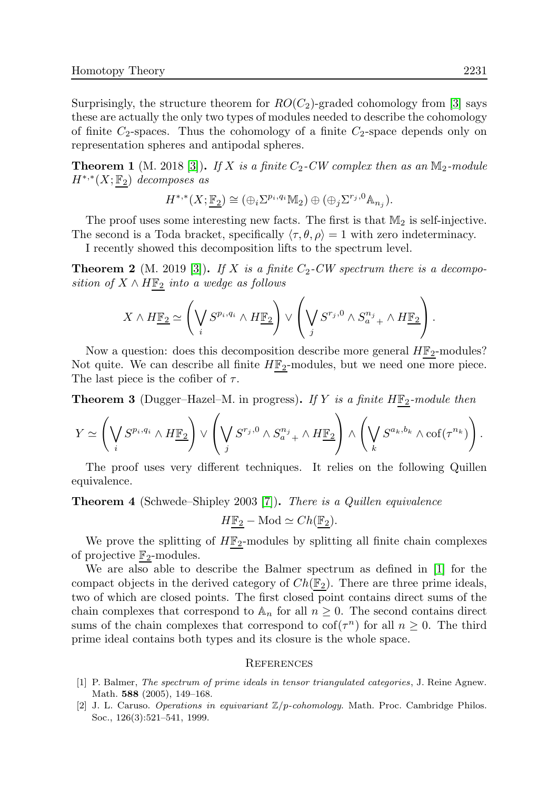Surprisingly, the structure theorem for  $RO(C_2)$ -graded cohomology from [\[3\]](#page-49-2) says these are actually the only two types of modules needed to describe the cohomology of finite  $C_2$ -spaces. Thus the cohomology of a finite  $C_2$ -space depends only on representation spheres and antipodal spheres.

**Theorem 1** (M. 2018 [\[3\]](#page-49-2)). If X is a finite  $C_2$ -CW complex then as an  $M_2$ -module  $H^{*,*}(X;\underline{\mathbb{F}_2})$  decomposes as

$$
H^{*,*}(X; \underline{\mathbb{F}_2}) \cong (\oplus_i \Sigma^{p_i, q_i} \mathbb{M}_2) \oplus (\oplus_j \Sigma^{r_j, 0} \mathbb{A}_{n_j}).
$$

The proof uses some interesting new facts. The first is that  $M_2$  is self-injective. The second is a Toda bracket, specifically  $\langle \tau, \theta, \rho \rangle = 1$  with zero indeterminacy.

I recently showed this decomposition lifts to the spectrum level.

**Theorem 2** (M. 2019 [\[3\]](#page-49-2)). If X is a finite  $C_2$ -CW spectrum there is a decomposition of  $X \wedge H\mathbb{F}_2$  into a wedge as follows

$$
X\wedge H\underline{\mathbb{F}_2}\simeq \left(\bigvee_i S^{p_i,q_i}\wedge H\underline{\mathbb{F}_2}\right)\vee \left(\bigvee_j S^{r_j,0}\wedge S^{n_j}_a{}_+\wedge H\underline{\mathbb{F}_2}\right).
$$

Now a question: does this decomposition describe more general  $H\mathbb{F}_2$ -modules? Not quite. We can describe all finite  $H\mathbb{F}_2$ -modules, but we need one more piece. The last piece is the cofiber of  $\tau$ .

**Theorem 3** (Dugger–Hazel–M. in progress). If Y is a finite  $H\mathbb{F}_2$ -module then

$$
Y \simeq \left(\bigvee_i S^{p_i,q_i} \wedge H\underline{\mathbb{F}_2}\right) \vee \left(\bigvee_j S^{r_j,0} \wedge S^{n_j}_a + \wedge H\underline{\mathbb{F}_2}\right) \wedge \left(\bigvee_k S^{a_k,b_k} \wedge \mathrm{cof}(\tau^{n_k})\right).
$$

The proof uses very different techniques. It relies on the following Quillen equivalence.

Theorem 4 (Schwede–Shipley 2003 [\[7\]](#page-49-4)). There is a Quillen equivalence

$$
H\underline{\mathbb{F}_2} - \text{Mod} \simeq Ch(\underline{\mathbb{F}_2}).
$$

We prove the splitting of  $H\mathbb{F}_2$ -modules by splitting all finite chain complexes of projective  $\mathbb{F}_2$ -modules.

<span id="page-48-1"></span>We are also able to describe the Balmer spectrum as defined in [\[1\]](#page-48-1) for the compact objects in the derived category of  $Ch(\mathbb{F}_2)$ . There are three prime ideals, two of which are closed points. The first closed point contains direct sums of the chain complexes that correspond to  $\mathbb{A}_n$  for all  $n \geq 0$ . The second contains direct sums of the chain complexes that correspond to  $\text{cof}(\tau^n)$  for all  $n \geq 0$ . The third prime ideal contains both types and its closure is the whole space.

#### **REFERENCES**

- <span id="page-48-0"></span>[1] P. Balmer, The spectrum of prime ideals in tensor triangulated categories, J. Reine Agnew. Math. 588 (2005), 149–168.
- [2] J. L. Caruso. Operations in equivariant  $\mathbb{Z}/p$ -cohomology. Math. Proc. Cambridge Philos. Soc., 126(3):521–541, 1999.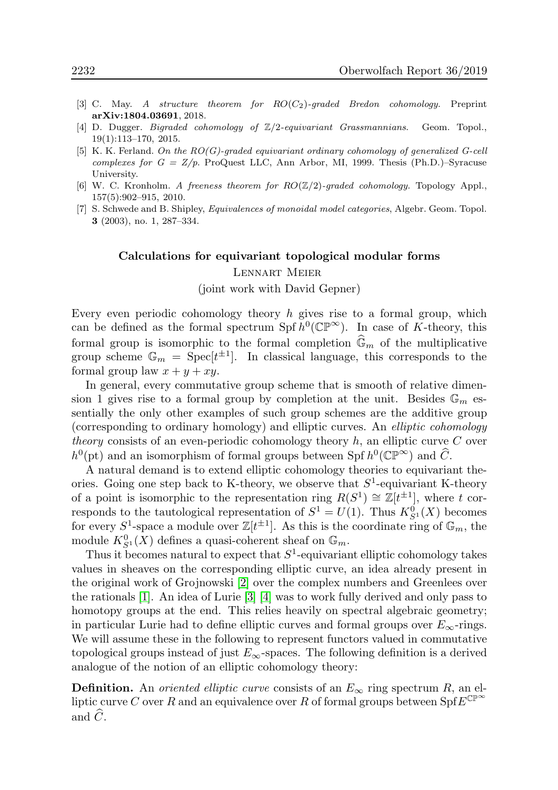- [3] C. May. A structure theorem for  $RO(C_2)$ -graded Bredon cohomology. Preprint arXiv:1804.03691, 2018.
- [4] D. Dugger. Bigraded cohomology of Z/2-equivariant Grassmannians. Geom. Topol., 19(1):113–170, 2015.
- <span id="page-49-2"></span>[5] K. K. Ferland. On the  $RO(G)$ -graded equivariant ordinary cohomology of generalized G-cell complexes for  $G = Z/p$ . ProQuest LLC, Ann Arbor, MI, 1999. Thesis (Ph.D.)–Syracuse University.
- <span id="page-49-3"></span><span id="page-49-1"></span>[6] W. C. Kronholm. A freeness theorem for  $RO(\mathbb{Z}/2)$ -graded cohomology. Topology Appl., 157(5):902–915, 2010.
- <span id="page-49-0"></span>[7] S. Schwede and B. Shipley, Equivalences of monoidal model categories, Algebr. Geom. Topol. 3 (2003), no. 1, 287–334.

# <span id="page-49-4"></span>Calculations for equivariant topological modular forms Lennart Meier (joint work with David Gepner)

Every even periodic cohomology theory  $h$  gives rise to a formal group, which can be defined as the formal spectrum Spf  $h^0(\mathbb{CP}^{\infty})$ . In case of K-theory, this formal group is isomorphic to the formal completion  $\widehat{\mathbb{G}}_m$  of the multiplicative group scheme  $\mathbb{G}_m = \text{Spec}[t^{\pm 1}]$ . In classical language, this corresponds to the formal group law  $x + y + xy$ .

In general, every commutative group scheme that is smooth of relative dimension 1 gives rise to a formal group by completion at the unit. Besides  $\mathbb{G}_m$  essentially the only other examples of such group schemes are the additive group (corresponding to ordinary homology) and elliptic curves. An elliptic cohomology theory consists of an even-periodic cohomology theory  $h$ , an elliptic curve  $C$  over  $h^0(\text{pt})$  and an isomorphism of formal groups between Spf  $h^0(\mathbb{CP}^{\infty})$  and  $\widehat{C}$ .

A natural demand is to extend elliptic cohomology theories to equivariant theories. Going one step back to K-theory, we observe that  $S^1$ -equivariant K-theory of a point is isomorphic to the representation ring  $R(S^1) \cong \mathbb{Z}[t^{\pm 1}]$ , where t corresponds to the tautological representation of  $S^1 = U(1)$ . Thus  $K^0_{S^1}(X)$  becomes for every  $S^1$ -space a module over  $\mathbb{Z}[t^{\pm 1}]$ . As this is the coordinate ring of  $\mathbb{G}_m$ , the module  $K^0_{S^1}(X)$  defines a quasi-coherent sheaf on  $\mathbb{G}_m$ .

Thus it becomes natural to expect that  $S^1$ -equivariant elliptic cohomology takes values in sheaves on the corresponding elliptic curve, an idea already present in the original work of Grojnowski [\[2\]](#page-51-0) over the complex numbers and Greenlees over the rationals [\[1\]](#page-51-1). An idea of Lurie [\[3\]](#page-51-2) [\[4\]](#page-51-3) was to work fully derived and only pass to homotopy groups at the end. This relies heavily on spectral algebraic geometry; in particular Lurie had to define elliptic curves and formal groups over  $E_{\infty}$ -rings. We will assume these in the following to represent functors valued in commutative topological groups instead of just  $E_{\infty}$ -spaces. The following definition is a derived analogue of the notion of an elliptic cohomology theory:

**Definition.** An *oriented elliptic curve* consists of an  $E_{\infty}$  ring spectrum R, an elliptic curve C over R and an equivalence over R of formal groups between  $\text{Spf }E^{\mathbb{CP}^{\infty}}$ and  $\widehat{C}$ .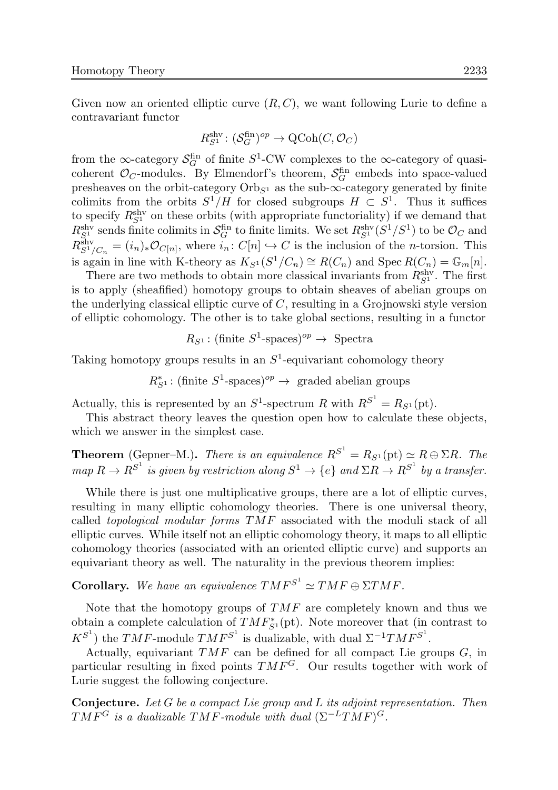Given now an oriented elliptic curve  $(R, C)$ , we want following Lurie to define a contravariant functor

$$
R_{S^1}^{\text{shv}} \colon (\mathcal{S}_G^{\text{fin}})^{op} \to \text{QCoh}(C, \mathcal{O}_C)
$$

from the  $\infty$ -category  $S_G^{\text{fin}}$  of finite  $S^1$ -CW complexes to the  $\infty$ -category of quasicoherent  $\mathcal{O}_C$ -modules. By Elmendorf's theorem,  $\mathcal{S}_G^{\text{fin}}$  embeds into space-valued presheaves on the orbit-category  $Orb_{S^1}$  as the sub- $\infty$ -category generated by finite colimits from the orbits  $S^1/H$  for closed subgroups  $H \subset S^1$ . Thus it suffices to specify  $R_{S^1}^{\text{shv}}$  on these orbits (with appropriate functoriality) if we demand that  $R_{S_1}$ <sup>shv</sup> sends finite colimits in  $S_G^{\text{fin}}$  to finite limits. We set  $R_{S_1}^{\text{shv}}(S^1/S^1)$  to be  $\mathcal{O}_C$  and  $R_{S^1/C_n}^{\text{shv}} = (i_n)_* \mathcal{O}_{C[n]},$  where  $i_n: C[n] \hookrightarrow C$  is the inclusion of the *n*-torsion. This is again in line with K-theory as  $K_{S^1}(S^1/C_n) \cong R(C_n)$  and  $Spec R(C_n) = \mathbb{G}_m[n]$ .

There are two methods to obtain more classical invariants from  $R_{S^1}^{\text{shv}}$ . The first is to apply (sheafified) homotopy groups to obtain sheaves of abelian groups on the underlying classical elliptic curve of C, resulting in a Grojnowski style version of elliptic cohomology. The other is to take global sections, resulting in a functor

$$
R_{S^1}
$$
: (finite  $S^1$ -spaces)<sup>op</sup>  $\rightarrow$  Spectra

Taking homotopy groups results in an  $S^1$ -equivariant cohomology theory

 $R_{S^1}^*$ : (finite  $S^1$ -spaces)<sup>op</sup>  $\rightarrow$  graded abelian groups

Actually, this is represented by an  $S^1$ -spectrum R with  $R^{S^1} = R_{S^1}(\text{pt})$ .

This abstract theory leaves the question open how to calculate these objects, which we answer in the simplest case.

**Theorem** (Gepner–M.). There is an equivalence  $R^{S^1} = R_{S^1}(\text{pt}) \simeq R \oplus \Sigma R$ . The  $map R \to R^{S^1}$  is given by restriction along  $S^1 \to \{e\}$  and  $\Sigma R \to R^{S^1}$  by a transfer.

While there is just one multiplicative groups, there are a lot of elliptic curves, resulting in many elliptic cohomology theories. There is one universal theory, called topological modular forms TMF associated with the moduli stack of all elliptic curves. While itself not an elliptic cohomology theory, it maps to all elliptic cohomology theories (associated with an oriented elliptic curve) and supports an equivariant theory as well. The naturality in the previous theorem implies:

**Corollary.** We have an equivalence  $TMF^{S^1} \simeq TMF \oplus \Sigma TMF$ .

Note that the homotopy groups of  $TMF$  are completely known and thus we obtain a complete calculation of  $TMF_{S^1}^*(pt)$ . Note moreover that (in contrast to  $K^{S^1}$ ) the TMF-module TMF<sup>S<sup>1</sup></sup> is dualizable, with dual  $\Sigma^{-1}TMF^{S^1}$ .

Actually, equivariant  $TMF$  can be defined for all compact Lie groups  $G$ , in particular resulting in fixed points  $TMF<sup>G</sup>$ . Our results together with work of Lurie suggest the following conjecture.

Conjecture. Let G be a compact Lie group and L its adjoint representation. Then  $TMF^G$  is a dualizable TMF-module with dual  $(\Sigma^{-L}TMF)^G$ .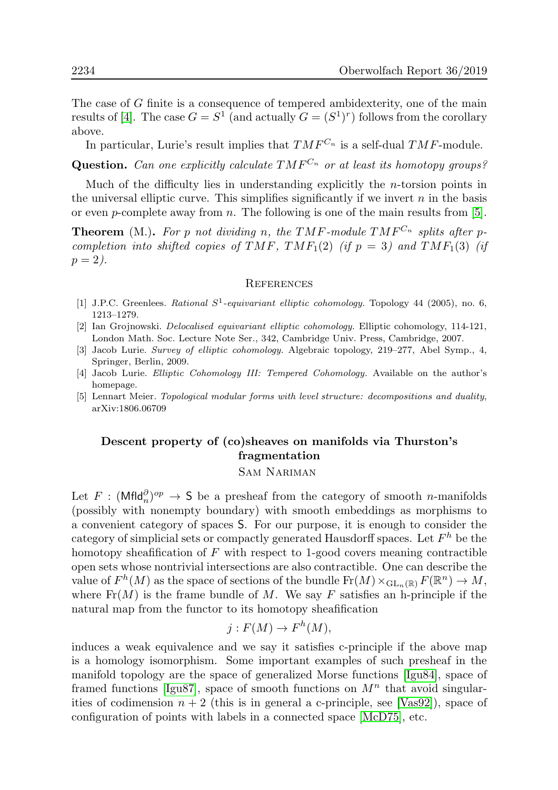The case of G finite is a consequence of tempered ambidexterity, one of the main results of [\[4\]](#page-51-3). The case  $G = S^1$  (and actually  $G = (S^1)^r$ ) follows from the corollary above.

In particular, Lurie's result implies that  $TMF^{C_n}$  is a self-dual  $TMF$ -module.

Question. Can one explicitly calculate  $TMF^{C_n}$  or at least its homotopy groups?

Much of the difficulty lies in understanding explicitly the *n*-torsion points in the universal elliptic curve. This simplifies significantly if we invert  $n$  in the basis or even p-complete away from n. The following is one of the main results from  $[5]$ .

**Theorem** (M.). For p not dividing n, the TMF-module  $TMF^{C_n}$  splits after pcompletion into shifted copies of TMF, TMF<sub>1</sub>(2) (if  $p = 3$ ) and TMF<sub>1</sub>(3) (if  $p = 2$ .

#### **REFERENCES**

- <span id="page-51-1"></span>[1] J.P.C. Greenlees. Rational  $S^1$ -equivariant elliptic cohomology. Topology 44 (2005), no. 6, 1213–1279.
- <span id="page-51-0"></span>[2] Ian Grojnowski. Delocalised equivariant elliptic cohomology. Elliptic cohomology, 114-121, London Math. Soc. Lecture Note Ser., 342, Cambridge Univ. Press, Cambridge, 2007.
- <span id="page-51-2"></span>[3] Jacob Lurie. Survey of elliptic cohomology. Algebraic topology, 219–277, Abel Symp., 4, Springer, Berlin, 2009.
- <span id="page-51-3"></span>[4] Jacob Lurie. Elliptic Cohomology III: Tempered Cohomology. Available on the author's homepage.
- <span id="page-51-4"></span>[5] Lennart Meier. Topological modular forms with level structure: decompositions and duality, arXiv:1806.06709

# Descent property of (co)sheaves on manifolds via Thurston's fragmentation

#### Sam Nariman

Let  $F : (\mathsf{Mfld}_n^{\partial})^{op} \to \mathsf{S}$  be a presheaf from the category of smooth *n*-manifolds (possibly with nonempty boundary) with smooth embeddings as morphisms to a convenient category of spaces S. For our purpose, it is enough to consider the category of simplicial sets or compactly generated Hausdorff spaces. Let  $F^h$  be the homotopy sheafification of  $F$  with respect to 1-good covers meaning contractible open sets whose nontrivial intersections are also contractible. One can describe the value of  $F^h(M)$  as the space of sections of the bundle  $\mathrm{Fr}(M) \times_{\mathrm{GL}_n(\mathbb{R})} F(\mathbb{R}^n) \to M$ , where  $\text{Fr}(M)$  is the frame bundle of M. We say F satisfies an h-principle if the natural map from the functor to its homotopy sheafification

$$
j: F(M) \to F^h(M),
$$

induces a weak equivalence and we say it satisfies c-principle if the above map is a homology isomorphism. Some important examples of such presheaf in the manifold topology are the space of generalized Morse functions [\[Igu84\]](#page-54-0), space of framed functions [\[Igu87\]](#page-54-1), space of smooth functions on  $M<sup>n</sup>$  that avoid singularities of codimension  $n + 2$  (this is in general a c-principle, see [\[Vas92\]](#page-54-2)), space of configuration of points with labels in a connected space [\[McD75\]](#page-54-3), etc.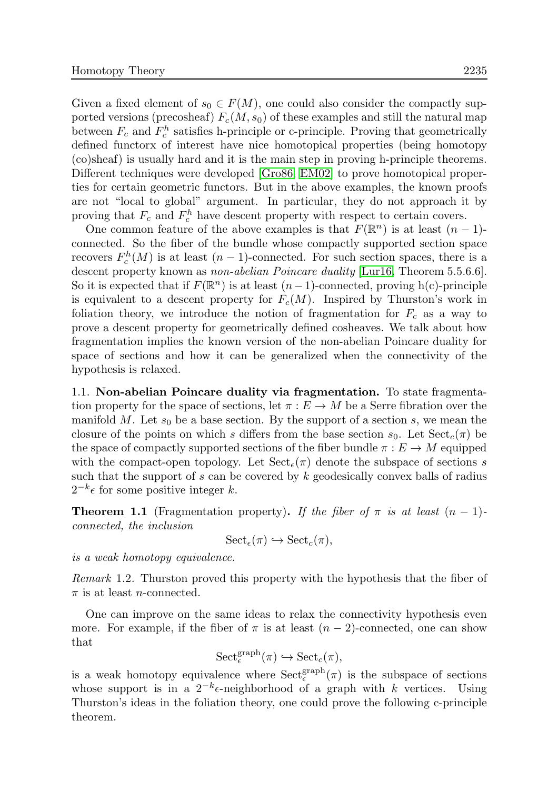Given a fixed element of  $s_0 \in F(M)$ , one could also consider the compactly supported versions (precosheaf)  $F_c(M, s_0)$  of these examples and still the natural map between  $F_c$  and  $F_c^h$  satisfies h-principle or c-principle. Proving that geometrically defined functorx of interest have nice homotopical properties (being homotopy (co)sheaf) is usually hard and it is the main step in proving h-principle theorems. Different techniques were developed [\[Gro86,](#page-54-4) [EM02\]](#page-54-5) to prove homotopical properties for certain geometric functors. But in the above examples, the known proofs are not "local to global" argument. In particular, they do not approach it by proving that  $F_c$  and  $F_c^h$  have descent property with respect to certain covers.

One common feature of the above examples is that  $F(\mathbb{R}^n)$  is at least  $(n-1)$ connected. So the fiber of the bundle whose compactly supported section space recovers  $F_c^h(M)$  is at least  $(n-1)$ -connected. For such section spaces, there is a descent property known as *non-abelian Poincare duality* [\[Lur16,](#page-54-6) Theorem 5.5.6.6]. So it is expected that if  $F(\mathbb{R}^n)$  is at least  $(n-1)$ -connected, proving h(c)-principle is equivalent to a descent property for  $F_c(M)$ . Inspired by Thurston's work in foliation theory, we introduce the notion of fragmentation for  $F_c$  as a way to prove a descent property for geometrically defined cosheaves. We talk about how fragmentation implies the known version of the non-abelian Poincare duality for space of sections and how it can be generalized when the connectivity of the hypothesis is relaxed.

1.1. Non-abelian Poincare duality via fragmentation. To state fragmentation property for the space of sections, let  $\pi : E \to M$  be a Serre fibration over the manifold M. Let  $s_0$  be a base section. By the support of a section s, we mean the closure of the points on which s differs from the base section  $s_0$ . Let  $\text{Sect}_c(\pi)$  be the space of compactly supported sections of the fiber bundle  $\pi : E \to M$  equipped with the compact-open topology. Let  $\operatorname{Sect}_{\epsilon}(\pi)$  denote the subspace of sections s such that the support of  $s$  can be covered by  $k$  geodesically convex balls of radius  $2^{-k} \epsilon$  for some positive integer k.

**Theorem 1.1** (Fragmentation property). If the fiber of  $\pi$  is at least  $(n-1)$ connected, the inclusion

$$
Sect_{\epsilon}(\pi) \hookrightarrow Sect_{c}(\pi),
$$

is a weak homotopy equivalence.

Remark 1.2. Thurston proved this property with the hypothesis that the fiber of  $\pi$  is at least *n*-connected.

One can improve on the same ideas to relax the connectivity hypothesis even more. For example, if the fiber of  $\pi$  is at least  $(n-2)$ -connected, one can show that

$$
Sect_{\epsilon}^{graph}(\pi) \hookrightarrow Sect_c(\pi),
$$

is a weak homotopy equivalence where  $\operatorname{Sect}^{\operatorname{graph}}_{\epsilon}(\pi)$  is the subspace of sections whose support is in a  $2^{-k} \epsilon$ -neighborhood of a graph with k vertices. Using Thurston's ideas in the foliation theory, one could prove the following c-principle theorem.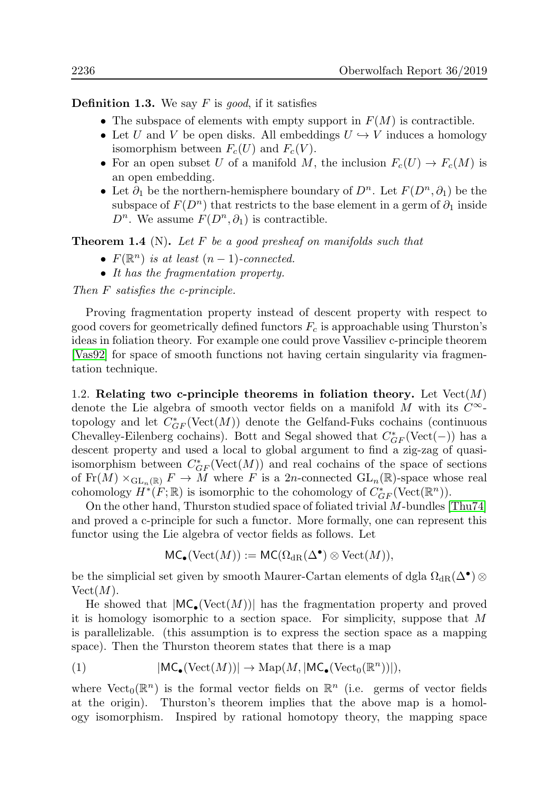**Definition 1.3.** We say  $F$  is good, if it satisfies

- The subspace of elements with empty support in  $F(M)$  is contractible.
- Let U and V be open disks. All embeddings  $U \hookrightarrow V$  induces a homology isomorphism between  $F_c(U)$  and  $F_c(V)$ .
- For an open subset U of a manifold M, the inclusion  $F_c(U) \to F_c(M)$  is an open embedding.
- Let  $\partial_1$  be the northern-hemisphere boundary of  $D^n$ . Let  $F(D^n, \partial_1)$  be the subspace of  $F(D^n)$  that restricts to the base element in a germ of  $\partial_1$  inside  $D^n$ . We assume  $F(D^n, \partial_1)$  is contractible.

**Theorem 1.4** (N). Let  $F$  be a good presheaf on manifolds such that

- $F(\mathbb{R}^n)$  is at least  $(n-1)$ -connected.
- It has the fragmentation property.

Then F satisfies the c-principle.

Proving fragmentation property instead of descent property with respect to good covers for geometrically defined functors  $F_c$  is approachable using Thurston's ideas in foliation theory. For example one could prove Vassiliev c-principle theorem [\[Vas92\]](#page-54-2) for space of smooth functions not having certain singularity via fragmentation technique.

1.2. Relating two c-principle theorems in foliation theory. Let  $Vect(M)$ denote the Lie algebra of smooth vector fields on a manifold M with its  $C^{\infty}$ topology and let  $C^*_{GF}(\text{Vect}(M))$  denote the Gelfand-Fuks cochains (continuous Chevalley-Eilenberg cochains). Bott and Segal showed that  $C^*_{GF}({\rm Vect}(-))$  has a descent property and used a local to global argument to find a zig-zag of quasiisomorphism between  $C_{GF}^*(Vect(M))$  and real cochains of the space of sections of  $\text{Fr}(M) \times_{\text{GL}_n(\mathbb{R})} F \to M$  where F is a 2n-connected  $\text{GL}_n(\mathbb{R})$ -space whose real cohomology  $H^*(F; \mathbb{R})$  is isomorphic to the cohomology of  $C^*_{GF}(\text{Vect}(\mathbb{R}^n))$ .

On the other hand, Thurston studied space of foliated trivial M-bundles [\[Thu74\]](#page-54-7) and proved a c-principle for such a functor. More formally, one can represent this functor using the Lie algebra of vector fields as follows. Let

$$
\mathsf{MC}_\bullet(\mathrm{Vect}(M)):=\mathsf{MC}(\Omega_{\mathrm{dR}}(\Delta^\bullet)\otimes \mathrm{Vect}(M)),
$$

be the simplicial set given by smooth Maurer-Cartan elements of dgla  $\Omega_{\mathrm{dR}}(\Delta^{\bullet})\otimes$  $Vect(M).$ 

He showed that  $|MC_{\bullet}(Vect(M))|$  has the fragmentation property and proved it is homology isomorphic to a section space. For simplicity, suppose that M is parallelizable. (this assumption is to express the section space as a mapping space). Then the Thurston theorem states that there is a map

(1) 
$$
|\mathsf{MC}_\bullet(\mathrm{Vect}(M))| \to \mathrm{Map}(M, |\mathsf{MC}_\bullet(\mathrm{Vect}_0(\mathbb{R}^n))|),
$$

where  $Vect_0(\mathbb{R}^n)$  is the formal vector fields on  $\mathbb{R}^n$  (i.e. germs of vector fields at the origin). Thurston's theorem implies that the above map is a homology isomorphism. Inspired by rational homotopy theory, the mapping space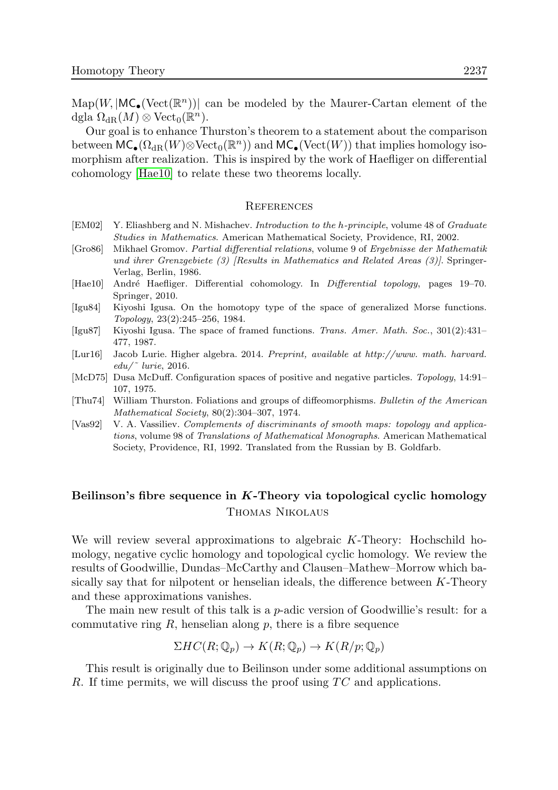$\mathrm{Map}(W,|\mathsf{MC}_\bullet(\mathrm{Vect}(\mathbb{R}^n))|$  can be modeled by the Maurer-Cartan element of the dgla  $\Omega_{\mathrm{dR}}(M)\otimes \mathrm{Vect}_0(\mathbb{R}^n)$ .

Our goal is to enhance Thurston's theorem to a statement about the comparison between  $\mathsf{MC}_\bullet(\Omega_{\mathrm{dR}}(W)\otimes \mathrm{Vect}_0(\mathbb{R}^n))$  and  $\mathsf{MC}_\bullet(\mathrm{Vect}(W))$  that implies homology isomorphism after realization. This is inspired by the work of Haefliger on differential cohomology [\[Hae10\]](#page-54-8) to relate these two theorems locally.

#### **REFERENCES**

- [EM02] Y. Eliashberg and N. Mishachev. Introduction to the h-principle, volume 48 of Graduate Studies in Mathematics. American Mathematical Society, Providence, RI, 2002.
- <span id="page-54-5"></span>[Gro86] Mikhael Gromov. Partial differential relations, volume 9 of Ergebnisse der Mathematik und ihrer Grenzgebiete (3) [Results in Mathematics and Related Areas (3)]. Springer-Verlag, Berlin, 1986.
- <span id="page-54-4"></span>[Hae10] André Haefliger. Differential cohomology. In *Differential topology*, pages 19–70. Springer, 2010.
- <span id="page-54-8"></span>[Igu84] Kiyoshi Igusa. On the homotopy type of the space of generalized Morse functions. Topology, 23(2):245–256, 1984.
- <span id="page-54-1"></span><span id="page-54-0"></span>[Igu87] Kiyoshi Igusa. The space of framed functions. Trans. Amer. Math. Soc., 301(2):431– 477, 1987.
- <span id="page-54-6"></span>[Lur16] Jacob Lurie. Higher algebra. 2014. Preprint, available at http://www. math. harvard.  $edu\text{/}^*$  lurie, 2016.
- <span id="page-54-3"></span>[McD75] Dusa McDuff. Configuration spaces of positive and negative particles. Topology, 14:91– 107, 1975.
- <span id="page-54-7"></span>[Thu74] William Thurston. Foliations and groups of diffeomorphisms. Bulletin of the American Mathematical Society, 80(2):304–307, 1974.
- <span id="page-54-2"></span>[Vas92] V. A. Vassiliev. Complements of discriminants of smooth maps: topology and applications, volume 98 of Translations of Mathematical Monographs. American Mathematical Society, Providence, RI, 1992. Translated from the Russian by B. Goldfarb.

# Beilinson's fibre sequence in  $K$ -Theory via topological cyclic homology Thomas Nikolaus

We will review several approximations to algebraic K-Theory: Hochschild homology, negative cyclic homology and topological cyclic homology. We review the results of Goodwillie, Dundas–McCarthy and Clausen–Mathew–Morrow which basically say that for nilpotent or henselian ideals, the difference between  $K$ -Theory and these approximations vanishes.

The main new result of this talk is a p-adic version of Goodwillie's result: for a commutative ring  $R$ , henselian along  $p$ , there is a fibre sequence

$$
\Sigma HC(R; \mathbb{Q}_p) \to K(R; \mathbb{Q}_p) \to K(R/p; \mathbb{Q}_p)
$$

This result is originally due to Beilinson under some additional assumptions on R. If time permits, we will discuss the proof using  $TC$  and applications.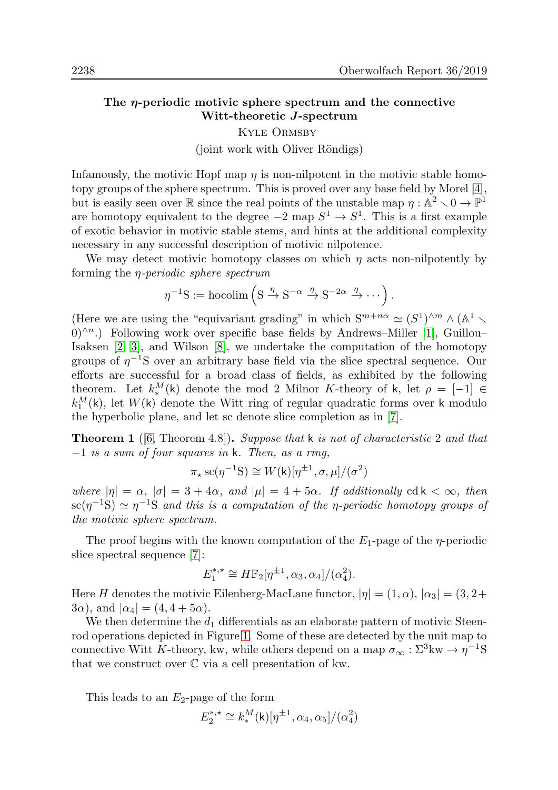# The  $\eta$ -periodic motivic sphere spectrum and the connective Witt-theoretic J-spectrum

Kyle Ormsby  $(ioint work with Oliver Röndigs)$ 

Infamously, the motivic Hopf map  $\eta$  is non-nilpotent in the motivic stable homotopy groups of the sphere spectrum. This is proved over any base field by Morel [\[4\]](#page-58-0), but is easily seen over  $\mathbb R$  since the real points of the unstable map  $\eta: \mathbb A^2 \setminus 0 \to \mathbb P^1$ are homotopy equivalent to the degree  $-2$  map  $S^1 \to S^1$ . This is a first example of exotic behavior in motivic stable stems, and hints at the additional complexity necessary in any successful description of motivic nilpotence.

We may detect motivic homotopy classes on which  $\eta$  acts non-nilpotently by forming the η-periodic sphere spectrum

$$
\eta^{-1}S := \text{hocolim} \left( S \xrightarrow{\eta} S^{-\alpha} \xrightarrow{\eta} S^{-2\alpha} \xrightarrow{\eta} \cdots \right).
$$

(Here we are using the "equivariant grading" in which  $S^{m+n\alpha} \simeq (S^1)^{\wedge m} \wedge (\mathbb{A}^1 \setminus \mathbb{A}^1)$ 0) $\wedge^n$ .) Following work over specific base fields by Andrews–Miller [\[1\]](#page-58-1), Guillou– Isaksen [\[2,](#page-58-2) [3\]](#page-58-3), and Wilson [\[8\]](#page-58-4), we undertake the computation of the homotopy groups of  $\eta^{-1}$ S over an arbitrary base field via the slice spectral sequence. Our efforts are successful for a broad class of fields, as exhibited by the following theorem. Let  $k_*^M(k)$  denote the mod 2 Milnor K-theory of k, let  $\rho = [-1] \in$  $k_1^M(k)$ , let  $W(k)$  denote the Witt ring of regular quadratic forms over k modulo the hyperbolic plane, and let sc denote slice completion as in [\[7\]](#page-58-5).

<span id="page-55-0"></span>Theorem 1 ([\[6,](#page-58-6) Theorem 4.8]). Suppose that k is not of characteristic 2 and that  $-1$  is a sum of four squares in k. Then, as a ring,

$$
\pi_{\star} \operatorname{sc}(\eta^{-1}S) \cong W(\mathsf{k})[\eta^{\pm 1}, \sigma, \mu]/(\sigma^2)
$$

where  $|\eta| = \alpha$ ,  $|\sigma| = 3 + 4\alpha$ , and  $|\mu| = 4 + 5\alpha$ . If additionally cd  $k < \infty$ , then  $\operatorname{sc}(\eta^{-1}S) \simeq \eta^{-1}S$  and this is a computation of the  $\eta$ -periodic homotopy groups of the motivic sphere spectrum.

The proof begins with the known computation of the  $E_1$ -page of the  $\eta$ -periodic slice spectral sequence [\[7\]](#page-58-5):

$$
E_1^{*,\star} \cong H\mathbb{F}_2[\eta^{\pm 1}, \alpha_3, \alpha_4]/(\alpha_4^2).
$$

Here H denotes the motivic Eilenberg-MacLane functor,  $|\eta| = (1, \alpha)$ ,  $|\alpha_3| = (3, 2 +$  $3\alpha$ , and  $|\alpha_4| = (4, 4 + 5\alpha)$ .

We then determine the  $d_1$  differentials as an elaborate pattern of motivic Steenrod operations depicted in Figure [1.](#page-56-0) Some of these are detected by the unit map to connective Witt K-theory, kw, while others depend on a map  $\sigma_{\infty} : \Sigma^3$ kw  $\rightarrow \eta^{-1}S$ that we construct over  $\mathbb C$  via a cell presentation of kw.

This leads to an  $E_2$ -page of the form

$$
E_2^{*,\star}\cong k_*^M(\mathsf{k})[\eta^{\pm 1},\alpha_4,\alpha_5]/(\alpha_4^2)
$$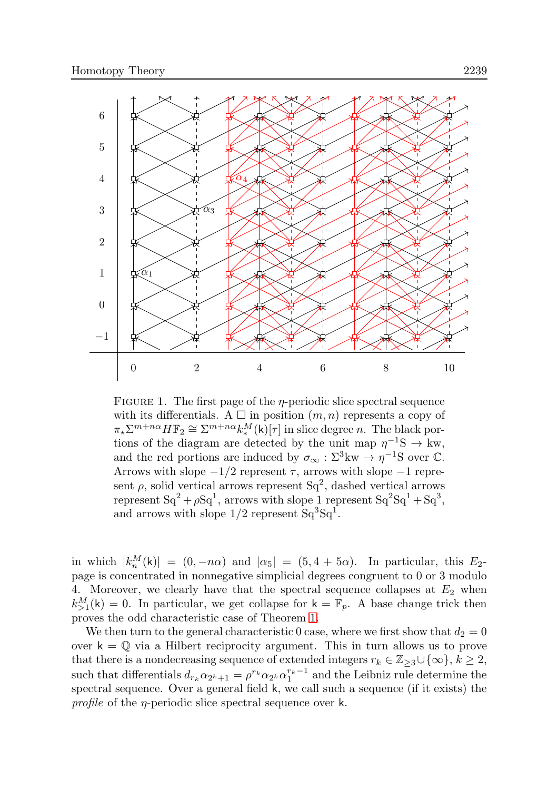

<span id="page-56-0"></span>FIGURE 1. The first page of the  $\eta$ -periodic slice spectral sequence with its differentials. A  $\Box$  in position  $(m, n)$  represents a copy of  $\pi_{\star} \Sigma^{m+n\alpha} H \mathbb{F}_2 \cong \Sigma^{m+n\alpha} k_*^M(\mathsf{k})[\tau]$  in slice degree n. The black portions of the diagram are detected by the unit map  $\eta^{-1}S \to kw$ , and the red portions are induced by  $\sigma_{\infty} : \Sigma^3$ kw  $\to \eta^{-1}S$  over  $\mathbb{C}$ . Arrows with slope  $-1/2$  represent  $\tau$ , arrows with slope  $-1$  represent  $\rho$ , solid vertical arrows represent  $Sq^2$ , dashed vertical arrows represent  $Sq^2 + \rho Sq^1$ , arrows with slope 1 represent  $Sq^2Sq^1 + Sq^3$ , and arrows with slope  $1/2$  represent  $Sq^3Sq^1$ .

in which  $|k_n^M(\mathsf{k})| = (0, -n\alpha)$  and  $|\alpha_5| = (5, 4 + 5\alpha)$ . In particular, this  $E_2$ page is concentrated in nonnegative simplicial degrees congruent to 0 or 3 modulo 4. Moreover, we clearly have that the spectral sequence collapses at  $E_2$  when  $k_{>1}^M(k) = 0$ . In particular, we get collapse for  $k = \mathbb{F}_p$ . A base change trick then proves the odd characteristic case of Theorem [1.](#page-55-0)

We then turn to the general characteristic 0 case, where we first show that  $d_2 = 0$ over  $k = \mathbb{Q}$  via a Hilbert reciprocity argument. This in turn allows us to prove that there is a nondecreasing sequence of extended integers  $r_k \in \mathbb{Z}_{\geq 3} \cup \{\infty\}, k \geq 2$ , such that differentials  $d_{r_k} \alpha_{2^k+1} = \rho^{r_k} \alpha_{2^k} \alpha_1^{r_k-1}$  $\int_1^{r_k-1}$  and the Leibniz rule determine the spectral sequence. Over a general field k, we call such a sequence (if it exists) the *profile* of the *η*-periodic slice spectral sequence over  $\mathsf{k}$ .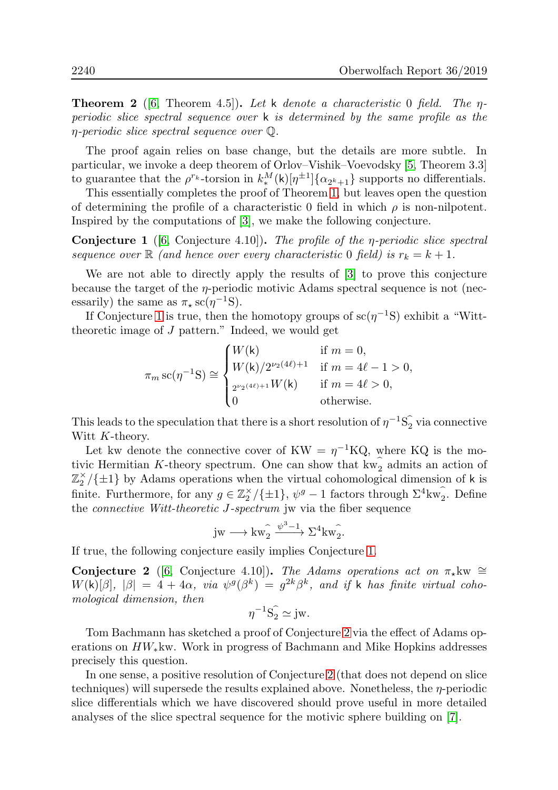**Theorem 2** ([\[6,](#page-58-6) Theorem 4.5]). Let k denote a characteristic 0 field. The  $\eta$ periodic slice spectral sequence over k is determined by the same profile as the η-periodic slice spectral sequence over Q.

The proof again relies on base change, but the details are more subtle. In particular, we invoke a deep theorem of Orlov–Vishik–Voevodsky [\[5,](#page-58-7) Theorem 3.3] to guarantee that the  $\rho^{r_k}$ -torsion in  $k_*^M(\mathsf{k})[\eta^{\pm 1}]\{\alpha_{2^k+1}\}\)$  supports no differentials.

This essentially completes the proof of Theorem [1,](#page-55-0) but leaves open the question of determining the profile of a characteristic 0 field in which  $\rho$  is non-nilpotent. Inspired by the computations of [\[3\]](#page-58-3), we make the following conjecture.

<span id="page-57-0"></span>Conjecture 1 ([\[6,](#page-58-6) Conjecture 4.10]). The profile of the η-periodic slice spectral sequence over  $\mathbb R$  (and hence over every characteristic 0 field) is  $r_k = k + 1$ .

We are not able to directly apply the results of [\[3\]](#page-58-3) to prove this conjecture because the target of the  $\eta$ -periodic motivic Adams spectral sequence is not (necessarily) the same as  $\pi_{\star}$  sc $(\eta^{-1}S)$ .

If Conjecture [1](#page-57-0) is true, then the homotopy groups of  $\operatorname{sc}(\eta^{-1}S)$  exhibit a "Witttheoretic image of  $J$  pattern." Indeed, we would get

$$
\pi_m \operatorname{sc}(\eta^{-1} S) \cong \begin{cases} W(k) & \text{if } m = 0, \\ W(k)/2^{\nu_2(4\ell)+1} & \text{if } m = 4\ell - 1 > 0, \\ 2^{\nu_2(4\ell)+1} W(k) & \text{if } m = 4\ell > 0, \\ 0 & \text{otherwise.} \end{cases}
$$

This leads to the speculation that there is a short resolution of  $\eta^{-1}S_2^{\frown}$  via connective Witt K-theory.

Let kw denote the connective cover of KW =  $\eta^{-1}$ KQ, where KQ is the motivic Hermitian K-theory spectrum. One can show that  $\overrightarrow{kw_2}$  admits an action of  $\mathbb{Z}_2^\times$  $\frac{\chi}{2}$  / $\{\pm 1\}$  by Adams operations when the virtual cohomological dimension of k is finite. Furthermore, for any  $g \in \mathbb{Z}_2^{\times}$  $\frac{\times}{2}$ /{±1},  $\psi^g - 1$  factors through  $\Sigma^4$ kw<sub>2</sub>. Define the connective Witt-theoretic J-spectrum jw via the fiber sequence

$$
jw \longrightarrow kw_2^{\widehat{\psi}^3 - 1} \Sigma^4 kw_2^{\widehat{\psi}}.
$$

<span id="page-57-1"></span>If true, the following conjecture easily implies Conjecture [1.](#page-57-0)

Conjecture 2 ([\[6,](#page-58-6) Conjecture 4.10]). The Adams operations act on  $\pi_{\star}$ kw ≅  $W(k)[\beta], |\beta| = 4 + 4\alpha$ , via  $\psi^g(\beta^k) = g^{2k}\beta^k$ , and if k has finite virtual cohomological dimension, then

$$
\eta^{-1} S_2^{\widehat{}} \simeq jw.
$$

Tom Bachmann has sketched a proof of Conjecture [2](#page-57-1) via the effect of Adams operations on HW∗kw. Work in progress of Bachmann and Mike Hopkins addresses precisely this question.

In one sense, a positive resolution of Conjecture [2](#page-57-1) (that does not depend on slice techniques) will supersede the results explained above. Nonetheless, the η-periodic slice differentials which we have discovered should prove useful in more detailed analyses of the slice spectral sequence for the motivic sphere building on [\[7\]](#page-58-5).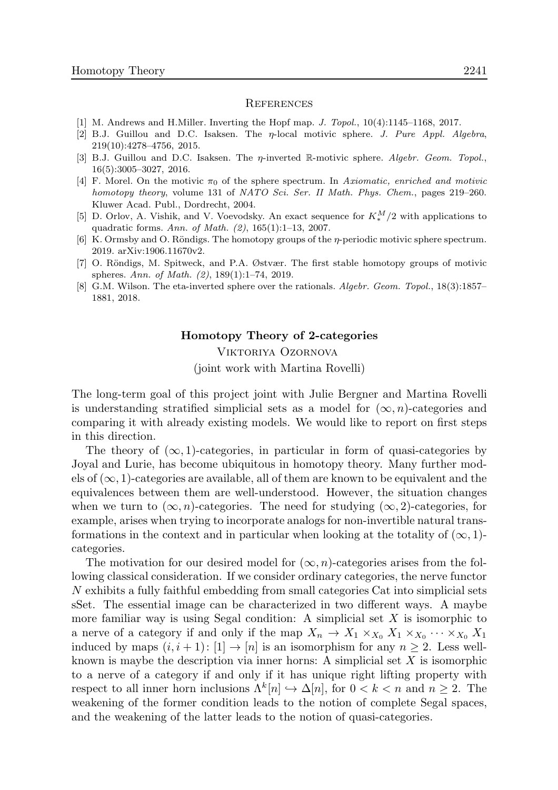#### **REFERENCES**

- [1] M. Andrews and H.Miller. Inverting the Hopf map. J. Topol., 10(4):1145–1168, 2017.
- [2] B.J. Guillou and D.C. Isaksen. The *η*-local motivic sphere. *J. Pure Appl. Algebra*, 219(10):4278–4756, 2015.
- <span id="page-58-1"></span>[3] B.J. Guillou and D.C. Isaksen. The *η*-inverted R-motivic sphere. Algebr. Geom. Topol., 16(5):3005–3027, 2016.
- <span id="page-58-3"></span><span id="page-58-2"></span>[4] F. Morel. On the motivic  $\pi_0$  of the sphere spectrum. In Axiomatic, enriched and motivic homotopy theory, volume 131 of NATO Sci. Ser. II Math. Phys. Chem., pages 219–260. Kluwer Acad. Publ., Dordrecht, 2004.
- <span id="page-58-0"></span>[5] D. Orlov, A. Vishik, and V. Voevodsky. An exact sequence for  $K_{*}^{M}/2$  with applications to quadratic forms. Ann. of Math. (2), 165(1):1–13, 2007.
- <span id="page-58-7"></span>[6] K. Ormsby and O. Röndigs. The homotopy groups of the  $\eta$ -periodic motivic sphere spectrum. 2019. arXiv:1906.11670v2.
- <span id="page-58-6"></span>[7] O. Röndigs, M. Spitweck, and P.A. Østvær. The first stable homotopy groups of motivic spheres. Ann. of Math. (2), 189(1):1–74, 2019.
- <span id="page-58-5"></span><span id="page-58-4"></span>[8] G.M. Wilson. The eta-inverted sphere over the rationals. *Algebr. Geom. Topol.*, 18(3):1857– 1881, 2018.

# Homotopy Theory of 2-categories

Viktoriya Ozornova (joint work with Martina Rovelli)

The long-term goal of this project joint with Julie Bergner and Martina Rovelli is understanding stratified simplicial sets as a model for  $(\infty, n)$ -categories and comparing it with already existing models. We would like to report on first steps in this direction.

The theory of  $(\infty, 1)$ -categories, in particular in form of quasi-categories by Joyal and Lurie, has become ubiquitous in homotopy theory. Many further models of  $(\infty, 1)$ -categories are available, all of them are known to be equivalent and the equivalences between them are well-understood. However, the situation changes when we turn to  $(\infty, n)$ -categories. The need for studying  $(\infty, 2)$ -categories, for example, arises when trying to incorporate analogs for non-invertible natural transformations in the context and in particular when looking at the totality of  $(\infty, 1)$ categories.

The motivation for our desired model for  $(\infty, n)$ -categories arises from the following classical consideration. If we consider ordinary categories, the nerve functor N exhibits a fully faithful embedding from small categories Cat into simplicial sets sSet. The essential image can be characterized in two different ways. A maybe more familiar way is using Segal condition: A simplicial set  $X$  is isomorphic to a nerve of a category if and only if the map  $X_n \to X_1 \times_{X_0} X_1 \times_{X_0} \cdots \times_{X_0} X_1$ induced by maps  $(i, i + 1)$ :  $[1] \rightarrow [n]$  is an isomorphism for any  $n \geq 2$ . Less wellknown is maybe the description via inner horns: A simplicial set  $X$  is isomorphic to a nerve of a category if and only if it has unique right lifting property with respect to all inner horn inclusions  $\Lambda^k[n] \hookrightarrow \Delta[n]$ , for  $0 < k < n$  and  $n \geq 2$ . The weakening of the former condition leads to the notion of complete Segal spaces, and the weakening of the latter leads to the notion of quasi-categories.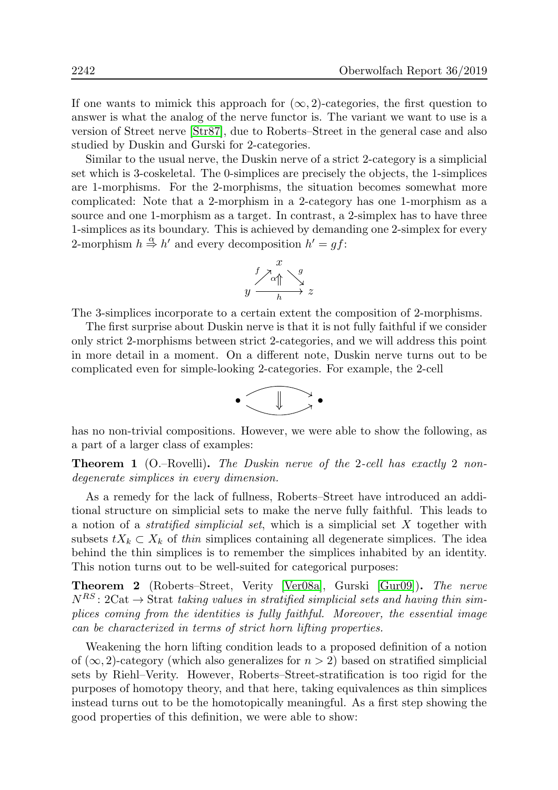If one wants to mimick this approach for  $(\infty, 2)$ -categories, the first question to answer is what the analog of the nerve functor is. The variant we want to use is a version of Street nerve [\[Str87\]](#page-60-0), due to Roberts–Street in the general case and also studied by Duskin and Gurski for 2-categories.

Similar to the usual nerve, the Duskin nerve of a strict 2-category is a simplicial set which is 3-coskeletal. The 0-simplices are precisely the objects, the 1-simplices are 1-morphisms. For the 2-morphisms, the situation becomes somewhat more complicated: Note that a 2-morphism in a 2-category has one 1-morphism as a source and one 1-morphism as a target. In contrast, a 2-simplex has to have three 1-simplices as its boundary. This is achieved by demanding one 2-simplex for every 2-morphism  $h \stackrel{\alpha}{\Rightarrow} h'$  and every decomposition  $h' = gf$ :

$$
y \xrightarrow{f \nearrow \alpha \uparrow \searrow} y
$$

The 3-simplices incorporate to a certain extent the composition of 2-morphisms.

The first surprise about Duskin nerve is that it is not fully faithful if we consider only strict 2-morphisms between strict 2-categories, and we will address this point in more detail in a moment. On a different note, Duskin nerve turns out to be complicated even for simple-looking 2-categories. For example, the 2-cell



has no non-trivial compositions. However, we were able to show the following, as a part of a larger class of examples:

**Theorem 1** (O.–Rovelli). The Duskin nerve of the 2-cell has exactly 2 nondegenerate simplices in every dimension.

As a remedy for the lack of fullness, Roberts–Street have introduced an additional structure on simplicial sets to make the nerve fully faithful. This leads to a notion of a *stratified simplicial set*, which is a simplicial set  $X$  together with subsets  $tX_k \subset X_k$  of thin simplices containing all degenerate simplices. The idea behind the thin simplices is to remember the simplices inhabited by an identity. This notion turns out to be well-suited for categorical purposes:

Theorem 2 (Roberts–Street, Verity [\[Ver08a\]](#page-60-1), Gurski [\[Gur09\]](#page-60-2)). The nerve  $N^{RS}$ : 2Cat  $\rightarrow$  Strat taking values in stratified simplicial sets and having thin simplices coming from the identities is fully faithful. Moreover, the essential image can be characterized in terms of strict horn lifting properties.

Weakening the horn lifting condition leads to a proposed definition of a notion of  $(\infty, 2)$ -category (which also generalizes for  $n > 2$ ) based on stratified simplicial sets by Riehl–Verity. However, Roberts–Street-stratification is too rigid for the purposes of homotopy theory, and that here, taking equivalences as thin simplices instead turns out to be the homotopically meaningful. As a first step showing the good properties of this definition, we were able to show: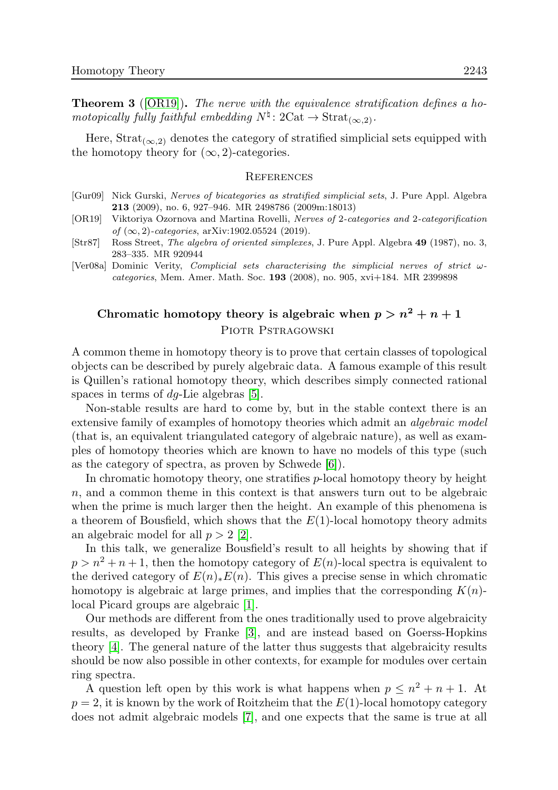Theorem 3 ([\[OR19\]](#page-60-3)). The nerve with the equivalence stratification defines a homotopically fully faithful embedding  $N^{\natural}$ :  $2Cat \to \text{Strat}_{(\infty,2)}$ .

Here,  $Strat_{(\infty,2)}$  denotes the category of stratified simplicial sets equipped with the homotopy theory for  $(\infty, 2)$ -categories.

#### **REFERENCES**

- [Gur09] Nick Gurski, Nerves of bicategories as stratified simplicial sets, J. Pure Appl. Algebra 213 (2009), no. 6, 927–946. MR 2498786 (2009m:18013)
- [OR19] Viktoriya Ozornova and Martina Rovelli, Nerves of 2-categories and 2-categorification of  $(∞, 2)$ -categories, arXiv:1902.05524 (2019).
- <span id="page-60-3"></span><span id="page-60-2"></span>[Str87] Ross Street, The algebra of oriented simplexes, J. Pure Appl. Algebra 49 (1987), no. 3, 283–335. MR 920944
- <span id="page-60-0"></span>[Ver08a] Dominic Verity, *Complicial sets characterising the simplicial nerves of strict*  $\omega$ categories, Mem. Amer. Math. Soc. 193 (2008), no. 905, xvi+184. MR 2399898

# <span id="page-60-1"></span>Chromatic homotopy theory is algebraic when  $p > n^2 + n + 1$ PIOTR PSTRAGOWSKI

A common theme in homotopy theory is to prove that certain classes of topological objects can be described by purely algebraic data. A famous example of this result is Quillen's rational homotopy theory, which describes simply connected rational spaces in terms of dg-Lie algebras [\[5\]](#page-61-0).

Non-stable results are hard to come by, but in the stable context there is an extensive family of examples of homotopy theories which admit an *algebraic model* (that is, an equivalent triangulated category of algebraic nature), as well as examples of homotopy theories which are known to have no models of this type (such as the category of spectra, as proven by Schwede [\[6\]](#page-61-1)).

In chromatic homotopy theory, one stratifies p-local homotopy theory by height n, and a common theme in this context is that answers turn out to be algebraic when the prime is much larger then the height. An example of this phenomena is a theorem of Bousfield, which shows that the  $E(1)$ -local homotopy theory admits an algebraic model for all  $p > 2$  [\[2\]](#page-61-2).

In this talk, we generalize Bousfield's result to all heights by showing that if  $p > n^2 + n + 1$ , then the homotopy category of  $E(n)$ -local spectra is equivalent to the derived category of  $E(n)_*E(n)$ . This gives a precise sense in which chromatic homotopy is algebraic at large primes, and implies that the corresponding  $K(n)$ local Picard groups are algebraic [\[1\]](#page-61-3).

Our methods are different from the ones traditionally used to prove algebraicity results, as developed by Franke [\[3\]](#page-61-4), and are instead based on Goerss-Hopkins theory [\[4\]](#page-61-5). The general nature of the latter thus suggests that algebraicity results should be now also possible in other contexts, for example for modules over certain ring spectra.

A question left open by this work is what happens when  $p \leq n^2 + n + 1$ . At  $p = 2$ , it is known by the work of Roitzheim that the  $E(1)$ -local homotopy category does not admit algebraic models [\[7\]](#page-61-6), and one expects that the same is true at all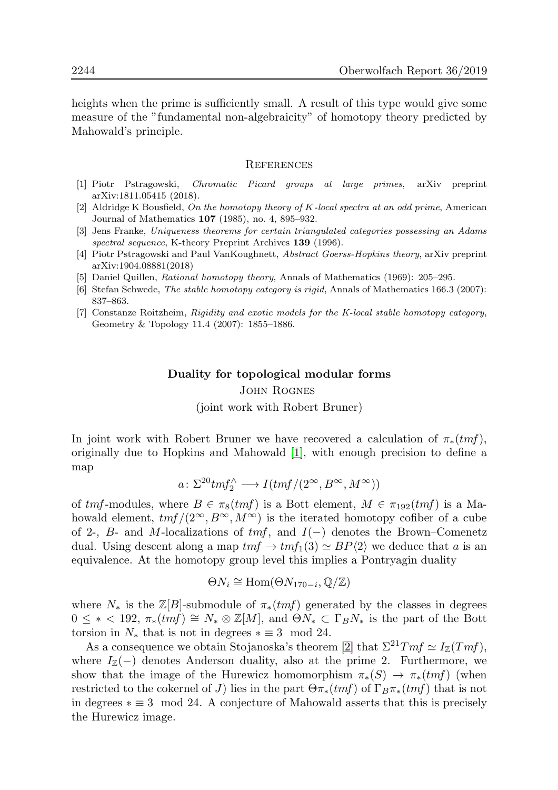heights when the prime is sufficiently small. A result of this type would give some measure of the "fundamental non-algebraicity" of homotopy theory predicted by Mahowald's principle.

#### **REFERENCES**

- [1] Piotr Pstragowski, Chromatic Picard groups at large primes, arXiv preprint arXiv:1811.05415 (2018).
- <span id="page-61-3"></span>[2] Aldridge K Bousfield, On the homotopy theory of K-local spectra at an odd prime, American Journal of Mathematics 107 (1985), no. 4, 895–932.
- <span id="page-61-2"></span>[3] Jens Franke, Uniqueness theorems for certain triangulated categories possessing an Adams spectral sequence, K-theory Preprint Archives 139 (1996).
- <span id="page-61-4"></span>[4] Piotr Pstragowski and Paul VanKoughnett, Abstract Goerss-Hopkins theory, arXiv preprint arXiv:1904.08881(2018)
- <span id="page-61-5"></span>[5] Daniel Quillen, Rational homotopy theory, Annals of Mathematics (1969): 205–295.
- <span id="page-61-1"></span><span id="page-61-0"></span>[6] Stefan Schwede, The stable homotopy category is rigid, Annals of Mathematics 166.3 (2007): 837–863.
- <span id="page-61-6"></span>[7] Constanze Roitzheim, Rigidity and exotic models for the K-local stable homotopy category, Geometry & Topology 11.4 (2007): 1855–1886.

# Duality for topological modular forms John Rognes (joint work with Robert Bruner)

In joint work with Robert Bruner we have recovered a calculation of  $\pi_*(tmf)$ , originally due to Hopkins and Mahowald [\[1\]](#page-62-0), with enough precision to define a map

$$
a\colon \Sigma^{20}tmf_2^\wedge\longrightarrow I(tmf/(2^\infty,B^\infty,M^\infty))
$$

of tmf-modules, where  $B \in \pi_8(tmf)$  is a Bott element,  $M \in \pi_{192}(tmf)$  is a Mahowald element,  $tmf/(2^{\infty}, B^{\infty}, M^{\infty})$  is the iterated homotopy cofiber of a cube of 2-, B- and M-localizations of  $tmf$ , and  $I(-)$  denotes the Brown–Comenetz dual. Using descent along a map  $tmf \rightarrow tmf_1(3) \simeq BP\langle 2 \rangle$  we deduce that a is an equivalence. At the homotopy group level this implies a Pontryagin duality

$$
\Theta N_i \cong \text{Hom}(\Theta N_{170-i}, \mathbb{Q}/\mathbb{Z})
$$

where  $N_*$  is the Z[B]-submodule of  $\pi_*(tmf)$  generated by the classes in degrees  $0 \leq *$  < 192,  $\pi_*(tmf) \cong N_* \otimes \mathbb{Z}[M]$ , and  $\Theta N_* \subset \Gamma_B N_*$  is the part of the Bott torsion in  $N_*$  that is not in degrees  $* \equiv 3 \mod 24$ .

As a consequence we obtain Stojanoska's theorem [\[2\]](#page-62-1) that  $\Sigma^{21}Tmf \simeq I_{\mathbb{Z}}(Tmf)$ , where  $I_{\mathbb{Z}}(-)$  denotes Anderson duality, also at the prime 2. Furthermore, we show that the image of the Hurewicz homomorphism  $\pi_*(S) \to \pi_*(tmf)$  (when restricted to the cokernel of J) lies in the part  $\Theta \pi_*(tmf)$  of  $\Gamma_B \pi_*(tmf)$  that is not in degrees  $* \equiv 3 \mod 24$ . A conjecture of Mahowald asserts that this is precisely the Hurewicz image.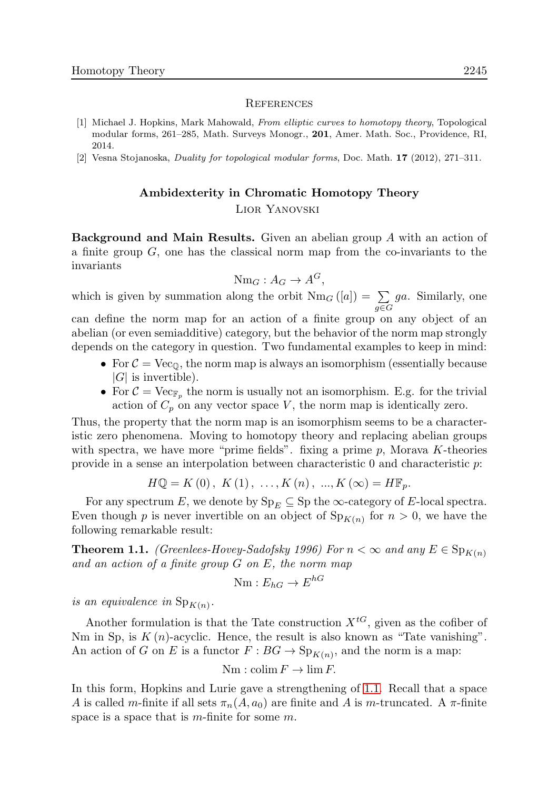#### **REFERENCES**

- [1] Michael J. Hopkins, Mark Mahowald, From elliptic curves to homotopy theory, Topological modular forms, 261–285, Math. Surveys Monogr., 201, Amer. Math. Soc., Providence, RI, 2014.
- [2] Vesna Stojanoska, Duality for topological modular forms, Doc. Math. 17 (2012), 271–311.

### <span id="page-62-1"></span><span id="page-62-0"></span>Ambidexterity in Chromatic Homotopy Theory

#### Lior Yanovski

Background and Main Results. Given an abelian group A with an action of a finite group  $G$ , one has the classical norm map from the co-invariants to the invariants

$$
\mathrm{Nm}_G: A_G \to A^G,
$$

which is given by summation along the orbit  $Nm_G([a]) = \sum$  $g{\in}G$ ga. Similarly, one

can define the norm map for an action of a finite group on any object of an abelian (or even semiadditive) category, but the behavior of the norm map strongly depends on the category in question. Two fundamental examples to keep in mind:

- For  $C = \text{Vec}_{\mathbb{Q}}$ , the norm map is always an isomorphism (essentially because  $|G|$  is invertible).
- For  $C = \text{Vec}_{\mathbb{F}_p}$  the norm is usually not an isomorphism. E.g. for the trivial action of  $C_p$  on any vector space V, the norm map is identically zero.

Thus, the property that the norm map is an isomorphism seems to be a characteristic zero phenomena. Moving to homotopy theory and replacing abelian groups with spectra, we have more "prime fields". fixing a prime  $p$ , Morava K-theories provide in a sense an interpolation between characteristic  $0$  and characteristic  $p$ :

<span id="page-62-2"></span>
$$
H\mathbb{Q} = K(0), K(1), \ldots, K(n), ..., K(\infty) = H\mathbb{F}_p.
$$

For any spectrum E, we denote by  $\text{Sp}_E \subseteq \text{Sp}$  the  $\infty$ -category of E-local spectra. Even though p is never invertible on an object of  $\mathrm{Sp}_{K(n)}$  for  $n > 0$ , we have the following remarkable result:

**Theorem 1.1.** (Greenlees-Hovey-Sadofsky 1996) For  $n < \infty$  and any  $E \in \mathrm{Sp}_{K(n)}$ and an action of a finite group G on E, the norm map

$$
\mathrm{Nm}: E_{hG} \to E^{hG}
$$

is an equivalence in  $\text{Sp}_{K(n)}$ .

<span id="page-62-3"></span>Another formulation is that the Tate construction  $X^{tG}$ , given as the cofiber of Nm in Sp, is  $K(n)$ -acyclic. Hence, the result is also known as "Tate vanishing". An action of G on E is a functor  $F:BG \to \mathrm{Sp}_{K(n)}$ , and the norm is a map:

 $Nm: \text{colim } F \to \text{lim } F.$ 

In this form, Hopkins and Lurie gave a strengthening of [1.1.](#page-62-2) Recall that a space A is called m-finite if all sets  $\pi_n(A, a_0)$  are finite and A is m-truncated. A  $\pi$ -finite space is a space that is m-finite for some m.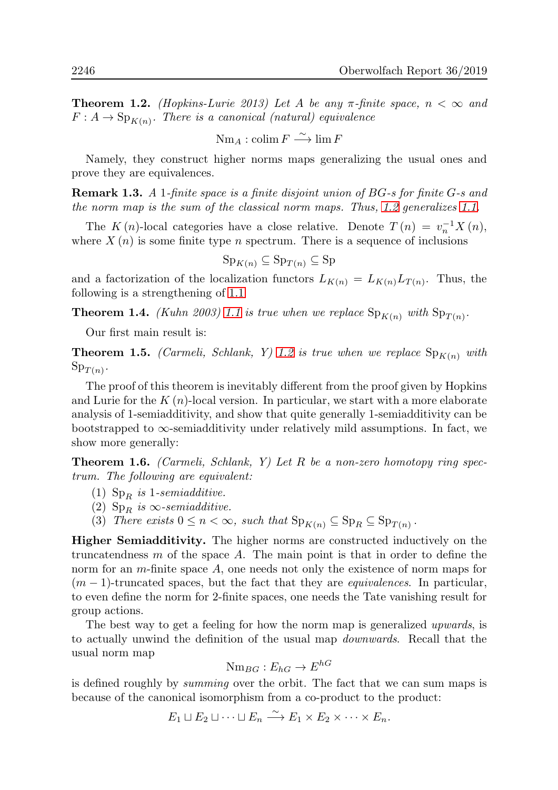**Theorem 1.2.** (Hopkins-Lurie 2013) Let A be any  $\pi$ -finite space,  $n < \infty$  and  $F: A \to \mathrm{Sp}_{K(n)}$ . There is a canonical (natural) equivalence

 $Nm_A : \operatorname{colim} F \stackrel{\sim}{\longrightarrow} \lim F$ 

Namely, they construct higher norms maps generalizing the usual ones and prove they are equivalences.

Remark 1.3. A 1-finite space is a finite disjoint union of BG-s for finite G-s and the norm map is the sum of the classical norm maps. Thus, [1.2](#page-62-3) generalizes [1.1.](#page-62-2)

The K (n)-local categories have a close relative. Denote  $T(n) = v_n^{-1} X(n)$ , where  $X(n)$  is some finite type n spectrum. There is a sequence of inclusions

$$
Sp_{K(n)} \subseteq Sp_{T(n)} \subseteq Sp
$$

and a factorization of the localization functors  $L_{K(n)} = L_{K(n)} L_{T(n)}$ . Thus, the following is a strengthening of [1.1](#page-62-2)

**Theorem 1.4.** (Kuhn 2003) [1.1](#page-62-2) is true when we replace  $\text{Sp}_{K(n)}$  with  $\text{Sp}_{T(n)}$ .

Our first main result is:

**Theorem 1.5.** (Carmeli, Schlank, Y) [1.2](#page-62-3) is true when we replace  $\text{Sp}_{K(n)}$  with  $Sp_{T(n)}$ .

The proof of this theorem is inevitably different from the proof given by Hopkins and Lurie for the  $K(n)$ -local version. In particular, we start with a more elaborate analysis of 1-semiadditivity, and show that quite generally 1-semiadditivity can be bootstrapped to  $\infty$ -semiadditivity under relatively mild assumptions. In fact, we show more generally:

**Theorem 1.6.** (Carmeli, Schlank, Y) Let R be a non-zero homotopy ring spectrum. The following are equivalent:

- (1)  $Sp_R$  is 1-semiadditive.
- (2) Sp<sub>R</sub> is  $\infty$ -semiadditive.
- (3) There exists  $0 \leq n < \infty$ , such that  $Sp_{K(n)} \subseteq Sp_R \subseteq Sp_{T(n)}$ .

Higher Semiadditivity. The higher norms are constructed inductively on the truncatendness  $m$  of the space  $A$ . The main point is that in order to define the norm for an *m*-finite space A, one needs not only the existence of norm maps for  $(m-1)$ -truncated spaces, but the fact that they are *equivalences*. In particular, to even define the norm for 2-finite spaces, one needs the Tate vanishing result for group actions.

The best way to get a feeling for how the norm map is generalized *upwards*, is to actually unwind the definition of the usual map downwards. Recall that the usual norm map

$$
\text{Nm}_{BG}: E_{hG} \to E^{hG}
$$

is defined roughly by summing over the orbit. The fact that we can sum maps is because of the canonical isomorphism from a co-product to the product:

 $E_1 \sqcup E_2 \sqcup \cdots \sqcup E_n \stackrel{\sim}{\longrightarrow} E_1 \times E_2 \times \cdots \times E_n.$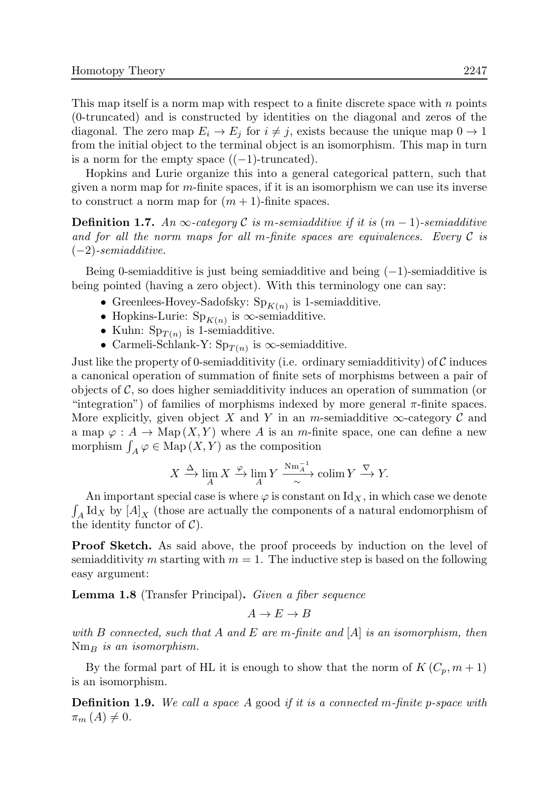This map itself is a norm map with respect to a finite discrete space with  $n$  points (0-truncated) and is constructed by identities on the diagonal and zeros of the diagonal. The zero map  $E_i \to E_j$  for  $i \neq j$ , exists because the unique map  $0 \to 1$ from the initial object to the terminal object is an isomorphism. This map in turn is a norm for the empty space  $((-1))$ -truncated).

Hopkins and Lurie organize this into a general categorical pattern, such that given a norm map for m-finite spaces, if it is an isomorphism we can use its inverse to construct a norm map for  $(m + 1)$ -finite spaces.

**Definition 1.7.** An ∞-category C is m-semiadditive if it is  $(m-1)$ -semiadditive and for all the norm maps for all m-finite spaces are equivalences. Every  $\mathcal C$  is  $(-2)$ -semiadditive.

Being 0-semiadditive is just being semiadditive and being  $(-1)$ -semiadditive is being pointed (having a zero object). With this terminology one can say:

- Greenlees-Hovey-Sadofsky:  $Sp_{K(n)}$  is 1-semiadditive.
- Hopkins-Lurie:  $Sp_{K(n)}$  is  $\infty$ -semiadditive.
- Kuhn:  $Sp_{T(n)}$  is 1-semiadditive.
- Carmeli-Schlank-Y:  $\text{Sp}_{T(n)}$  is  $\infty$ -semiadditive.

Just like the property of 0-semiadditivity (i.e. ordinary semiadditivity) of  $\mathcal C$  induces a canonical operation of summation of finite sets of morphisms between a pair of objects of  $\mathcal{C}$ , so does higher semiadditivity induces an operation of summation (or "integration") of families of morphisms indexed by more general  $\pi$ -finite spaces. More explicitly, given object X and Y in an m-semiadditive  $\infty$ -category C and a map  $\varphi: A \to \text{Map}(X, Y)$  where A is an m-finite space, one can define a new morphism  $\int_A \varphi \in \text{Map}(X, Y)$  as the composition

$$
X \xrightarrow{\Delta} \lim_{A} X \xrightarrow{\varphi} \lim_{A} Y \xrightarrow[\sim]{\text{Nm}_{A}^{-1}} \text{colim} \, Y \xrightarrow{\nabla} Y.
$$

An important special case is where  $\varphi$  is constant on  $\mathrm{Id}_X$ , in which case we denote  $\int_A \mathrm{Id}_X$  by  $[A]_X$  (those are actually the components of a natural endomorphism of the identity functor of  $\mathcal{C}$ ).

**Proof Sketch.** As said above, the proof proceeds by induction on the level of semiadditivity m starting with  $m = 1$ . The inductive step is based on the following easy argument:

Lemma 1.8 (Transfer Principal). Given a fiber sequence

$$
A \to E \to B
$$

with B connected, such that A and E are m-finite and  $[A]$  is an isomorphism, then  $Nm_B$  is an isomorphism.

By the formal part of HL it is enough to show that the norm of  $K(C_p, m+1)$ is an isomorphism.

Definition 1.9. We call a space A good if it is a connected m-finite p-space with  $\pi_m(A) \neq 0.$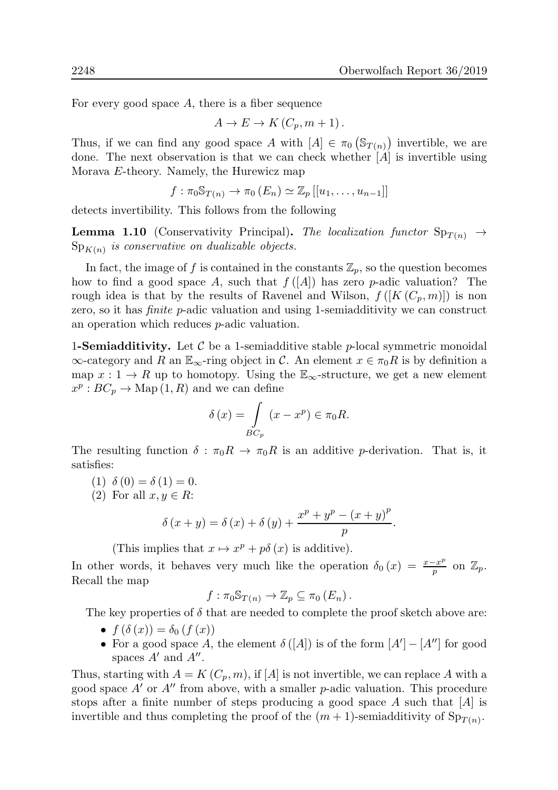For every good space  $A$ , there is a fiber sequence

 $A \rightarrow E \rightarrow K (C_n, m+1)$ .

Thus, if we can find any good space A with  $[A] \in \pi_0(\mathbb{S}_{T(n)})$  invertible, we are done. The next observation is that we can check whether  $[A]$  is invertible using Morava E-theory. Namely, the Hurewicz map

$$
f: \pi_0 \mathbb{S}_{T(n)} \to \pi_0(E_n) \simeq \mathbb{Z}_p[[u_1, \ldots, u_{n-1}]]
$$

detects invertibility. This follows from the following

**Lemma 1.10** (Conservativity Principal). The localization functor  $Sp_{T(n)} \rightarrow$  $Sp_{K(n)}$  is conservative on dualizable objects.

In fact, the image of f is contained in the constants  $\mathbb{Z}_p$ , so the question becomes how to find a good space A, such that  $f([A])$  has zero p-adic valuation? The rough idea is that by the results of Ravenel and Wilson,  $f([K(C_p,m)])$  is non zero, so it has *finite p*-adic valuation and using 1-semiadditivity we can construct an operation which reduces p-adic valuation.

**1-Semiadditivity.** Let C be a 1-semiadditive stable p-local symmetric monoidal  $\infty$ -category and R an  $\mathbb{E}_{\infty}$ -ring object in C. An element  $x \in \pi_0 R$  is by definition a map  $x: 1 \to R$  up to homotopy. Using the  $\mathbb{E}_{\infty}$ -structure, we get a new element  $x^p : BC_p \to \text{Map}(1, R)$  and we can define

$$
\delta(x) = \int_{BC_p} (x - x^p) \in \pi_0 R.
$$

The resulting function  $\delta : \pi_0 R \to \pi_0 R$  is an additive *p*-derivation. That is, it satisfies:

(1)  $\delta(0) = \delta(1) = 0.$ 

(2) For all  $x, y \in R$ :

$$
\delta (x + y) = \delta (x) + \delta (y) + \frac{x^{p} + y^{p} - (x + y)^{p}}{p}.
$$

(This implies that  $x \mapsto x^p + p\delta(x)$  is additive).

In other words, it behaves very much like the operation  $\delta_0(x) = \frac{x - x^p}{n}$  $\frac{-x^p}{p}$  on  $\mathbb{Z}_p$ . Recall the map

$$
f: \pi_0 \mathbb{S}_{T(n)} \to \mathbb{Z}_p \subseteq \pi_0(E_n).
$$

The key properties of  $\delta$  that are needed to complete the proof sketch above are:

- $f(\delta(x)) = \delta_0(f(x))$
- For a good space A, the element  $\delta([A])$  is of the form  $[A'] [A'']$  for good spaces  $A'$  and  $A''$ .

Thus, starting with  $A = K(C_p, m)$ , if [A] is not invertible, we can replace A with a good space  $A'$  or  $A''$  from above, with a smaller p-adic valuation. This procedure stops after a finite number of steps producing a good space A such that  $[A]$  is invertible and thus completing the proof of the  $(m+1)$ -semiadditivity of  $Sp_{T(n)}$ .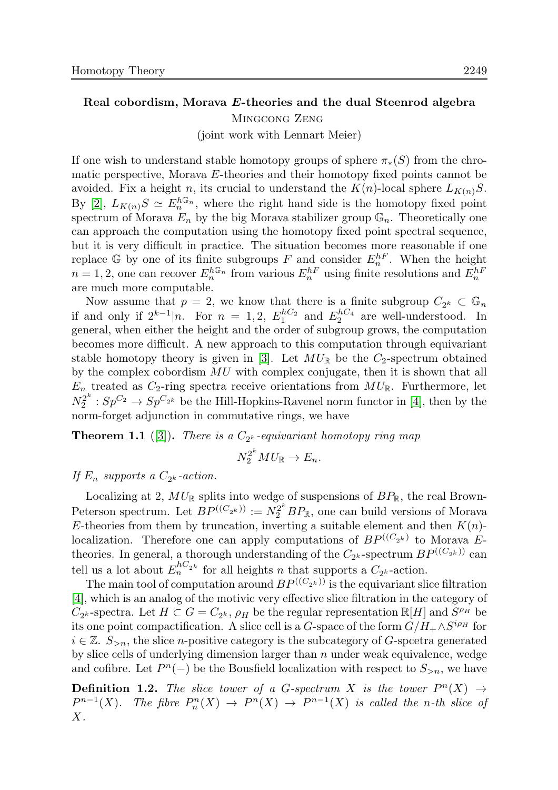# Real cobordism, Morava E-theories and the dual Steenrod algebra Mingcong Zeng (joint work with Lennart Meier)

If one wish to understand stable homotopy groups of sphere  $\pi_*(S)$  from the chromatic perspective, Morava E-theories and their homotopy fixed points cannot be avoided. Fix a height n, its crucial to understand the  $K(n)$ -local sphere  $L_{K(n)}S$ . By [\[2\]](#page-68-0),  $L_{K(n)}S \simeq E_n^{h\mathbb{G}_n}$ , where the right hand side is the homotopy fixed point spectrum of Morava  $E_n$  by the big Morava stabilizer group  $\mathbb{G}_n$ . Theoretically one can approach the computation using the homotopy fixed point spectral sequence, but it is very difficult in practice. The situation becomes more reasonable if one replace G by one of its finite subgroups F and consider  $E_n^{hF}$ . When the height  $n = 1, 2$ , one can recover  $E_n^{h\mathbb{G}_n}$  from various  $E_n^{hF}$  using finite resolutions and  $E_n^{hF}$ are much more computable.

Now assume that  $p = 2$ , we know that there is a finite subgroup  $C_{2^k} \subset \mathbb{G}_n$ if and only if  $2^{k-1} | n$ . For  $n = 1, 2, E_1^{hC_2}$  $h^{hC_2}$  and  $E_2^{hC_4}$  $n^{n}$  are well-understood. In general, when either the height and the order of subgroup grows, the computation becomes more difficult. A new approach to this computation through equivariant stable homotopy theory is given in [\[3\]](#page-68-1). Let  $MU_{\mathbb{R}}$  be the  $C_2$ -spectrum obtained by the complex cobordism  $MU$  with complex conjugate, then it is shown that all  $E_n$  treated as  $C_2$ -ring spectra receive orientations from  $MU_{\mathbb{R}}$ . Furthermore, let  $N_2^{2^k}$  $2^{2^k}: Sp^{C_2} \to Sp^{C_{2^k}}$  be the Hill-Hopkins-Ravenel norm functor in [\[4\]](#page-68-2), then by the norm-forget adjunction in commutative rings, we have

**Theorem 1.1** ([\[3\]](#page-68-1)). There is a  $C_{2^k}$ -equivariant homotopy ring map

 $N_2^{2^k}MU_{\mathbb{R}} \to E_n.$ 

## If  $E_n$  supports a  $C_{2^k}$ -action.

Localizing at 2,  $MU_{\mathbb{R}}$  splits into wedge of suspensions of  $BP_{\mathbb{R}}$ , the real Brown-Peterson spectrum. Let  $BP^{((C_{2^k}))} := N_2^{2^k}BP_{\mathbb{R}}$ , one can build versions of Morava E-theories from them by truncation, inverting a suitable element and then  $K(n)$ localization. Therefore one can apply computations of  $BP^{((C_{2^k}))}$  to Morava Etheories. In general, a thorough understanding of the  $C_{2^k}$ -spectrum  $BP^{((C_{2^k}))}$  can tell us a lot about  $E_n^{hC_{2^k}}$  for all heights n that supports a  $C_{2^k}$ -action.

The main tool of computation around  $BP^{((C_{2^k}))}$  is the equivariant slice filtration [\[4\]](#page-68-2), which is an analog of the motivic very effective slice filtration in the category of  $C_{2^k}$ -spectra. Let  $H \subset G = C_{2^k}$ ,  $\rho_H$  be the regular representation  $\mathbb{R}[H]$  and  $S^{\rho_H}$  be its one point compactification. A slice cell is a G-space of the form  $G/H_+ \wedge S^{i\rho_H}$  for  $i \in \mathbb{Z}$ .  $S_{\geq n}$ , the slice *n*-positive category is the subcategory of G-spcetra generated by slice cells of underlying dimension larger than  $n$  under weak equivalence, wedge and cofibre. Let  $P^{n}(-)$  be the Bousfield localization with respect to  $S_{>n}$ , we have

**Definition 1.2.** The slice tower of a G-spectrum X is the tower  $P^{n}(X) \rightarrow$  $P^{n-1}(X)$ . The fibre  $P_n^n(X) \to P^n(X) \to P^{n-1}(X)$  is called the n-th slice of  $X$ .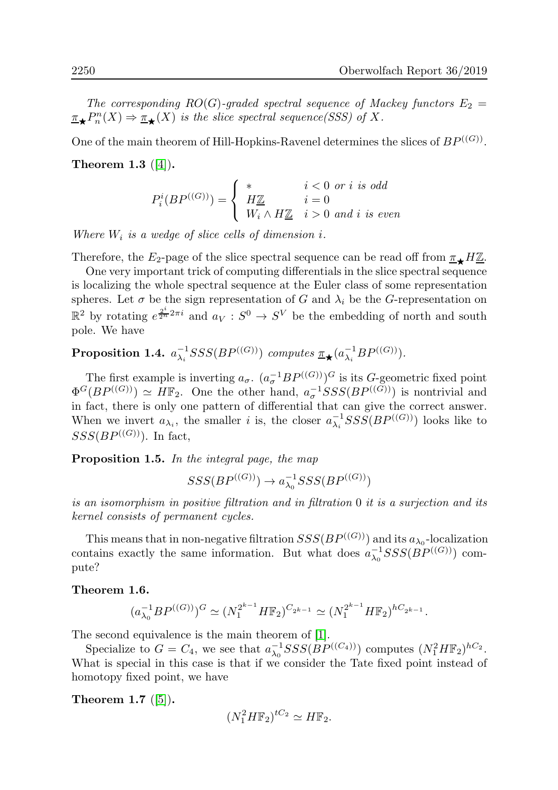The corresponding  $RO(G)$ -graded spectral sequence of Mackey functors  $E_2 =$  $\underline{\pi}_{\bigstar}P_n^n(X) \Rightarrow \underline{\pi}_{\bigstar}(X)$  is the slice spectral sequence(SSS) of X.

One of the main theorem of Hill-Hopkins-Ravenel determines the slices of  $BP^{((G))}$ . Theorem 1.3  $([4])$  $([4])$  $([4])$ .

$$
P_i^i(BP^{((G))}) = \begin{cases} * & i < 0 \text{ or } i \text{ is odd} \\ H\underline{\mathbb{Z}} & i = 0 \\ W_i \wedge H\underline{\mathbb{Z}} & i > 0 \text{ and } i \text{ is even} \end{cases}
$$

Where  $W_i$  is a wedge of slice cells of dimension i.

Therefore, the  $E_2$ -page of the slice spectral sequence can be read off from  $\underline{\pi}_{\blacktriangleright}H\underline{\mathbb{Z}}$ .

One very important trick of computing differentials in the slice spectral sequence is localizing the whole spectral sequence at the Euler class of some representation spheres. Let  $\sigma$  be the sign representation of G and  $\lambda_i$  be the G-representation on  $\mathbb{R}^2$  by rotating  $e^{\frac{2^i}{2^n} 2\pi i}$  and  $a_V : S^0 \to S^V$  be the embedding of north and south pole. We have

Proposition 1.4.  $a_{\lambda_i}^{-1}$  $\frac{-1}{\lambda_i} SSS(BP^{((G))})$  computes  $\frac{\pi}{\lambda_i} (a_{\lambda_i}^{-1})$  $\lambda_i^{-1} BP^{((G))}).$ 

The first example is inverting  $a_{\sigma}$ .  $(a_{\sigma}^{-1}BP^{((G))})^G$  is its G-geometric fixed point  $\Phi^G(BP^{((G))}) \simeq H\mathbb{F}_2$ . One the other hand,  $a_{\sigma}^{-1}SSS(BP^{((G))})$  is nontrivial and in fact, there is only one pattern of differential that can give the correct answer. When we invert  $a_{\lambda_i}$ , the smaller *i* is, the closer  $a_{\lambda_i}^{-1}$  $\lambda_i^{-1} SSS(BP^{((G))})$  looks like to  $SSS(BP^{((G))})$ . In fact,

Proposition 1.5. In the integral page, the map

$$
SSS(BP^{((G))}) \rightarrow a_{\lambda_0}^{-1}SSS(BP^{((G))})
$$

is an isomorphism in positive filtration and in filtration 0 it is a surjection and its kernel consists of permanent cycles.

This means that in non-negative filtration  $SSS(BP^{((G))})$  and its  $a_{\lambda_0}$ -localization contains exactly the same information. But what does  $a_{\lambda_0}^{-1}$  $_{\lambda_0}^{-1}SSS(BP^{((G))})$  compute?

### Theorem 1.6.

$$
(a_{\lambda_0}^{-1}BP^{((G))})^G \simeq (N_1^{2^{k-1}}H\mathbb{F}_2)^{C_{2^{k-1}}} \simeq (N_1^{2^{k-1}}H\mathbb{F}_2)^{hC_{2^{k-1}}}.
$$

The second equivalence is the main theorem of [\[1\]](#page-68-3).

Specialize to  $G = C_4$ , we see that  $a_{\lambda_0}^{-1}$  $\lambda_0^{-1} SSS(BP^{((C_4))})$  computes  $(N_1^2 H\mathbb{F}_2)^{hC_2}$ . What is special in this case is that if we consider the Tate fixed point instead of homotopy fixed point, we have

Theorem 1.7 ([\[5\]](#page-68-4)).

$$
(N_1^2 H \mathbb{F}_2)^{tC_2} \simeq H \mathbb{F}_2.
$$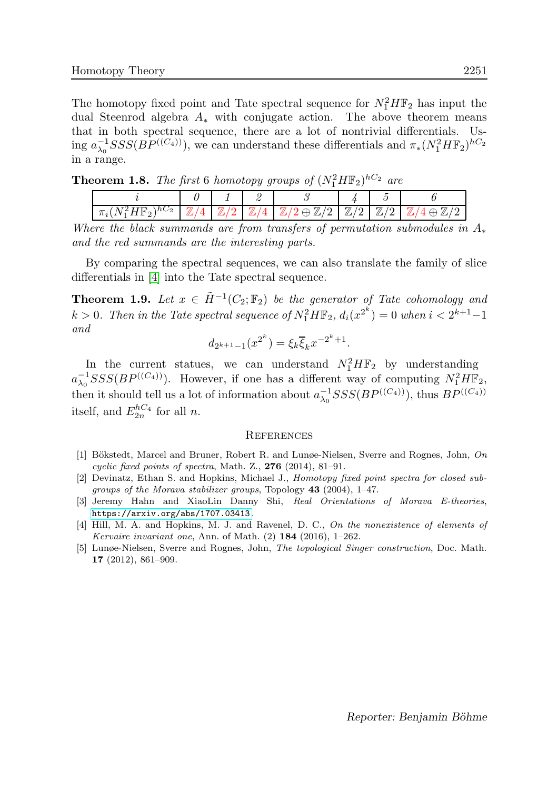The homotopy fixed point and Tate spectral sequence for  $N_1^2 H \mathbb{F}_2$  has input the dual Steenrod algebra  $A_*$  with conjugate action. The above theorem means that in both spectral sequence, there are a lot of nontrivial differentials. Using  $a_{\lambda_0}^{-1}$  $\pi_{\lambda_0}^{-1} SSS(BP^{((C_4))})$ , we can understand these differentials and  $\pi_*(N_1^2 H \mathbb{F}_2)^{hC_2}$ in a range.

**Theorem 1.8.** The first 6 homotopy groups of  $(N_1^2 H\mathbb{F}_2)^{hC_2}$  are

|                                                                                             | __          |    |  |                                                        |                  |                       |   |
|---------------------------------------------------------------------------------------------|-------------|----|--|--------------------------------------------------------|------------------|-----------------------|---|
|                                                                                             |             |    |  |                                                        |                  | -                     |   |
| $h_{2}$<br>$T\mathbb{F}_{2}$<br>$\mathbf{v}$<br>$\epsilon$<br>$\pi$<br><u>н</u><br>$\cdots$ | $\mathbb Z$ | 77 |  | $\sqrt{2}$<br>$\overline{r}$<br>$\mathbb Z$<br>ℤ<br>__ | $\mathbb Z$<br>. | $\mathbb Z$<br>$\sim$ | - |

Where the black summands are from transfers of permutation submodules in  $A_*$ and the red summands are the interesting parts.

By comparing the spectral sequences, we can also translate the family of slice differentials in [\[4\]](#page-68-2) into the Tate spectral sequence.

**Theorem 1.9.** Let  $x \in \tilde{H}^{-1}(C_2; \mathbb{F}_2)$  be the generator of Tate cohomology and  $k > 0$ . Then in the Tate spectral sequence of  $N_1^2 H \mathbb{F}_2$ ,  $d_i(x^{2^k}) = 0$  when  $i < 2^{k+1}-1$ and

$$
d_{2^{k+1}-1}(x^{2^k}) = \xi_k \overline{\xi}_k x^{-2^k+1}
$$

.

In the current statues, we can understand  $N_1^2 H\mathbb{F}_2$  by understanding  $a_{\lambda_0}^{-1}$  $\lambda_0^{-1} SSS(BP^{((C_4)}))$ . However, if one has a different way of computing  $N_1^2 H \mathbb{F}_2$ , then it should tell us a lot of information about  $a_{\lambda_0}^{-1}$  $^{-1}_{\lambda_0} SSS(BP^{((C_4))}),$  thus  $BP^{((C_4))}$ itself, and  $E_{2n}^{hC_4}$  $\frac{nC_4}{2n}$  for all *n*.

### **REFERENCES**

- <span id="page-68-3"></span><span id="page-68-0"></span>[1] Bökstedt, Marcel and Bruner, Robert R. and Lunge-Nielsen, Sverre and Rognes, John, On cyclic fixed points of spectra, Math. Z.,  $276$  (2014), 81-91.
- <span id="page-68-1"></span>[2] Devinatz, Ethan S. and Hopkins, Michael J., Homotopy fixed point spectra for closed subgroups of the Morava stabilizer groups, Topology 43 (2004), 1–47.
- <span id="page-68-4"></span><span id="page-68-2"></span>[3] Jeremy Hahn and XiaoLin Danny Shi, Real Orientations of Morava E-theories, <https://arxiv.org/abs/1707.03413>.
- [4] Hill, M. A. and Hopkins, M. J. and Ravenel, D. C., On the nonexistence of elements of *Kervaire invariant one*, Ann. of Math.  $(2)$  184  $(2016)$ , 1–262.
- [5] Lunøe-Nielsen, Sverre and Rognes, John, The topological Singer construction, Doc. Math. 17 (2012), 861–909.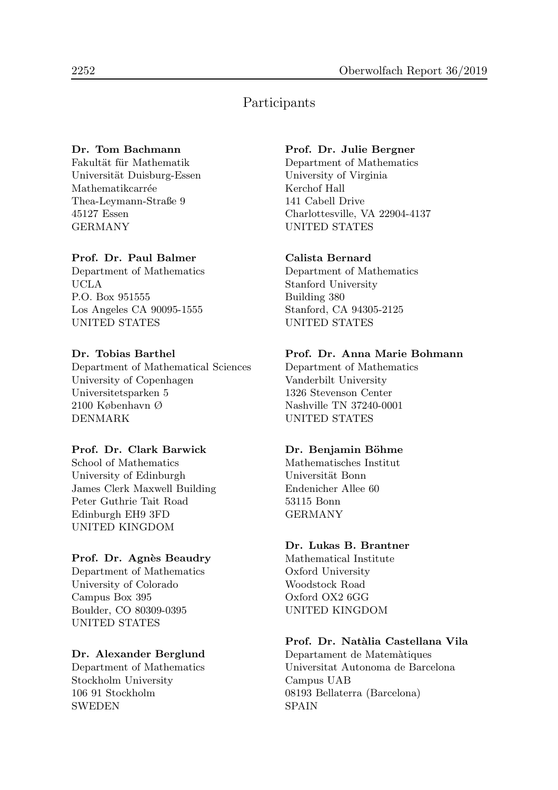# Participants

## Dr. Tom Bachmann

Fakultät für Mathematik Universität Duisburg-Essen Mathematikcarrée Thea-Leymann-Straße 9 45127 Essen GERMANY

# Prof. Dr. Paul Balmer

Department of Mathematics UCLA P.O. Box 951555 Los Angeles CA 90095-1555 UNITED STATES

# Dr. Tobias Barthel

Department of Mathematical Sciences University of Copenhagen Universitetsparken 5 2100 København Ø DENMARK

# Prof. Dr. Clark Barwick

School of Mathematics University of Edinburgh James Clerk Maxwell Building Peter Guthrie Tait Road Edinburgh EH9 3FD UNITED KINGDOM

# Prof. Dr. Agnès Beaudry

Department of Mathematics University of Colorado Campus Box 395 Boulder, CO 80309-0395 UNITED STATES

# Dr. Alexander Berglund

Department of Mathematics Stockholm University 106 91 Stockholm **SWEDEN** 

# Prof. Dr. Julie Bergner

Department of Mathematics University of Virginia Kerchof Hall 141 Cabell Drive Charlottesville, VA 22904-4137 UNITED STATES

### Calista Bernard

Department of Mathematics Stanford University Building 380 Stanford, CA 94305-2125 UNITED STATES

# Prof. Dr. Anna Marie Bohmann

Department of Mathematics Vanderbilt University 1326 Stevenson Center Nashville TN 37240-0001 UNITED STATES

# Dr. Benjamin Böhme

Mathematisches Institut Universität Bonn Endenicher Allee 60 53115 Bonn GERMANY

# Dr. Lukas B. Brantner

Mathematical Institute Oxford University Woodstock Road Oxford OX2 6GG UNITED KINGDOM

# Prof. Dr. Natàlia Castellana Vila

Departament de Matemàtiques Universitat Autonoma de Barcelona Campus UAB 08193 Bellaterra (Barcelona) SPAIN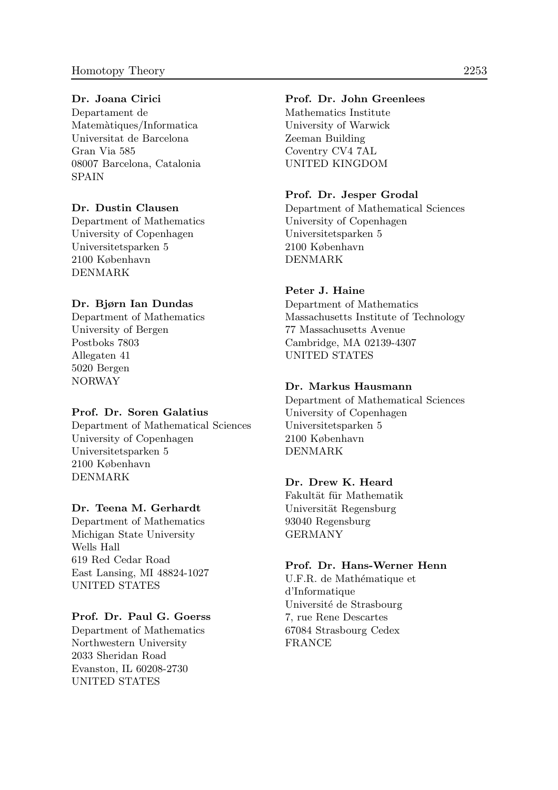## Dr. Joana Cirici

Departament de Matemàtiques/Informatica Universitat de Barcelona Gran Via 585 08007 Barcelona, Catalonia SPAIN

### Dr. Dustin Clausen

Department of Mathematics University of Copenhagen Universitetsparken 5 2100 København DENMARK

## Dr. Bjørn Ian Dundas

Department of Mathematics University of Bergen Postboks 7803 Allegaten 41 5020 Bergen NORWAY

### Prof. Dr. Soren Galatius

Department of Mathematical Sciences University of Copenhagen Universitetsparken 5 2100 København DENMARK

#### Dr. Teena M. Gerhardt

Department of Mathematics Michigan State University Wells Hall 619 Red Cedar Road East Lansing, MI 48824-1027 UNITED STATES

### Prof. Dr. Paul G. Goerss

Department of Mathematics Northwestern University 2033 Sheridan Road Evanston, IL 60208-2730 UNITED STATES

## Prof. Dr. John Greenlees

Mathematics Institute University of Warwick Zeeman Building Coventry CV4 7AL UNITED KINGDOM

#### Prof. Dr. Jesper Grodal

Department of Mathematical Sciences University of Copenhagen Universitetsparken 5 2100 København DENMARK

## Peter J. Haine

Department of Mathematics Massachusetts Institute of Technology 77 Massachusetts Avenue Cambridge, MA 02139-4307 UNITED STATES

#### Dr. Markus Hausmann

Department of Mathematical Sciences University of Copenhagen Universitetsparken 5 2100 København DENMARK

## Dr. Drew K. Heard

Fakultät für Mathematik Universität Regensburg 93040 Regensburg GERMANY

#### Prof. Dr. Hans-Werner Henn

U.F.R. de Mathématique et d'Informatique Université de Strasbourg 7, rue Rene Descartes 67084 Strasbourg Cedex FRANCE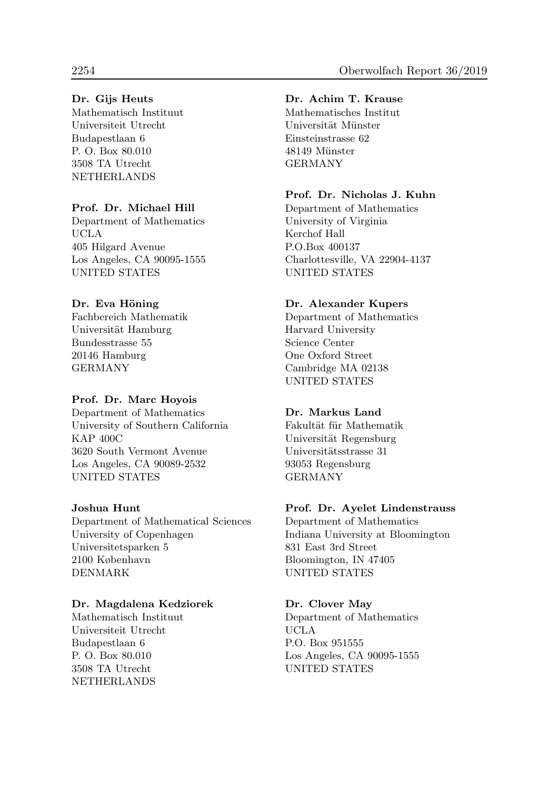# Dr. Gijs Heuts

Mathematisch Instituut Universiteit Utrecht Budapestlaan 6 P. O. Box 80.010 3508 TA Utrecht NETHERLANDS

# Prof. Dr. Michael Hill

Department of Mathematics UCLA 405 Hilgard Avenue Los Angeles, CA 90095-1555 UNITED STATES

# Dr. Eva Höning

Fachbereich Mathematik Universität Hamburg Bundesstrasse 55 20146 Hamburg GERMANY

# Prof. Dr. Marc Hoyois

Department of Mathematics University of Southern California KAP 400C 3620 South Vermont Avenue Los Angeles, CA 90089-2532 UNITED STATES

# Joshua Hunt

Department of Mathematical Sciences University of Copenhagen Universitetsparken 5 2100 København DENMARK

# Dr. Magdalena Kedziorek

Mathematisch Instituut Universiteit Utrecht Budapestlaan 6 P. O. Box 80.010 3508 TA Utrecht NETHERLANDS

# Dr. Achim T. Krause

Mathematisches Institut Universität Münster Einsteinstrasse 62 48149 Münster GERMANY

# Prof. Dr. Nicholas J. Kuhn

Department of Mathematics University of Virginia Kerchof Hall P.O.Box 400137 Charlottesville, VA 22904-4137 UNITED STATES

## Dr. Alexander Kupers

Department of Mathematics Harvard University Science Center One Oxford Street Cambridge MA 02138 UNITED STATES

### Dr. Markus Land

Fakultät für Mathematik Universität Regensburg Universitätsstrasse 31 93053 Regensburg GERMANY

### Prof. Dr. Ayelet Lindenstrauss

Department of Mathematics Indiana University at Bloomington 831 East 3rd Street Bloomington, IN 47405 UNITED STATES

### Dr. Clover May

Department of Mathematics UCLA P.O. Box 951555 Los Angeles, CA 90095-1555 UNITED STATES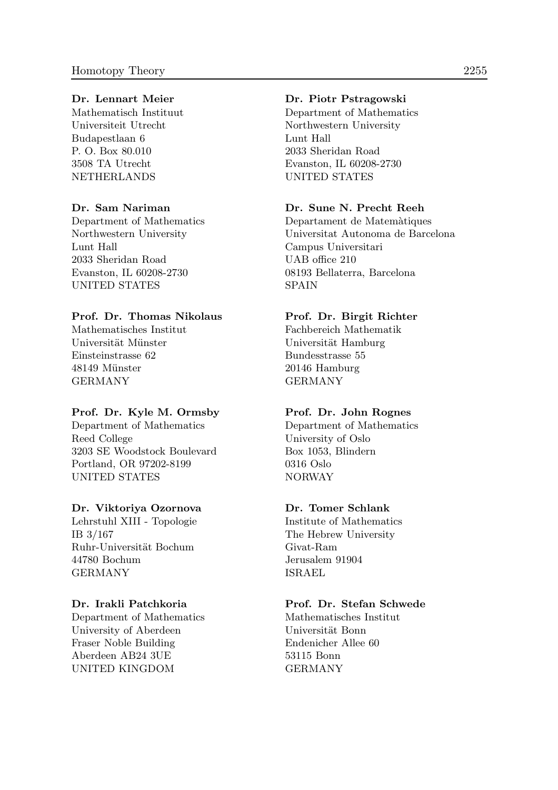# Dr. Lennart Meier

Mathematisch Instituut Universiteit Utrecht Budapestlaan 6 P. O. Box 80.010 3508 TA Utrecht NETHERLANDS

## Dr. Sam Nariman

Department of Mathematics Northwestern University Lunt Hall 2033 Sheridan Road Evanston, IL 60208-2730 UNITED STATES

### Prof. Dr. Thomas Nikolaus

Mathematisches Institut Universität Münster Einsteinstrasse 62 48149 Münster GERMANY

## Prof. Dr. Kyle M. Ormsby

Department of Mathematics Reed College 3203 SE Woodstock Boulevard Portland, OR 97202-8199 UNITED STATES

#### Dr. Viktoriya Ozornova

Lehrstuhl XIII - Topologie IB 3/167 Ruhr-Universität Bochum 44780 Bochum GERMANY

# Dr. Irakli Patchkoria

Department of Mathematics University of Aberdeen Fraser Noble Building Aberdeen AB24 3UE UNITED KINGDOM

#### Dr. Piotr Pstragowski

Department of Mathematics Northwestern University Lunt Hall 2033 Sheridan Road Evanston, IL 60208-2730 UNITED STATES

#### Dr. Sune N. Precht Reeh

Departament de Matemàtiques Universitat Autonoma de Barcelona Campus Universitari UAB office 210 08193 Bellaterra, Barcelona SPAIN

# Prof. Dr. Birgit Richter

Fachbereich Mathematik Universität Hamburg Bundesstrasse 55 20146 Hamburg GERMANY

#### Prof. Dr. John Rognes

Department of Mathematics University of Oslo Box 1053, Blindern 0316 Oslo NORWAY

## Dr. Tomer Schlank

Institute of Mathematics The Hebrew University Givat-Ram Jerusalem 91904 ISRAEL

# Prof. Dr. Stefan Schwede

Mathematisches Institut Universität Bonn Endenicher Allee 60 53115 Bonn GERMANY